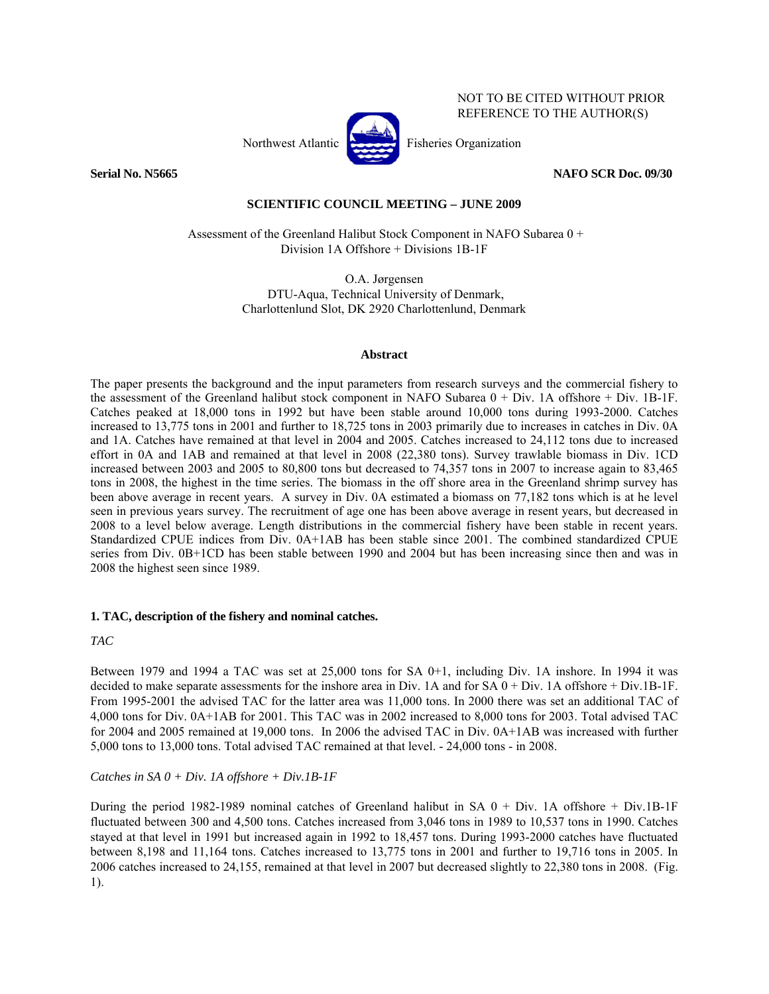

NOT TO BE CITED WITHOUT PRIOR REFERENCE TO THE AUTHOR(S)

**Serial No. N5665 NAFO SCR Doc. 09/30** 

# **SCIENTIFIC COUNCIL MEETING – JUNE 2009**

 Assessment of the Greenland Halibut Stock Component in NAFO Subarea 0 + Division 1A Offshore + Divisions 1B-1F

> O.A. Jørgensen DTU-Aqua, Technical University of Denmark, Charlottenlund Slot, DK 2920 Charlottenlund, Denmark

#### **Abstract**

The paper presents the background and the input parameters from research surveys and the commercial fishery to the assessment of the Greenland halibut stock component in NAFO Subarea 0 + Div. 1A offshore + Div. 1B-1F. Catches peaked at 18,000 tons in 1992 but have been stable around 10,000 tons during 1993-2000. Catches increased to 13,775 tons in 2001 and further to 18,725 tons in 2003 primarily due to increases in catches in Div. 0A and 1A. Catches have remained at that level in 2004 and 2005. Catches increased to 24,112 tons due to increased effort in 0A and 1AB and remained at that level in 2008 (22,380 tons). Survey trawlable biomass in Div. 1CD increased between 2003 and 2005 to 80,800 tons but decreased to 74,357 tons in 2007 to increase again to 83,465 tons in 2008, the highest in the time series. The biomass in the off shore area in the Greenland shrimp survey has been above average in recent years. A survey in Div. 0A estimated a biomass on 77,182 tons which is at he level seen in previous years survey. The recruitment of age one has been above average in resent years, but decreased in 2008 to a level below average. Length distributions in the commercial fishery have been stable in recent years. Standardized CPUE indices from Div. 0A+1AB has been stable since 2001. The combined standardized CPUE series from Div. 0B+1CD has been stable between 1990 and 2004 but has been increasing since then and was in 2008 the highest seen since 1989.

# **1. TAC, description of the fishery and nominal catches.**

# *TAC*

Between 1979 and 1994 a TAC was set at 25,000 tons for SA 0+1, including Div. 1A inshore. In 1994 it was decided to make separate assessments for the inshore area in Div. 1A and for SA 0 + Div. 1A offshore + Div.1B-1F. From 1995-2001 the advised TAC for the latter area was 11,000 tons. In 2000 there was set an additional TAC of 4,000 tons for Div. 0A+1AB for 2001. This TAC was in 2002 increased to 8,000 tons for 2003. Total advised TAC for 2004 and 2005 remained at 19,000 tons. In 2006 the advised TAC in Div. 0A+1AB was increased with further 5,000 tons to 13,000 tons. Total advised TAC remained at that level. - 24,000 tons - in 2008.

# *Catches in SA 0 + Div. 1A offshore + Div.1B-1F*

During the period 1982-1989 nominal catches of Greenland halibut in SA 0 + Div. 1A offshore + Div.1B-1F fluctuated between 300 and 4,500 tons. Catches increased from 3,046 tons in 1989 to 10,537 tons in 1990. Catches stayed at that level in 1991 but increased again in 1992 to 18,457 tons. During 1993-2000 catches have fluctuated between 8,198 and 11,164 tons. Catches increased to 13,775 tons in 2001 and further to 19,716 tons in 2005. In 2006 catches increased to 24,155, remained at that level in 2007 but decreased slightly to 22,380 tons in 2008. (Fig. 1).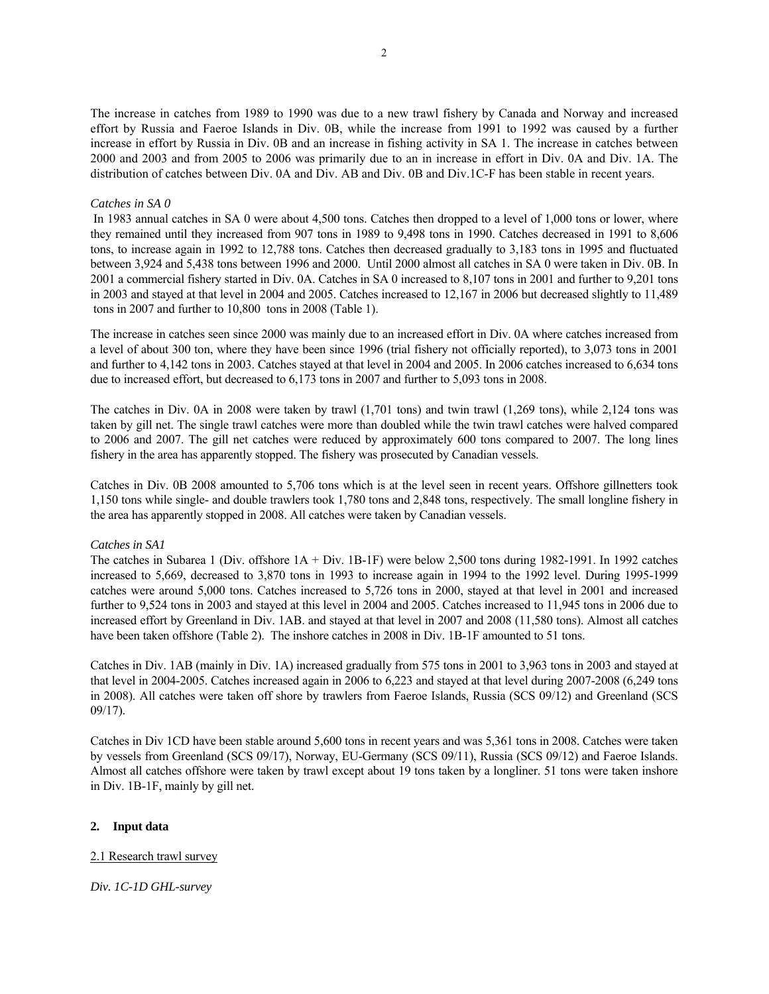The increase in catches from 1989 to 1990 was due to a new trawl fishery by Canada and Norway and increased effort by Russia and Faeroe Islands in Div. 0B, while the increase from 1991 to 1992 was caused by a further increase in effort by Russia in Div. 0B and an increase in fishing activity in SA 1. The increase in catches between 2000 and 2003 and from 2005 to 2006 was primarily due to an in increase in effort in Div. 0A and Div. 1A. The distribution of catches between Div. 0A and Div. AB and Div. 0B and Div.1C-F has been stable in recent years.

#### *Catches in SA 0*

 In 1983 annual catches in SA 0 were about 4,500 tons. Catches then dropped to a level of 1,000 tons or lower, where they remained until they increased from 907 tons in 1989 to 9,498 tons in 1990. Catches decreased in 1991 to 8,606 tons, to increase again in 1992 to 12,788 tons. Catches then decreased gradually to 3,183 tons in 1995 and fluctuated between 3,924 and 5,438 tons between 1996 and 2000. Until 2000 almost all catches in SA 0 were taken in Div. 0B. In 2001 a commercial fishery started in Div. 0A. Catches in SA 0 increased to 8,107 tons in 2001 and further to 9,201 tons in 2003 and stayed at that level in 2004 and 2005. Catches increased to 12,167 in 2006 but decreased slightly to 11,489 tons in 2007 and further to 10,800 tons in 2008 (Table 1).

The increase in catches seen since 2000 was mainly due to an increased effort in Div. 0A where catches increased from a level of about 300 ton, where they have been since 1996 (trial fishery not officially reported), to 3,073 tons in 2001 and further to 4,142 tons in 2003. Catches stayed at that level in 2004 and 2005. In 2006 catches increased to 6,634 tons due to increased effort, but decreased to 6,173 tons in 2007 and further to 5,093 tons in 2008.

The catches in Div. 0A in 2008 were taken by trawl (1,701 tons) and twin trawl (1,269 tons), while 2,124 tons was taken by gill net. The single trawl catches were more than doubled while the twin trawl catches were halved compared to 2006 and 2007. The gill net catches were reduced by approximately 600 tons compared to 2007. The long lines fishery in the area has apparently stopped. The fishery was prosecuted by Canadian vessels.

Catches in Div. 0B 2008 amounted to 5,706 tons which is at the level seen in recent years. Offshore gillnetters took 1,150 tons while single- and double trawlers took 1,780 tons and 2,848 tons, respectively. The small longline fishery in the area has apparently stopped in 2008. All catches were taken by Canadian vessels.

#### *Catches in SA1*

The catches in Subarea 1 (Div. offshore 1A + Div. 1B-1F) were below 2,500 tons during 1982-1991. In 1992 catches increased to 5,669, decreased to 3,870 tons in 1993 to increase again in 1994 to the 1992 level. During 1995-1999 catches were around 5,000 tons. Catches increased to 5,726 tons in 2000, stayed at that level in 2001 and increased further to 9,524 tons in 2003 and stayed at this level in 2004 and 2005. Catches increased to 11,945 tons in 2006 due to increased effort by Greenland in Div. 1AB. and stayed at that level in 2007 and 2008 (11,580 tons). Almost all catches have been taken offshore (Table 2). The inshore catches in 2008 in Div. 1B-1F amounted to 51 tons.

Catches in Div. 1AB (mainly in Div. 1A) increased gradually from 575 tons in 2001 to 3,963 tons in 2003 and stayed at that level in 2004-2005. Catches increased again in 2006 to 6,223 and stayed at that level during 2007-2008 (6,249 tons in 2008). All catches were taken off shore by trawlers from Faeroe Islands, Russia (SCS 09/12) and Greenland (SCS 09/17).

Catches in Div 1CD have been stable around 5,600 tons in recent years and was 5,361 tons in 2008. Catches were taken by vessels from Greenland (SCS 09/17), Norway, EU-Germany (SCS 09/11), Russia (SCS 09/12) and Faeroe Islands. Almost all catches offshore were taken by trawl except about 19 tons taken by a longliner. 51 tons were taken inshore in Div. 1B-1F, mainly by gill net.

#### **2. Input data**

# 2.1 Research trawl survey

*Div. 1C-1D GHL-survey*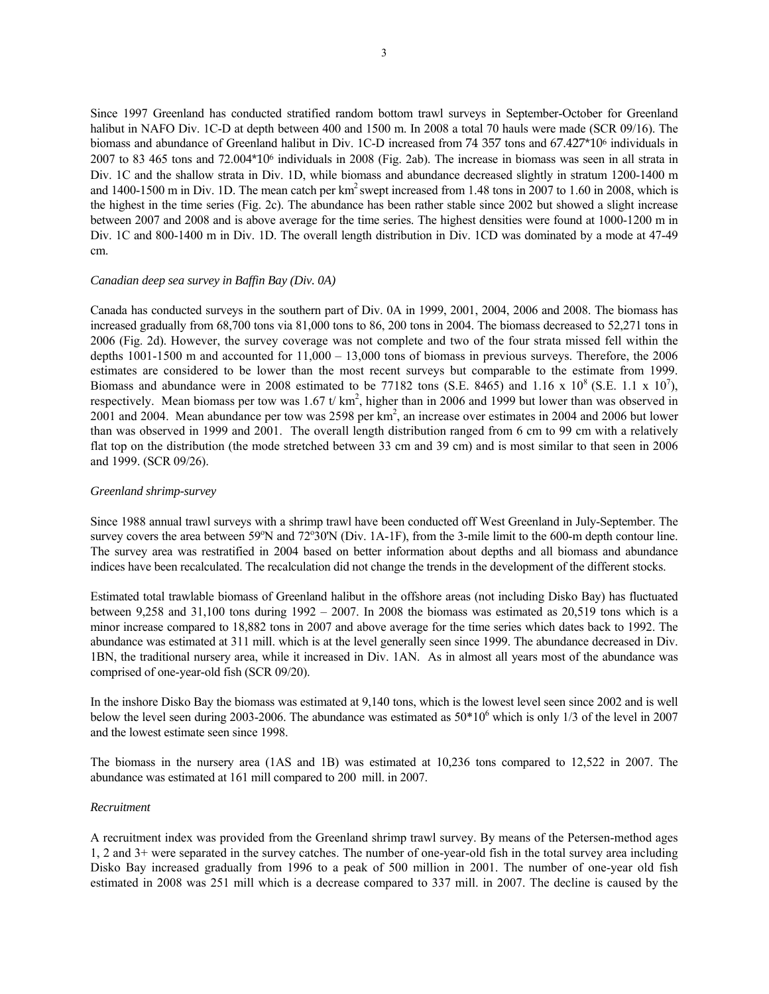Since 1997 Greenland has conducted stratified random bottom trawl surveys in September-October for Greenland halibut in NAFO Div. 1C-D at depth between 400 and 1500 m. In 2008 a total 70 hauls were made (SCR 09/16). The biomass and abundance of Greenland halibut in Div. 1C-D increased from 74 357 tons and 67.427\*10<sup>6</sup> individuals in 2007 to 83 465 tons and 72.004\*106 individuals in 2008 (Fig. 2ab). The increase in biomass was seen in all strata in Div. 1C and the shallow strata in Div. 1D, while biomass and abundance decreased slightly in stratum 1200-1400 m and  $1400-1500$  m in Div. 1D. The mean catch per km<sup>2</sup> swept increased from 1.48 tons in 2007 to 1.60 in 2008, which is the highest in the time series (Fig. 2c). The abundance has been rather stable since 2002 but showed a slight increase between 2007 and 2008 and is above average for the time series. The highest densities were found at 1000-1200 m in Div. 1C and 800-1400 m in Div. 1D. The overall length distribution in Div. 1CD was dominated by a mode at 47-49 cm.

#### *Canadian deep sea survey in Baffin Bay (Div. 0A)*

Canada has conducted surveys in the southern part of Div. 0A in 1999, 2001, 2004, 2006 and 2008. The biomass has increased gradually from 68,700 tons via 81,000 tons to 86, 200 tons in 2004. The biomass decreased to 52,271 tons in 2006 (Fig. 2d). However, the survey coverage was not complete and two of the four strata missed fell within the depths 1001-1500 m and accounted for 11,000 – 13,000 tons of biomass in previous surveys. Therefore, the 2006 estimates are considered to be lower than the most recent surveys but comparable to the estimate from 1999. Biomass and abundance were in 2008 estimated to be 77182 tons (S.E. 8465) and 1.16 x 10<sup>8</sup> (S.E. 1.1 x 10<sup>7</sup>), respectively. Mean biomass per tow was  $1.67$  t/km<sup>2</sup>, higher than in 2006 and 1999 but lower than was observed in 2001 and 2004. Mean abundance per tow was 2598 per km<sup>2</sup>, an increase over estimates in 2004 and 2006 but lower than was observed in 1999 and 2001. The overall length distribution ranged from 6 cm to 99 cm with a relatively flat top on the distribution (the mode stretched between 33 cm and 39 cm) and is most similar to that seen in 2006 and 1999. (SCR 09/26).

#### *Greenland shrimp-survey*

Since 1988 annual trawl surveys with a shrimp trawl have been conducted off West Greenland in July-September. The survey covers the area between  $59^{\circ}$ N and  $72^{\circ}30^{\circ}$ N (Div. 1A-1F), from the 3-mile limit to the 600-m depth contour line. The survey area was restratified in 2004 based on better information about depths and all biomass and abundance indices have been recalculated. The recalculation did not change the trends in the development of the different stocks.

Estimated total trawlable biomass of Greenland halibut in the offshore areas (not including Disko Bay) has fluctuated between 9,258 and 31,100 tons during 1992 – 2007. In 2008 the biomass was estimated as 20,519 tons which is a minor increase compared to 18,882 tons in 2007 and above average for the time series which dates back to 1992. The abundance was estimated at 311 mill. which is at the level generally seen since 1999. The abundance decreased in Div. 1BN, the traditional nursery area, while it increased in Div. 1AN. As in almost all years most of the abundance was comprised of one-year-old fish (SCR 09/20).

In the inshore Disko Bay the biomass was estimated at 9,140 tons, which is the lowest level seen since 2002 and is well below the level seen during 2003-2006. The abundance was estimated as  $50*10^6$  which is only 1/3 of the level in 2007 and the lowest estimate seen since 1998.

The biomass in the nursery area (1AS and 1B) was estimated at 10,236 tons compared to 12,522 in 2007. The abundance was estimated at 161 mill compared to 200 mill. in 2007.

#### *Recruitment*

A recruitment index was provided from the Greenland shrimp trawl survey. By means of the Petersen-method ages 1, 2 and 3+ were separated in the survey catches. The number of one-year-old fish in the total survey area including Disko Bay increased gradually from 1996 to a peak of 500 million in 2001. The number of one-year old fish estimated in 2008 was 251 mill which is a decrease compared to 337 mill. in 2007. The decline is caused by the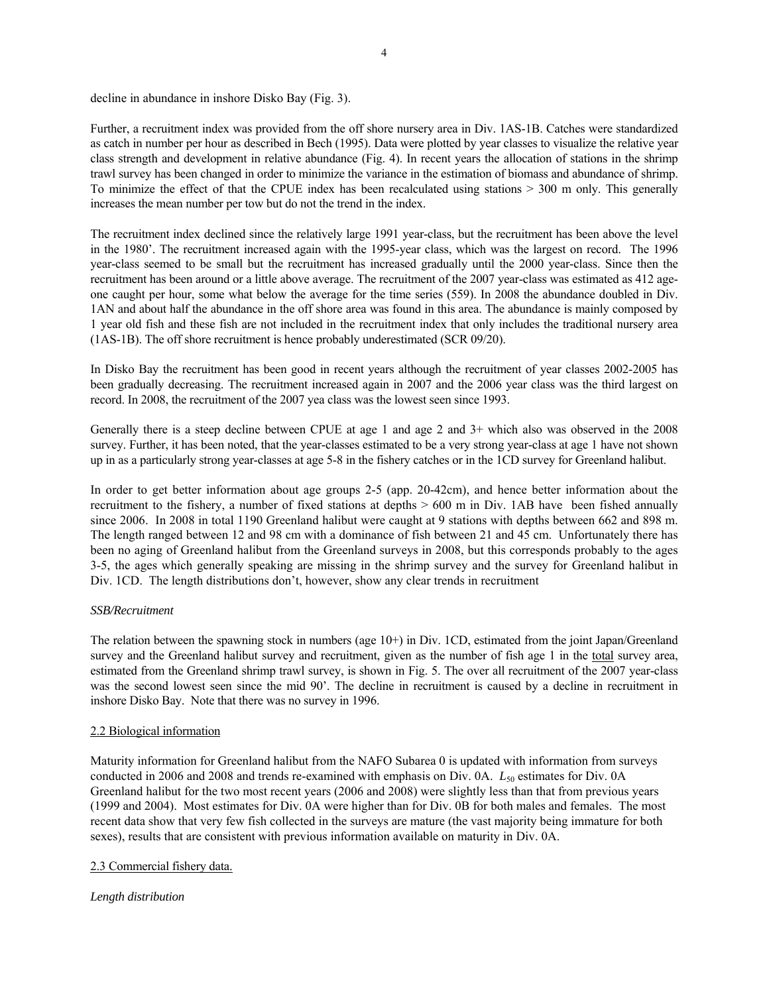decline in abundance in inshore Disko Bay (Fig. 3).

Further, a recruitment index was provided from the off shore nursery area in Div. 1AS-1B. Catches were standardized as catch in number per hour as described in Bech (1995). Data were plotted by year classes to visualize the relative year class strength and development in relative abundance (Fig. 4). In recent years the allocation of stations in the shrimp trawl survey has been changed in order to minimize the variance in the estimation of biomass and abundance of shrimp. To minimize the effect of that the CPUE index has been recalculated using stations > 300 m only. This generally increases the mean number per tow but do not the trend in the index.

The recruitment index declined since the relatively large 1991 year-class, but the recruitment has been above the level in the 1980'. The recruitment increased again with the 1995-year class, which was the largest on record. The 1996 year-class seemed to be small but the recruitment has increased gradually until the 2000 year-class. Since then the recruitment has been around or a little above average. The recruitment of the 2007 year-class was estimated as 412 ageone caught per hour, some what below the average for the time series (559). In 2008 the abundance doubled in Div. 1AN and about half the abundance in the off shore area was found in this area. The abundance is mainly composed by 1 year old fish and these fish are not included in the recruitment index that only includes the traditional nursery area (1AS-1B). The off shore recruitment is hence probably underestimated (SCR 09/20).

In Disko Bay the recruitment has been good in recent years although the recruitment of year classes 2002-2005 has been gradually decreasing. The recruitment increased again in 2007 and the 2006 year class was the third largest on record. In 2008, the recruitment of the 2007 yea class was the lowest seen since 1993.

Generally there is a steep decline between CPUE at age 1 and age 2 and 3+ which also was observed in the 2008 survey. Further, it has been noted, that the year-classes estimated to be a very strong year-class at age 1 have not shown up in as a particularly strong year-classes at age 5-8 in the fishery catches or in the 1CD survey for Greenland halibut.

In order to get better information about age groups 2-5 (app. 20-42cm), and hence better information about the recruitment to the fishery, a number of fixed stations at depths > 600 m in Div. 1AB have been fished annually since 2006. In 2008 in total 1190 Greenland halibut were caught at 9 stations with depths between 662 and 898 m. The length ranged between 12 and 98 cm with a dominance of fish between 21 and 45 cm. Unfortunately there has been no aging of Greenland halibut from the Greenland surveys in 2008, but this corresponds probably to the ages 3-5, the ages which generally speaking are missing in the shrimp survey and the survey for Greenland halibut in Div. 1CD. The length distributions don't, however, show any clear trends in recruitment

#### *SSB/Recruitment*

The relation between the spawning stock in numbers (age 10+) in Div. 1CD, estimated from the joint Japan/Greenland survey and the Greenland halibut survey and recruitment, given as the number of fish age 1 in the total survey area, estimated from the Greenland shrimp trawl survey, is shown in Fig. 5. The over all recruitment of the 2007 year-class was the second lowest seen since the mid 90'. The decline in recruitment is caused by a decline in recruitment in inshore Disko Bay. Note that there was no survey in 1996.

# 2.2 Biological information

Maturity information for Greenland halibut from the NAFO Subarea 0 is updated with information from surveys conducted in 2006 and 2008 and trends re-examined with emphasis on Div. 0A. *L*<sub>50</sub> estimates for Div. 0A Greenland halibut for the two most recent years (2006 and 2008) were slightly less than that from previous years (1999 and 2004). Most estimates for Div. 0A were higher than for Div. 0B for both males and females. The most recent data show that very few fish collected in the surveys are mature (the vast majority being immature for both sexes), results that are consistent with previous information available on maturity in Div. 0A.

#### 2.3 Commercial fishery data.

# *Length distribution*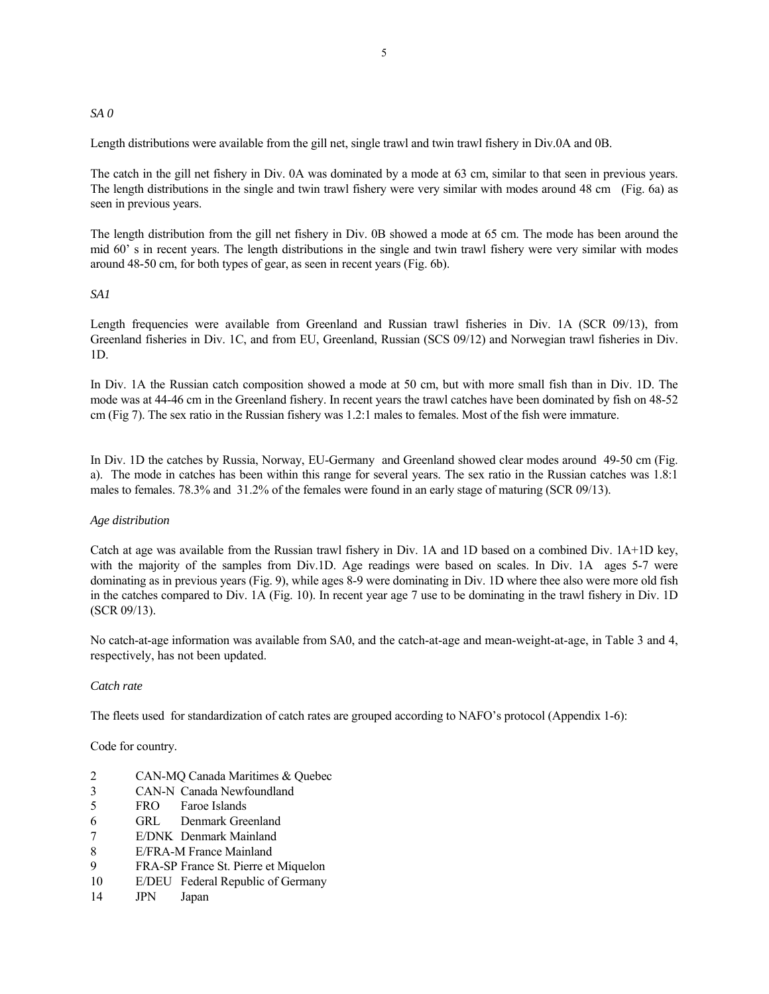#### *SA 0*

Length distributions were available from the gill net, single trawl and twin trawl fishery in Div.0A and 0B.

The catch in the gill net fishery in Div. 0A was dominated by a mode at 63 cm, similar to that seen in previous years. The length distributions in the single and twin trawl fishery were very similar with modes around 48 cm (Fig. 6a) as seen in previous years.

The length distribution from the gill net fishery in Div. 0B showed a mode at 65 cm. The mode has been around the mid 60' s in recent years. The length distributions in the single and twin trawl fishery were very similar with modes around 48-50 cm, for both types of gear, as seen in recent years (Fig. 6b).

# *SA1*

Length frequencies were available from Greenland and Russian trawl fisheries in Div. 1A (SCR 09/13), from Greenland fisheries in Div. 1C, and from EU, Greenland, Russian (SCS 09/12) and Norwegian trawl fisheries in Div. 1D.

In Div. 1A the Russian catch composition showed a mode at 50 cm, but with more small fish than in Div. 1D. The mode was at 44-46 cm in the Greenland fishery. In recent years the trawl catches have been dominated by fish on 48-52 cm (Fig 7). The sex ratio in the Russian fishery was 1.2:1 males to females. Most of the fish were immature.

In Div. 1D the catches by Russia, Norway, EU-Germany and Greenland showed clear modes around 49-50 cm (Fig. a). The mode in catches has been within this range for several years. The sex ratio in the Russian catches was 1.8:1 males to females. 78.3% and 31.2% of the females were found in an early stage of maturing (SCR 09/13).

#### *Age distribution*

Catch at age was available from the Russian trawl fishery in Div. 1A and 1D based on a combined Div. 1A+1D key, with the majority of the samples from Div.1D. Age readings were based on scales. In Div. 1A ages 5-7 were dominating as in previous years (Fig. 9), while ages 8-9 were dominating in Div. 1D where thee also were more old fish in the catches compared to Div. 1A (Fig. 10). In recent year age 7 use to be dominating in the trawl fishery in Div. 1D (SCR 09/13).

No catch-at-age information was available from SA0, and the catch-at-age and mean-weight-at-age, in Table 3 and 4, respectively, has not been updated.

#### *Catch rate*

The fleets used for standardization of catch rates are grouped according to NAFO's protocol (Appendix 1-6):

Code for country.

- 2 CAN-MQ Canada Maritimes & Quebec
- 3 CAN-N Canada Newfoundland
- 5 FRO Faroe Islands
- 6 GRL Denmark Greenland
- 7 E/DNK Denmark Mainland
- 8 E/FRA-M France Mainland
- 9 FRA-SP France St. Pierre et Miquelon
- 10 E/DEU Federal Republic of Germany
- 14 JPN Japan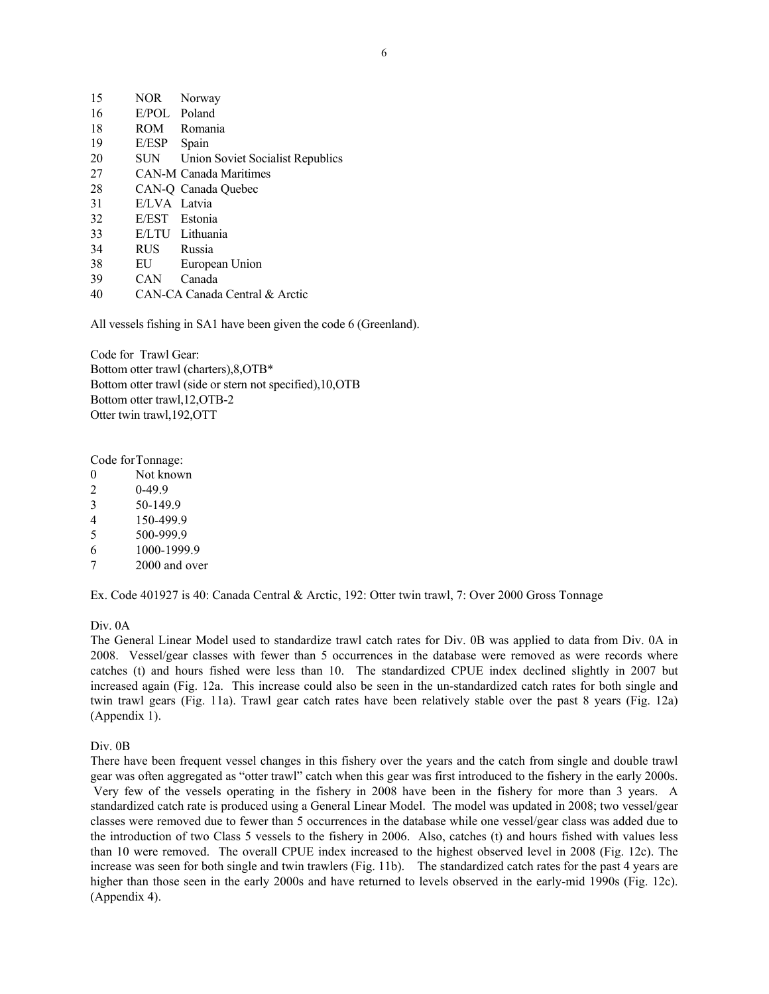| 15 | <b>NOR</b>   | Norway                           |
|----|--------------|----------------------------------|
| 16 | E/POL        | Poland                           |
| 18 | ROM          | Romania                          |
| 19 | E/ESP        | Spain                            |
| 20 | SUN          | Union Soviet Socialist Republics |
| 27 |              | <b>CAN-M Canada Maritimes</b>    |
| 28 |              | CAN-Q Canada Quebec              |
| 31 | E/LVA Latvia |                                  |
| 32 | E/EST        | Estonia                          |
| 33 |              | E/LTU Lithuania                  |
| 34 | RUS          | Russia                           |
| 38 | EU           | European Union                   |
| 39 | CAN          | Canada                           |
| 40 |              | CAN-CA Canada Central & Arctic   |

All vessels fishing in SA1 have been given the code 6 (Greenland).

Code for Trawl Gear: Bottom otter trawl (charters),8,OTB\* Bottom otter trawl (side or stern not specified),10,OTB Bottom otter trawl,12,OTB-2 Otter twin trawl,192,OTT

Code for Tonnage:

- 0 Not known
- 2 0-49.9
- 3 50-149.9
- 4 150-499.9
- 5 500-999.9
- 6 1000-1999.9
- 7 2000 and over

Ex. Code 401927 is 40: Canada Central & Arctic, 192: Otter twin trawl, 7: Over 2000 Gross Tonnage

Div. 0A

The General Linear Model used to standardize trawl catch rates for Div. 0B was applied to data from Div. 0A in 2008. Vessel/gear classes with fewer than 5 occurrences in the database were removed as were records where catches (t) and hours fished were less than 10. The standardized CPUE index declined slightly in 2007 but increased again (Fig. 12a. This increase could also be seen in the un-standardized catch rates for both single and twin trawl gears (Fig. 11a). Trawl gear catch rates have been relatively stable over the past 8 years (Fig. 12a) (Appendix 1).

#### Div. 0B

There have been frequent vessel changes in this fishery over the years and the catch from single and double trawl gear was often aggregated as "otter trawl" catch when this gear was first introduced to the fishery in the early 2000s. Very few of the vessels operating in the fishery in 2008 have been in the fishery for more than 3 years. A standardized catch rate is produced using a General Linear Model. The model was updated in 2008; two vessel/gear classes were removed due to fewer than 5 occurrences in the database while one vessel/gear class was added due to the introduction of two Class 5 vessels to the fishery in 2006. Also, catches (t) and hours fished with values less than 10 were removed. The overall CPUE index increased to the highest observed level in 2008 (Fig. 12c). The increase was seen for both single and twin trawlers (Fig. 11b). The standardized catch rates for the past 4 years are higher than those seen in the early 2000s and have returned to levels observed in the early-mid 1990s (Fig. 12c). (Appendix 4).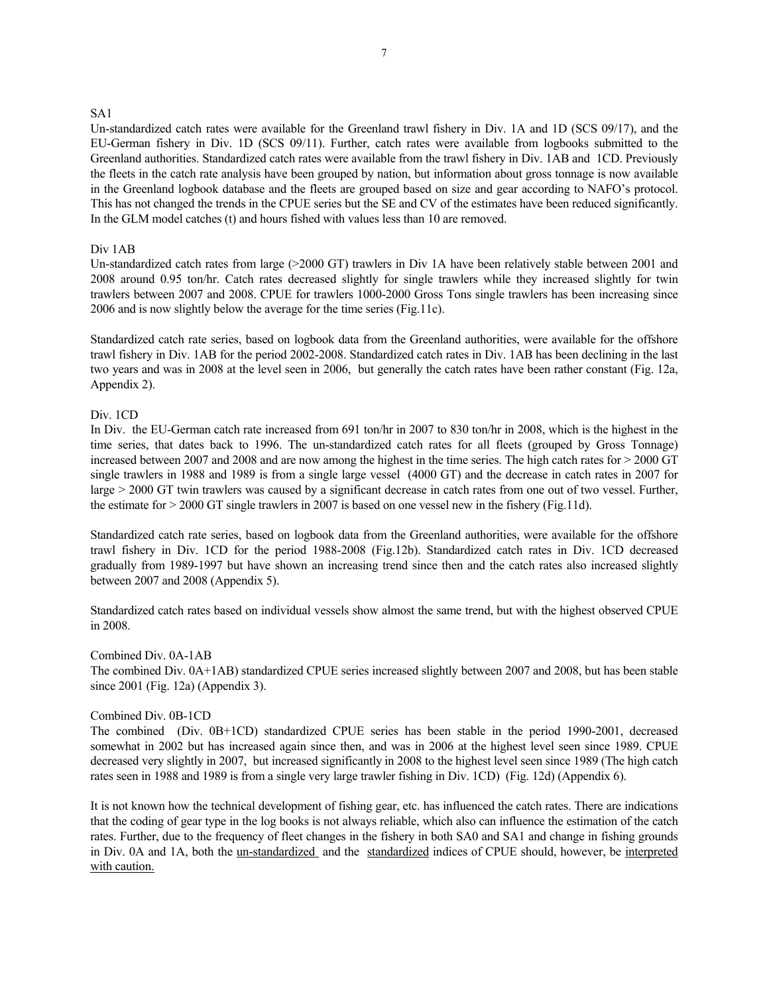#### SA1

Un-standardized catch rates were available for the Greenland trawl fishery in Div. 1A and 1D (SCS 09/17), and the EU-German fishery in Div. 1D (SCS 09/11). Further, catch rates were available from logbooks submitted to the Greenland authorities. Standardized catch rates were available from the trawl fishery in Div. 1AB and 1CD. Previously the fleets in the catch rate analysis have been grouped by nation, but information about gross tonnage is now available in the Greenland logbook database and the fleets are grouped based on size and gear according to NAFO's protocol. This has not changed the trends in the CPUE series but the SE and CV of the estimates have been reduced significantly. In the GLM model catches (t) and hours fished with values less than 10 are removed.

#### Div 1AB

Un-standardized catch rates from large (>2000 GT) trawlers in Div 1A have been relatively stable between 2001 and 2008 around 0.95 ton/hr. Catch rates decreased slightly for single trawlers while they increased slightly for twin trawlers between 2007 and 2008. CPUE for trawlers 1000-2000 Gross Tons single trawlers has been increasing since 2006 and is now slightly below the average for the time series (Fig.11c).

Standardized catch rate series, based on logbook data from the Greenland authorities, were available for the offshore trawl fishery in Div. 1AB for the period 2002-2008. Standardized catch rates in Div. 1AB has been declining in the last two years and was in 2008 at the level seen in 2006, but generally the catch rates have been rather constant (Fig. 12a, Appendix 2).

# Div. 1CD

In Div. the EU-German catch rate increased from 691 ton/hr in 2007 to 830 ton/hr in 2008, which is the highest in the time series, that dates back to 1996. The un-standardized catch rates for all fleets (grouped by Gross Tonnage) increased between 2007 and 2008 and are now among the highest in the time series. The high catch rates for > 2000 GT single trawlers in 1988 and 1989 is from a single large vessel (4000 GT) and the decrease in catch rates in 2007 for large > 2000 GT twin trawlers was caused by a significant decrease in catch rates from one out of two vessel. Further, the estimate for > 2000 GT single trawlers in 2007 is based on one vessel new in the fishery (Fig.11d).

Standardized catch rate series, based on logbook data from the Greenland authorities, were available for the offshore trawl fishery in Div. 1CD for the period 1988-2008 (Fig.12b). Standardized catch rates in Div. 1CD decreased gradually from 1989-1997 but have shown an increasing trend since then and the catch rates also increased slightly between 2007 and 2008 (Appendix 5).

Standardized catch rates based on individual vessels show almost the same trend, but with the highest observed CPUE in 2008.

#### Combined Div. 0A-1AB

The combined Div. 0A+1AB) standardized CPUE series increased slightly between 2007 and 2008, but has been stable since 2001 (Fig. 12a) (Appendix 3).

#### Combined Div. 0B-1CD

The combined (Div. 0B+1CD) standardized CPUE series has been stable in the period 1990-2001, decreased somewhat in 2002 but has increased again since then, and was in 2006 at the highest level seen since 1989. CPUE decreased very slightly in 2007, but increased significantly in 2008 to the highest level seen since 1989 (The high catch rates seen in 1988 and 1989 is from a single very large trawler fishing in Div. 1CD) (Fig. 12d) (Appendix 6).

It is not known how the technical development of fishing gear, etc. has influenced the catch rates. There are indications that the coding of gear type in the log books is not always reliable, which also can influence the estimation of the catch rates. Further, due to the frequency of fleet changes in the fishery in both SA0 and SA1 and change in fishing grounds in Div. 0A and 1A, both the un-standardized and the standardized indices of CPUE should, however, be interpreted with caution.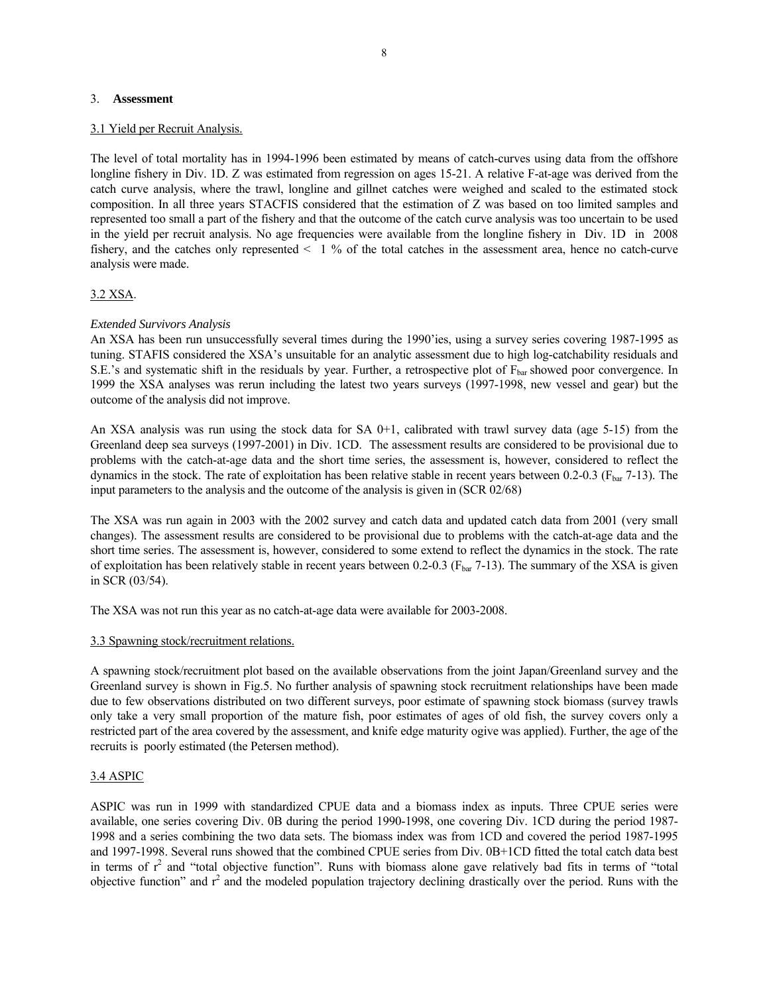#### 3. **Assessment**

#### 3.1 Yield per Recruit Analysis.

The level of total mortality has in 1994-1996 been estimated by means of catch-curves using data from the offshore longline fishery in Div. 1D. Z was estimated from regression on ages 15-21. A relative F-at-age was derived from the catch curve analysis, where the trawl, longline and gillnet catches were weighed and scaled to the estimated stock composition. In all three years STACFIS considered that the estimation of Z was based on too limited samples and represented too small a part of the fishery and that the outcome of the catch curve analysis was too uncertain to be used in the yield per recruit analysis. No age frequencies were available from the longline fishery in Div. 1D in 2008 fishery, and the catches only represented  $\leq 1$  % of the total catches in the assessment area, hence no catch-curve analysis were made.

#### 3.2 XSA.

#### *Extended Survivors Analysis*

An XSA has been run unsuccessfully several times during the 1990'ies, using a survey series covering 1987-1995 as tuning. STAFIS considered the XSA's unsuitable for an analytic assessment due to high log-catchability residuals and S.E.'s and systematic shift in the residuals by year. Further, a retrospective plot of  $F_{\text{bar}}$  showed poor convergence. In 1999 the XSA analyses was rerun including the latest two years surveys (1997-1998, new vessel and gear) but the outcome of the analysis did not improve.

An XSA analysis was run using the stock data for SA  $0+1$ , calibrated with trawl survey data (age 5-15) from the Greenland deep sea surveys (1997-2001) in Div. 1CD. The assessment results are considered to be provisional due to problems with the catch-at-age data and the short time series, the assessment is, however, considered to reflect the dynamics in the stock. The rate of exploitation has been relative stable in recent years between  $0.2$ - $0.3$  ( $F_{bar}$  7-13). The input parameters to the analysis and the outcome of the analysis is given in (SCR 02/68)

The XSA was run again in 2003 with the 2002 survey and catch data and updated catch data from 2001 (very small changes). The assessment results are considered to be provisional due to problems with the catch-at-age data and the short time series. The assessment is, however, considered to some extend to reflect the dynamics in the stock. The rate of exploitation has been relatively stable in recent years between 0.2-0.3 ( $F_{bar}$  7-13). The summary of the XSA is given in SCR (03/54).

The XSA was not run this year as no catch-at-age data were available for 2003-2008.

#### 3.3 Spawning stock/recruitment relations.

A spawning stock/recruitment plot based on the available observations from the joint Japan/Greenland survey and the Greenland survey is shown in Fig.5. No further analysis of spawning stock recruitment relationships have been made due to few observations distributed on two different surveys, poor estimate of spawning stock biomass (survey trawls only take a very small proportion of the mature fish, poor estimates of ages of old fish, the survey covers only a restricted part of the area covered by the assessment, and knife edge maturity ogive was applied). Further, the age of the recruits is poorly estimated (the Petersen method).

#### 3.4 ASPIC

ASPIC was run in 1999 with standardized CPUE data and a biomass index as inputs. Three CPUE series were available, one series covering Div. 0B during the period 1990-1998, one covering Div. 1CD during the period 1987- 1998 and a series combining the two data sets. The biomass index was from 1CD and covered the period 1987-1995 and 1997-1998. Several runs showed that the combined CPUE series from Div. 0B+1CD fitted the total catch data best in terms of  $r^2$  and "total objective function". Runs with biomass alone gave relatively bad fits in terms of "total objective function" and  $r^2$  and the modeled population trajectory declining drastically over the period. Runs with the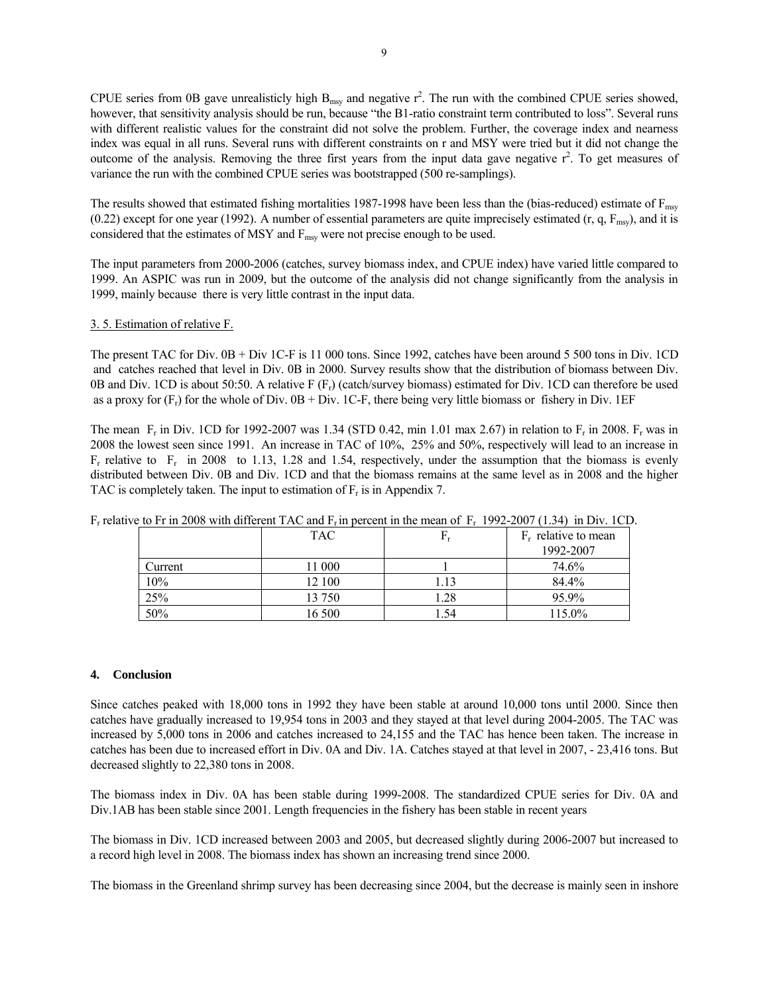CPUE series from 0B gave unrealisticly high  $B_{msy}$  and negative  $r^2$ . The run with the combined CPUE series showed, however, that sensitivity analysis should be run, because "the B1-ratio constraint term contributed to loss". Several runs with different realistic values for the constraint did not solve the problem. Further, the coverage index and nearness index was equal in all runs. Several runs with different constraints on r and MSY were tried but it did not change the outcome of the analysis. Removing the three first years from the input data gave negative  $r^2$ . To get measures of variance the run with the combined CPUE series was bootstrapped (500 re-samplings).

The results showed that estimated fishing mortalities 1987-1998 have been less than the (bias-reduced) estimate of F<sub>msy</sub> (0.22) except for one year (1992). A number of essential parameters are quite imprecisely estimated (r, q,  $F_{\text{msy}}$ ), and it is considered that the estimates of MSY and F<sub>msy</sub> were not precise enough to be used.

The input parameters from 2000-2006 (catches, survey biomass index, and CPUE index) have varied little compared to 1999. An ASPIC was run in 2009, but the outcome of the analysis did not change significantly from the analysis in 1999, mainly because there is very little contrast in the input data.

#### 3. 5. Estimation of relative F.

The present TAC for Div. 0B + Div 1C-F is 11 000 tons. Since 1992, catches have been around 5 500 tons in Div. 1CD and catches reached that level in Div. 0B in 2000. Survey results show that the distribution of biomass between Div. 0B and Div. 1CD is about 50:50. A relative  $F(F_r)$  (catch/survey biomass) estimated for Div. 1CD can therefore be used as a proxy for  $(F_r)$  for the whole of Div. 0B + Div. 1C-F, there being very little biomass or fishery in Div. 1EF

The mean F<sub>r</sub> in Div. 1CD for 1992-2007 was 1.34 (STD 0.42, min 1.01 max 2.67) in relation to F<sub>r</sub> in 2008. F<sub>r</sub> was in 2008 the lowest seen since 1991. An increase in TAC of 10%, 25% and 50%, respectively will lead to an increase in  $F_r$  relative to  $F_r$  in 2008 to 1.13, 1.28 and 1.54, respectively, under the assumption that the biomass is evenly distributed between Div. 0B and Div. 1CD and that the biomass remains at the same level as in 2008 and the higher TAC is completely taken. The input to estimation of  $F_r$  is in Appendix 7.

|         | <b>TAC</b> |      | .<br>2 1 2<br>$F_r$ relative to mean |
|---------|------------|------|--------------------------------------|
|         |            |      | 1992-2007                            |
| Current | 11 000     |      | 74.6%                                |
| 10%     | 12 100     | 1.13 | 84.4%                                |
| 25%     | 13 750     | 1.28 | 95.9%                                |
| 50%     | 16 500     | 1.54 | 115.0%                               |

F<sub>r</sub> relative to Fr in 2008 with different TAC and F<sub>r</sub> in percent in the mean of F<sub>r</sub> 1992-2007 (1.34) in Div. 1CD.

#### **4. Conclusion**

Since catches peaked with 18,000 tons in 1992 they have been stable at around 10,000 tons until 2000. Since then catches have gradually increased to 19,954 tons in 2003 and they stayed at that level during 2004-2005. The TAC was increased by 5,000 tons in 2006 and catches increased to 24,155 and the TAC has hence been taken. The increase in catches has been due to increased effort in Div. 0A and Div. 1A. Catches stayed at that level in 2007, - 23,416 tons. But decreased slightly to 22,380 tons in 2008.

The biomass index in Div. 0A has been stable during 1999-2008. The standardized CPUE series for Div. 0A and Div.1AB has been stable since 2001. Length frequencies in the fishery has been stable in recent years

The biomass in Div. 1CD increased between 2003 and 2005, but decreased slightly during 2006-2007 but increased to a record high level in 2008. The biomass index has shown an increasing trend since 2000.

The biomass in the Greenland shrimp survey has been decreasing since 2004, but the decrease is mainly seen in inshore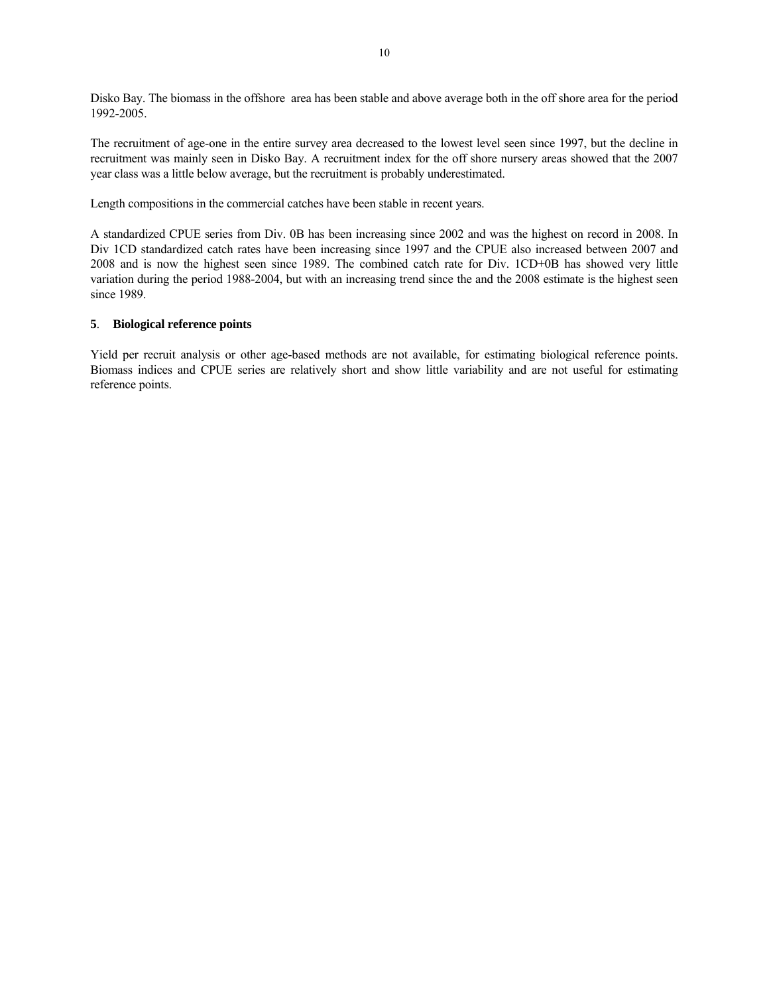Disko Bay. The biomass in the offshore area has been stable and above average both in the off shore area for the period 1992-2005.

The recruitment of age-one in the entire survey area decreased to the lowest level seen since 1997, but the decline in recruitment was mainly seen in Disko Bay. A recruitment index for the off shore nursery areas showed that the 2007 year class was a little below average, but the recruitment is probably underestimated.

Length compositions in the commercial catches have been stable in recent years.

A standardized CPUE series from Div. 0B has been increasing since 2002 and was the highest on record in 2008. In Div 1CD standardized catch rates have been increasing since 1997 and the CPUE also increased between 2007 and 2008 and is now the highest seen since 1989. The combined catch rate for Div. 1CD+0B has showed very little variation during the period 1988-2004, but with an increasing trend since the and the 2008 estimate is the highest seen since 1989.

#### **5**. **Biological reference points**

Yield per recruit analysis or other age-based methods are not available, for estimating biological reference points. Biomass indices and CPUE series are relatively short and show little variability and are not useful for estimating reference points.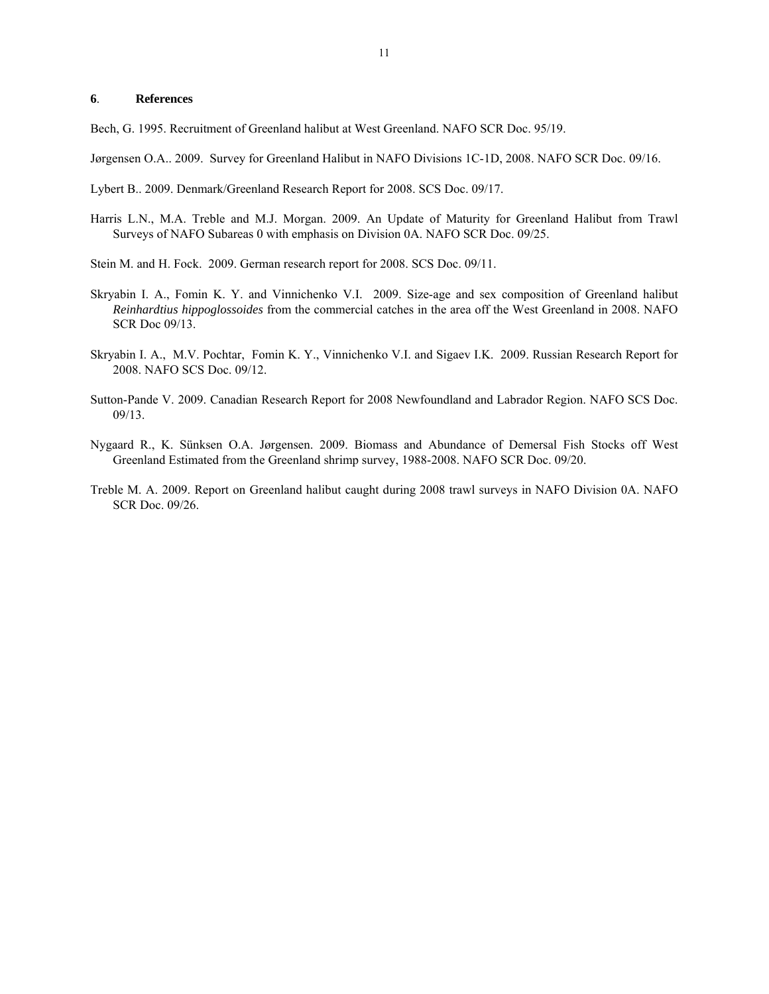#### **6**. **References**

Bech, G. 1995. Recruitment of Greenland halibut at West Greenland. NAFO SCR Doc. 95/19.

Jørgensen O.A.. 2009. Survey for Greenland Halibut in NAFO Divisions 1C-1D, 2008. NAFO SCR Doc. 09/16.

Lybert B.. 2009. Denmark/Greenland Research Report for 2008. SCS Doc. 09/17.

- Harris L.N., M.A. Treble and M.J. Morgan. 2009. An Update of Maturity for Greenland Halibut from Trawl Surveys of NAFO Subareas 0 with emphasis on Division 0A. NAFO SCR Doc. 09/25.
- Stein M. and H. Fock. 2009. German research report for 2008. SCS Doc. 09/11.
- Skryabin I. A., Fomin K. Y. and Vinnichenko V.I. 2009. Size-age and sex composition of Greenland halibut *Reinhardtius hippoglossoides* from the commercial catches in the area off the West Greenland in 2008. NAFO SCR Doc 09/13.
- Skryabin I. A., M.V. Pochtar, Fomin K. Y., Vinnichenko V.I. and Sigaev I.K. 2009. Russian Research Report for 2008. NAFO SCS Doc. 09/12.
- Sutton-Pande V. 2009. Canadian Research Report for 2008 Newfoundland and Labrador Region. NAFO SCS Doc. 09/13.
- Nygaard R., K. Sünksen O.A. Jørgensen. 2009. Biomass and Abundance of Demersal Fish Stocks off West Greenland Estimated from the Greenland shrimp survey, 1988-2008. NAFO SCR Doc. 09/20.
- Treble M. A. 2009. Report on Greenland halibut caught during 2008 trawl surveys in NAFO Division 0A. NAFO SCR Doc. 09/26.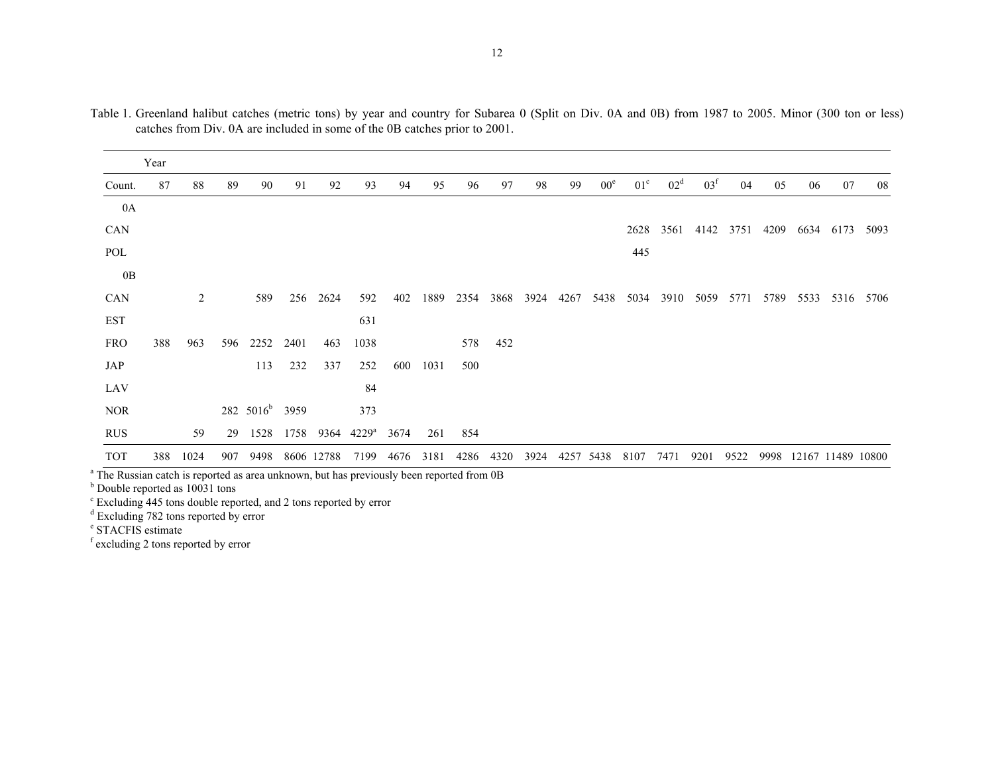|            | Year |                |     |                            |      |            |                |      |      |      |      |      |      |                 |              |                 |                 |      |      |                   |      |      |
|------------|------|----------------|-----|----------------------------|------|------------|----------------|------|------|------|------|------|------|-----------------|--------------|-----------------|-----------------|------|------|-------------------|------|------|
| Count.     | 87   | 88             | 89  | 90                         | 91   | 92         | 93             | 94   | 95   | 96   | 97   | 98   | 99   | 00 <sup>e</sup> | $01^{\circ}$ | 02 <sup>d</sup> | 03 <sup>f</sup> | 04   | 05   | 06                | 07   | 08   |
| 0A         |      |                |     |                            |      |            |                |      |      |      |      |      |      |                 |              |                 |                 |      |      |                   |      |      |
| <b>CAN</b> |      |                |     |                            |      |            |                |      |      |      |      |      |      |                 | 2628         | 3561            | 4142            | 3751 | 4209 | 6634              | 6173 | 5093 |
| POL        |      |                |     |                            |      |            |                |      |      |      |      |      |      |                 | 445          |                 |                 |      |      |                   |      |      |
| 0B         |      |                |     |                            |      |            |                |      |      |      |      |      |      |                 |              |                 |                 |      |      |                   |      |      |
| CAN        |      | $\overline{2}$ |     | 589                        | 256  | 2624       | 592            | 402  | 1889 | 2354 | 3868 | 3924 | 4267 | 5438            | 5034         | 3910            | 5059            | 5771 | 5789 | 5533              | 5316 | 5706 |
| <b>EST</b> |      |                |     |                            |      |            | 631            |      |      |      |      |      |      |                 |              |                 |                 |      |      |                   |      |      |
| <b>FRO</b> | 388  | 963            | 596 | 2252                       | 2401 | 463        | 1038           |      |      | 578  | 452  |      |      |                 |              |                 |                 |      |      |                   |      |      |
| JAP        |      |                |     | 113                        | 232  | 337        | 252            | 600  | 1031 | 500  |      |      |      |                 |              |                 |                 |      |      |                   |      |      |
| LAV        |      |                |     |                            |      |            | 84             |      |      |      |      |      |      |                 |              |                 |                 |      |      |                   |      |      |
| <b>NOR</b> |      |                |     | 282 5016 <sup>b</sup> 3959 |      |            | 373            |      |      |      |      |      |      |                 |              |                 |                 |      |      |                   |      |      |
| <b>RUS</b> |      | 59             | 29  | 1528                       | 1758 | 9364       | $4229^{\rm a}$ | 3674 | 261  | 854  |      |      |      |                 |              |                 |                 |      |      |                   |      |      |
| <b>TOT</b> | 388  | 1024           | 907 | 9498                       |      | 8606 12788 | 7199           | 4676 | 3181 | 4286 | 4320 | 3924 |      | 4257 5438       | 8107         | 7471            | 9201            | 9522 | 9998 | 12167 11489 10800 |      |      |

Table 1. Greenland halibut catches (metric tons) by year and country for Subarea 0 (Split on Div. 0A and 0B) from 1987 to 2005. Minor (300 ton or less) catches from Div. 0A are included in some of the 0B catches prior to 2001.

<sup>a</sup> The Russian catch is reported as area unknown, but has previously been reported from 0B

<sup>b</sup> Double reported as 10031 tons

 $\textdegree$  Excluding 445 tons double reported, and 2 tons reported by error

<sup>d</sup> Excluding 782 tons reported by error

e STACFIS estimate

f excluding 2 tons reported by error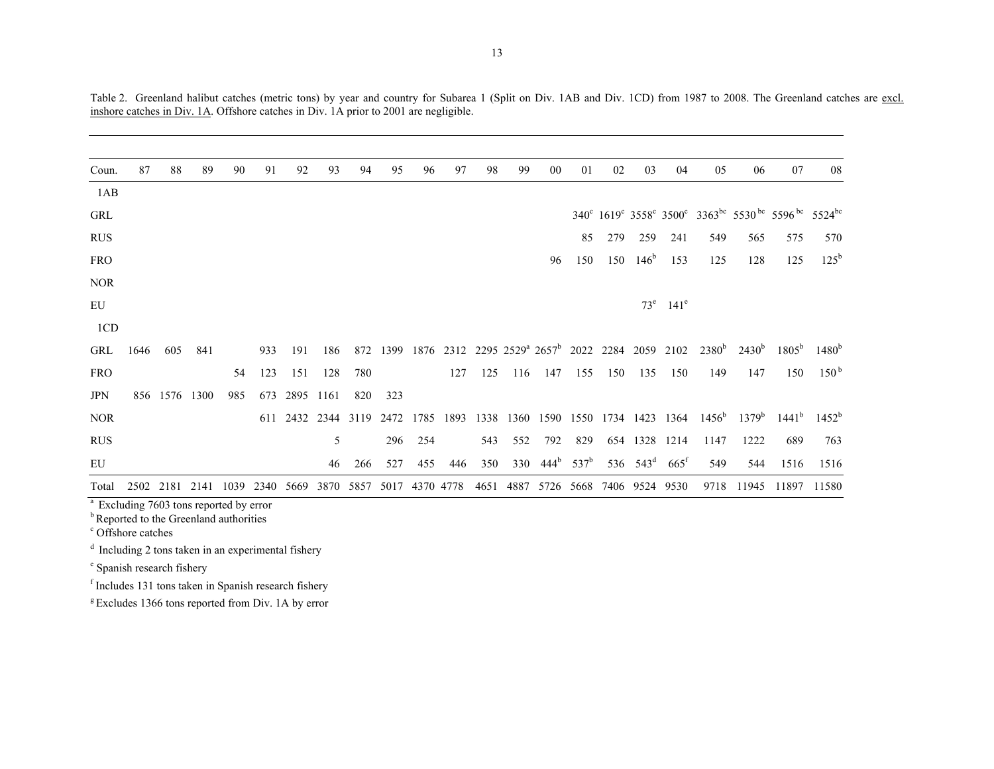| Coun.                                              | 87   | 88            | 89   | 90   | 91   | 92        | 93        | 94   | 95   | 96   | 97        | 98   | 99   | 00                                                                     | 01            | 02  | 03               | 04                      | 05                | 06       | 07                                                                                                 | 08               |
|----------------------------------------------------|------|---------------|------|------|------|-----------|-----------|------|------|------|-----------|------|------|------------------------------------------------------------------------|---------------|-----|------------------|-------------------------|-------------------|----------|----------------------------------------------------------------------------------------------------|------------------|
| 1AB                                                |      |               |      |      |      |           |           |      |      |      |           |      |      |                                                                        |               |     |                  |                         |                   |          |                                                                                                    |                  |
| GRL                                                |      |               |      |      |      |           |           |      |      |      |           |      |      |                                                                        |               |     |                  |                         |                   |          | 340° 1619° 3558° 3500° 3363 <sup>bc</sup> 5530 <sup>bc</sup> 5596 <sup>bc</sup> 5524 <sup>bc</sup> |                  |
| <b>RUS</b>                                         |      |               |      |      |      |           |           |      |      |      |           |      |      |                                                                        | 85            | 279 | 259              | 241                     | 549               | 565      | 575                                                                                                | 570              |
| <b>FRO</b>                                         |      |               |      |      |      |           |           |      |      |      |           |      |      | 96                                                                     | 150           | 150 | 146 <sup>b</sup> | 153                     | 125               | 128      | 125                                                                                                | $125^{\rm b}$    |
| <b>NOR</b>                                         |      |               |      |      |      |           |           |      |      |      |           |      |      |                                                                        |               |     |                  |                         |                   |          |                                                                                                    |                  |
| EU                                                 |      |               |      |      |      |           |           |      |      |      |           |      |      |                                                                        |               |     |                  | $73^e$ 141 <sup>e</sup> |                   |          |                                                                                                    |                  |
| 1CD                                                |      |               |      |      |      |           |           |      |      |      |           |      |      |                                                                        |               |     |                  |                         |                   |          |                                                                                                    |                  |
| GRL                                                | 1646 | 605           | 841  |      | 933  | 191       | 186       | 872  | 1399 |      |           |      |      | 1876 2312 2295 2529 <sup>a</sup> 2657 <sup>b</sup> 2022 2284 2059 2102 |               |     |                  |                         | 2380 <sup>b</sup> | $2430^b$ | $1805^{\rm b}$                                                                                     | $1480^b$         |
| <b>FRO</b>                                         |      |               |      | 54   | 123  | 151       | 128       | 780  |      |      | 127       | 125  | 116  | 147                                                                    | 155           | 150 | 135              | 150                     | 149               | 147      | 150                                                                                                | 150 <sup>b</sup> |
| <b>JPN</b>                                         |      | 856 1576 1300 |      | 985  | 673  | 2895 1161 |           | 820  | 323  |      |           |      |      |                                                                        |               |     |                  |                         |                   |          |                                                                                                    |                  |
| <b>NOR</b>                                         |      |               |      |      | 611  | 2432      | 2344 3119 |      | 2472 | 1785 | 1893      | 1338 | 1360 | 1590                                                                   | 1550          |     |                  | 1734 1423 1364          | $1456^{\rm b}$    | $1379^b$ | $1441^b$                                                                                           | $1452^b$         |
| <b>RUS</b>                                         |      |               |      |      |      |           | 5         |      | 296  | 254  |           | 543  | 552  | 792                                                                    | 829           |     |                  | 654 1328 1214           | 1147              | 1222     | 689                                                                                                | 763              |
| EU                                                 |      |               |      |      |      |           | 46        | 266  | 527  | 455  | 446       | 350  | 330  | 444 <sup>b</sup>                                                       | $537^{\rm b}$ |     | 536 $543^d$      | $665^{\rm t}$           | 549               | 544      | 1516                                                                                               | 1516             |
| Total                                              | 2502 | 2181          | 2141 | 1039 | 2340 | 5669      | 3870      | 5857 | 5017 |      | 4370 4778 | 4651 | 4887 |                                                                        | 5726 5668     |     | 7406 9524        | 9530                    | 9718              | 11945    | 11897                                                                                              | 11580            |
| <sup>a</sup> Excluding 7603 tons reported by error |      |               |      |      |      |           |           |      |      |      |           |      |      |                                                                        |               |     |                  |                         |                   |          |                                                                                                    |                  |

Table 2. Greenland halibut catches (metric tons) by year and country for Subarea 1 (Split on Div. 1AB and Div. 1CD) from 1987 to 2008. The Greenland catches are excl. inshore catches in Div. 1A. Offshore catches in Div. 1A prior to 2001 are negligible.

<sup>a</sup> Excluding 7603 tons reported by error

<sup>b</sup> Reported to the Greenland authorities

c Offshore catches

 $d$  Including 2 tons taken in an experimental fishery

e Spanish research fishery

f Includes 131 tons taken in Spanish research fishery

<sup>g</sup> Excludes 1366 tons reported from Div. 1A by error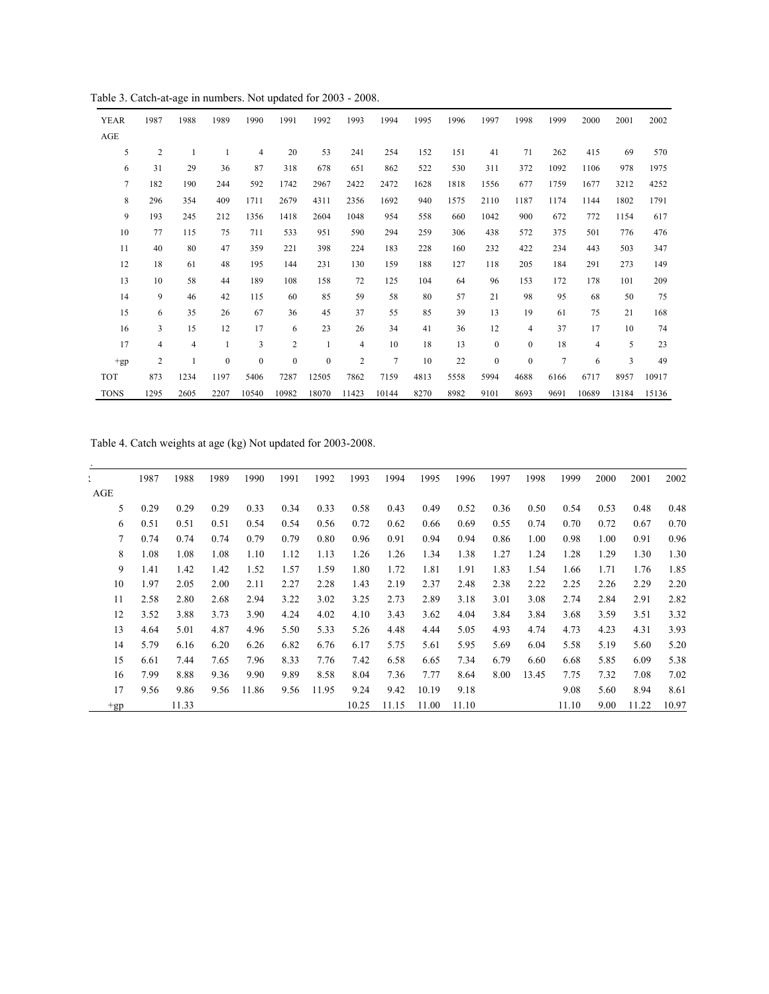Table 3. Catch-at-age in numbers. Not updated for 2003 - 2008.

| <b>YEAR</b>    | 1987           | 1988           | 1989             | 1990         | 1991             | 1992             | 1993                    | 1994           | 1995 | 1996 | 1997             | 1998             | 1999           | 2000  | 2001  | 2002  |
|----------------|----------------|----------------|------------------|--------------|------------------|------------------|-------------------------|----------------|------|------|------------------|------------------|----------------|-------|-------|-------|
| AGE            |                |                |                  |              |                  |                  |                         |                |      |      |                  |                  |                |       |       |       |
| 5              | $\overline{c}$ | 1              | 1                | 4            | 20               | 53               | 241                     | 254            | 152  | 151  | 41               | 71               | 262            | 415   | 69    | 570   |
| 6              | 31             | 29             | 36               | 87           | 318              | 678              | 651                     | 862            | 522  | 530  | 311              | 372              | 1092           | 1106  | 978   | 1975  |
| $\overline{7}$ | 182            | 190            | 244              | 592          | 1742             | 2967             | 2422                    | 2472           | 1628 | 1818 | 1556             | 677              | 1759           | 1677  | 3212  | 4252  |
| 8              | 296            | 354            | 409              | 1711         | 2679             | 4311             | 2356                    | 1692           | 940  | 1575 | 2110             | 1187             | 1174           | 1144  | 1802  | 1791  |
| 9              | 193            | 245            | 212              | 1356         | 1418             | 2604             | 1048                    | 954            | 558  | 660  | 1042             | 900              | 672            | 772   | 1154  | 617   |
| 10             | 77             | 115            | 75               | 711          | 533              | 951              | 590                     | 294            | 259  | 306  | 438              | 572              | 375            | 501   | 776   | 476   |
| 11             | 40             | 80             | 47               | 359          | 221              | 398              | 224                     | 183            | 228  | 160  | 232              | 422              | 234            | 443   | 503   | 347   |
| 12             | 18             | 61             | 48               | 195          | 144              | 231              | 130                     | 159            | 188  | 127  | 118              | 205              | 184            | 291   | 273   | 149   |
| 13             | 10             | 58             | 44               | 189          | 108              | 158              | 72                      | 125            | 104  | 64   | 96               | 153              | 172            | 178   | 101   | 209   |
| 14             | 9              | 46             | 42               | 115          | 60               | 85               | 59                      | 58             | 80   | 57   | 21               | 98               | 95             | 68    | 50    | 75    |
| 15             | 6              | 35             | 26               | 67           | 36               | 45               | 37                      | 55             | 85   | 39   | 13               | 19               | 61             | 75    | 21    | 168   |
| 16             | 3              | 15             | 12               | 17           | 6                | 23               | 26                      | 34             | 41   | 36   | 12               | 4                | 37             | 17    | 10    | 74    |
| 17             | 4              | $\overline{4}$ | $\mathbf{1}$     | 3            | $\overline{c}$   | $\mathbf{1}$     | $\overline{4}$          | 10             | 18   | 13   | $\boldsymbol{0}$ | $\boldsymbol{0}$ | 18             | 4     | 5     | 23    |
| $+gp$          | $\overline{c}$ | 1              | $\boldsymbol{0}$ | $\mathbf{0}$ | $\boldsymbol{0}$ | $\boldsymbol{0}$ | $\overline{\mathbf{c}}$ | $\overline{7}$ | 10   | 22   | $\boldsymbol{0}$ | $\boldsymbol{0}$ | $\overline{7}$ | 6     | 3     | 49    |
| <b>TOT</b>     | 873            | 1234           | 1197             | 5406         | 7287             | 12505            | 7862                    | 7159           | 4813 | 5558 | 5994             | 4688             | 6166           | 6717  | 8957  | 10917 |
| <b>TONS</b>    | 1295           | 2605           | 2207             | 10540        | 10982            | 18070            | 11423                   | 10144          | 8270 | 8982 | 9101             | 8693             | 9691           | 10689 | 13184 | 15136 |

Table 4. Catch weights at age (kg) Not updated for 2003-2008.

|       | 1987 | 1988  | 1989 | 1990  | 1991 | 1992  | 1993  | 1994  | 1995  | 1996  | 1997 | 1998  | 1999  | 2000 | 2001  | 2002  |
|-------|------|-------|------|-------|------|-------|-------|-------|-------|-------|------|-------|-------|------|-------|-------|
| AGE   |      |       |      |       |      |       |       |       |       |       |      |       |       |      |       |       |
| 5     | 0.29 | 0.29  | 0.29 | 0.33  | 0.34 | 0.33  | 0.58  | 0.43  | 0.49  | 0.52  | 0.36 | 0.50  | 0.54  | 0.53 | 0.48  | 0.48  |
| 6     | 0.51 | 0.51  | 0.51 | 0.54  | 0.54 | 0.56  | 0.72  | 0.62  | 0.66  | 0.69  | 0.55 | 0.74  | 0.70  | 0.72 | 0.67  | 0.70  |
| 7     | 0.74 | 0.74  | 0.74 | 0.79  | 0.79 | 0.80  | 0.96  | 0.91  | 0.94  | 0.94  | 0.86 | 1.00  | 0.98  | 1.00 | 0.91  | 0.96  |
| 8     | 1.08 | 1.08  | 1.08 | 1.10  | 1.12 | 1.13  | 1.26  | 1.26  | 1.34  | 1.38  | 1.27 | 1.24  | 1.28  | 1.29 | 1.30  | 1.30  |
| 9     | 1.41 | 1.42  | 1.42 | 1.52  | 1.57 | 1.59  | 1.80  | 1.72  | 1.81  | 1.91  | 1.83 | 1.54  | 1.66  | 1.71 | 1.76  | 1.85  |
| 10    | 1.97 | 2.05  | 2.00 | 2.11  | 2.27 | 2.28  | 1.43  | 2.19  | 2.37  | 2.48  | 2.38 | 2.22  | 2.25  | 2.26 | 2.29  | 2.20  |
| 11    | 2.58 | 2.80  | 2.68 | 2.94  | 3.22 | 3.02  | 3.25  | 2.73  | 2.89  | 3.18  | 3.01 | 3.08  | 2.74  | 2.84 | 2.91  | 2.82  |
| 12    | 3.52 | 3.88  | 3.73 | 3.90  | 4.24 | 4.02  | 4.10  | 3.43  | 3.62  | 4.04  | 3.84 | 3.84  | 3.68  | 3.59 | 3.51  | 3.32  |
| 13    | 4.64 | 5.01  | 4.87 | 4.96  | 5.50 | 5.33  | 5.26  | 4.48  | 4.44  | 5.05  | 4.93 | 4.74  | 4.73  | 4.23 | 4.31  | 3.93  |
| 14    | 5.79 | 6.16  | 6.20 | 6.26  | 6.82 | 6.76  | 6.17  | 5.75  | 5.61  | 5.95  | 5.69 | 6.04  | 5.58  | 5.19 | 5.60  | 5.20  |
| 15    | 6.61 | 7.44  | 7.65 | 7.96  | 8.33 | 7.76  | 7.42  | 6.58  | 6.65  | 7.34  | 6.79 | 6.60  | 6.68  | 5.85 | 6.09  | 5.38  |
| 16    | 7.99 | 8.88  | 9.36 | 9.90  | 9.89 | 8.58  | 8.04  | 7.36  | 7.77  | 8.64  | 8.00 | 13.45 | 7.75  | 7.32 | 7.08  | 7.02  |
| 17    | 9.56 | 9.86  | 9.56 | 11.86 | 9.56 | 11.95 | 9.24  | 9.42  | 10.19 | 9.18  |      |       | 9.08  | 5.60 | 8.94  | 8.61  |
| $+gp$ |      | 11.33 |      |       |      |       | 10.25 | 11.15 | 11.00 | 11.10 |      |       | 11.10 | 9.00 | 11.22 | 10.97 |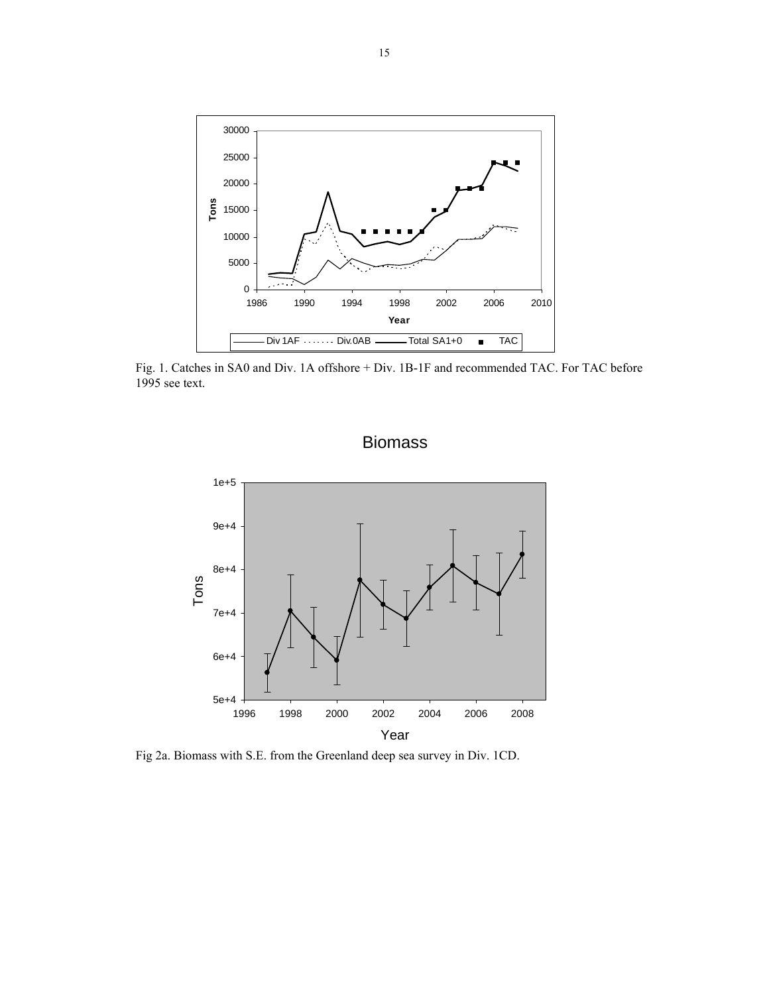

 Fig. 1. Catches in SA0 and Div. 1A offshore + Div. 1B-1F and recommended TAC. For TAC before 1995 see text.





Fig 2a. Biomass with S.E. from the Greenland deep sea survey in Div. 1CD.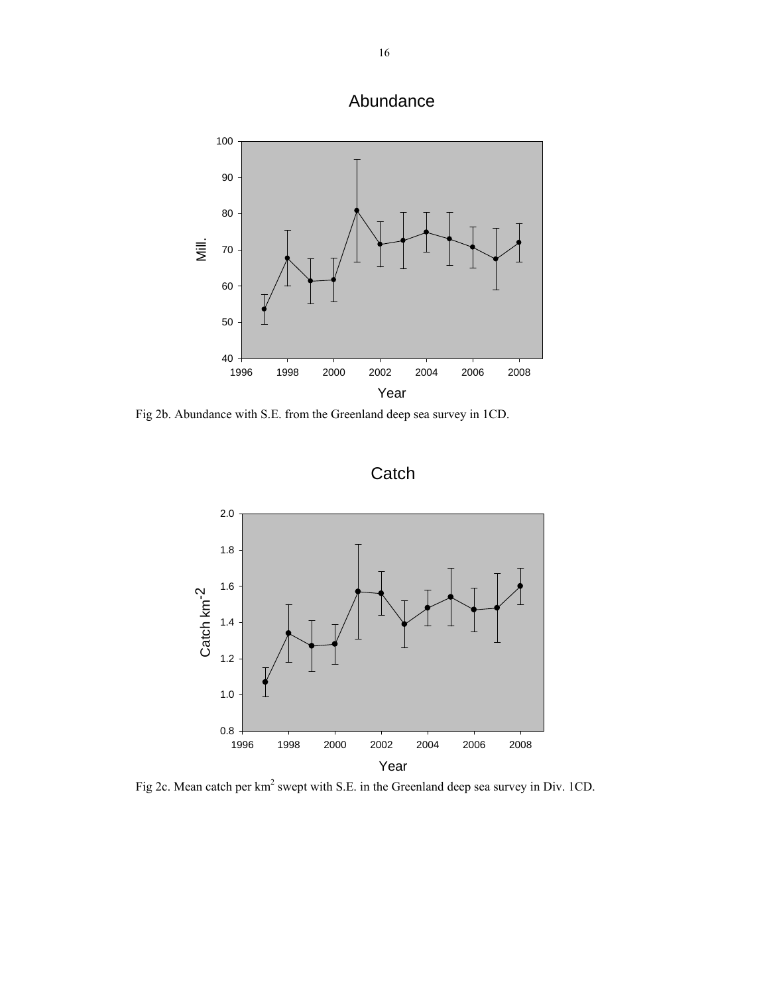Abundance



Fig 2b. Abundance with S.E. from the Greenland deep sea survey in 1CD.

**Catch** 



Fig 2c. Mean catch per km<sup>2</sup> swept with S.E. in the Greenland deep sea survey in Div. 1CD.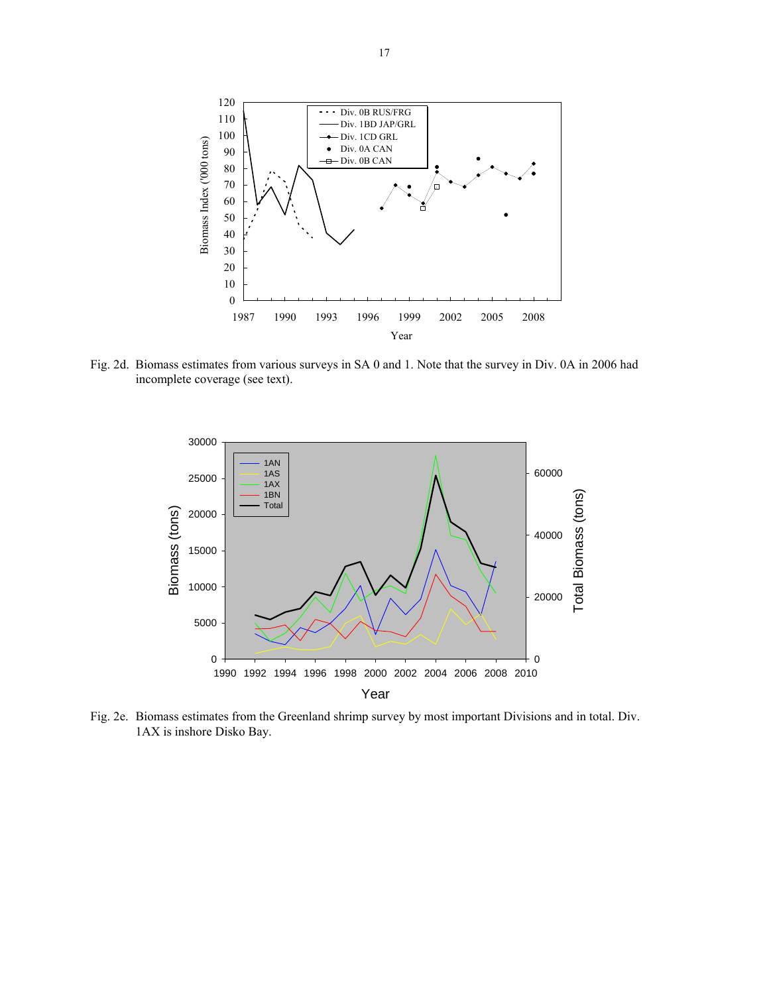

Fig. 2d. Biomass estimates from various surveys in SA 0 and 1. Note that the survey in Div. 0A in 2006 had incomplete coverage (see text).



Fig. 2e. Biomass estimates from the Greenland shrimp survey by most important Divisions and in total. Div. 1AX is inshore Disko Bay.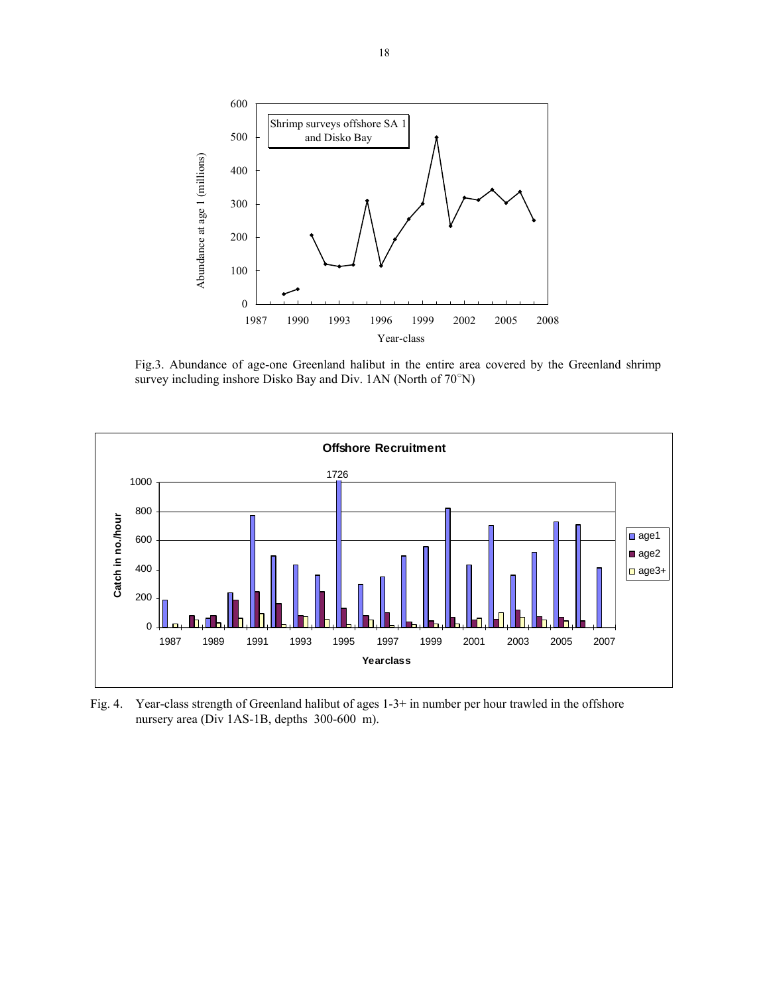

 Fig.3. Abundance of age-one Greenland halibut in the entire area covered by the Greenland shrimp survey including inshore Disko Bay and Div. 1AN (North of 70°N)



Fig. 4. Year-class strength of Greenland halibut of ages 1-3+ in number per hour trawled in the offshore nursery area (Div 1AS-1B, depths 300-600 m).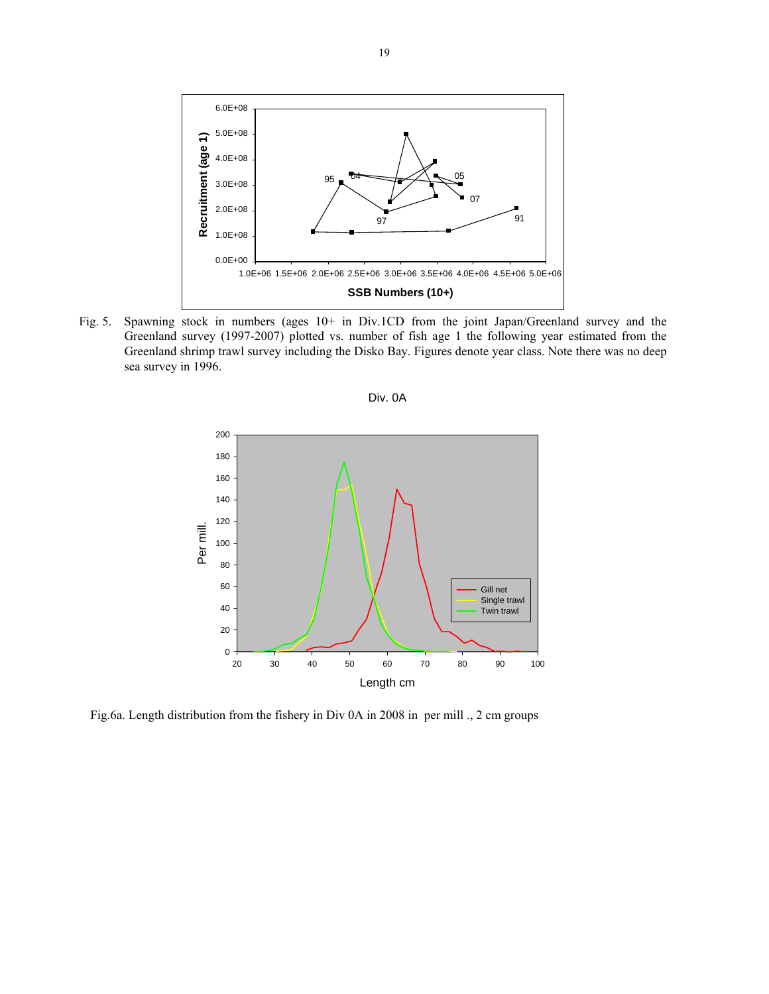

Fig. 5. Spawning stock in numbers (ages 10+ in Div.1CD from the joint Japan/Greenland survey and the Greenland survey (1997-2007) plotted vs. number of fish age 1 the following year estimated from the Greenland shrimp trawl survey including the Disko Bay. Figures denote year class. Note there was no deep sea survey in 1996.





Fig.6a. Length distribution from the fishery in Div 0A in 2008 in per mill ., 2 cm groups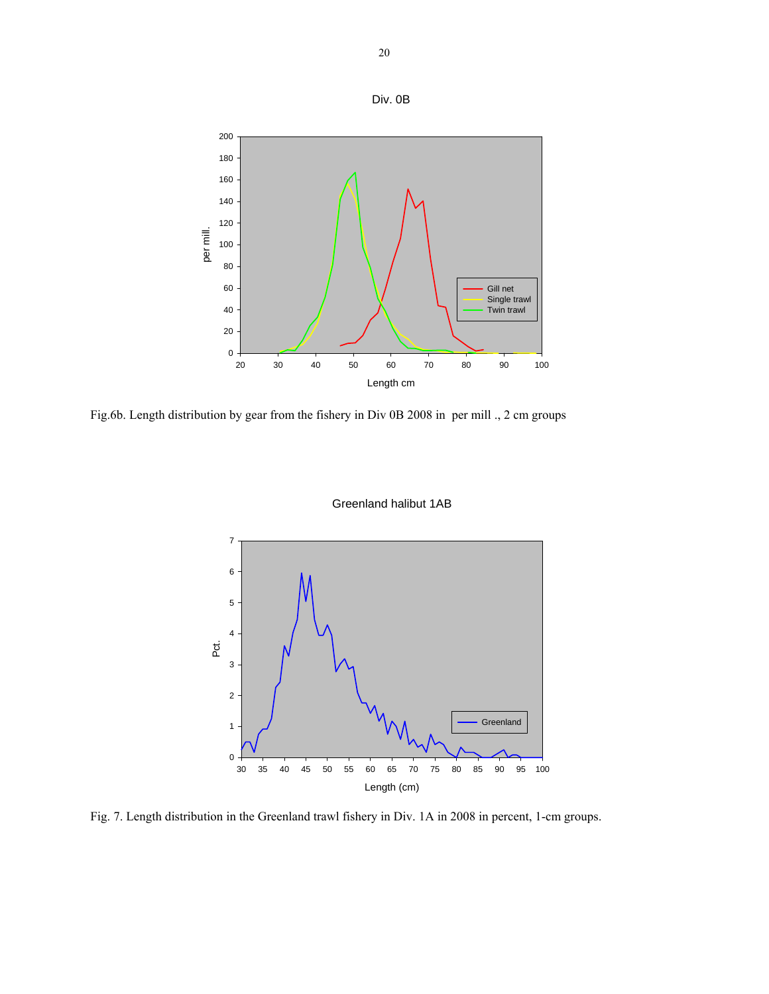



Fig.6b. Length distribution by gear from the fishery in Div 0B 2008 in per mill ., 2 cm groups

180 200



Greenland halibut 1AB

Fig. 7. Length distribution in the Greenland trawl fishery in Div. 1A in 2008 in percent, 1-cm groups.

Div. 0B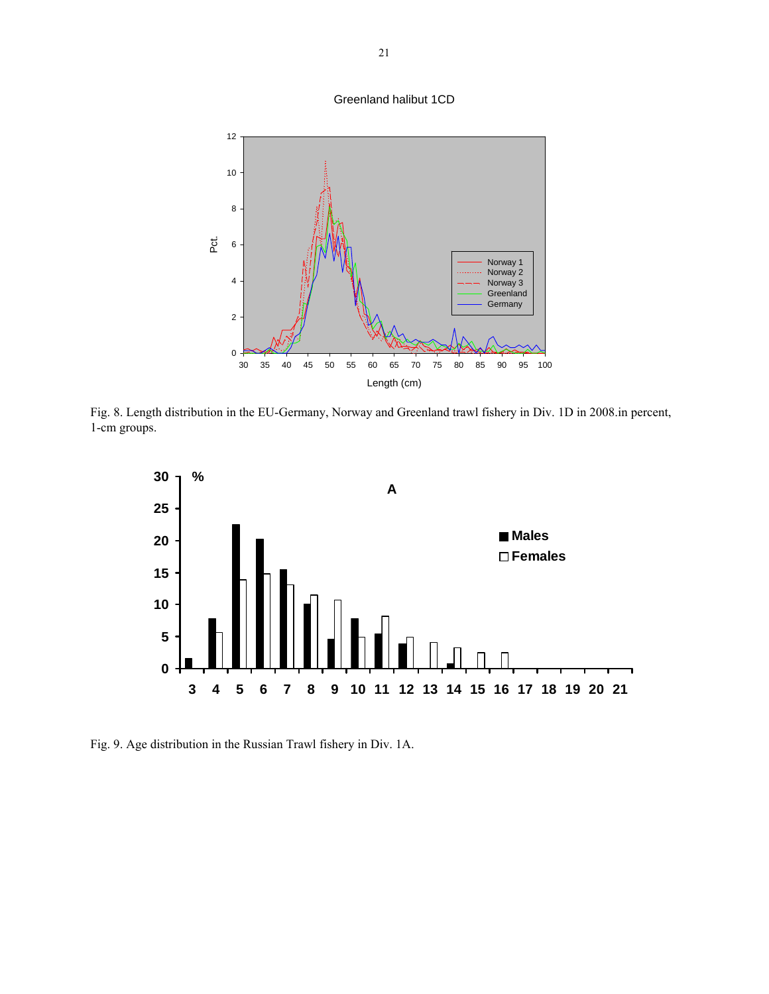#### Greenland halibut 1CD



Fig. 8. Length distribution in the EU-Germany, Norway and Greenland trawl fishery in Div. 1D in 2008.in percent, 1-cm groups.



Fig. 9. Age distribution in the Russian Trawl fishery in Div. 1A.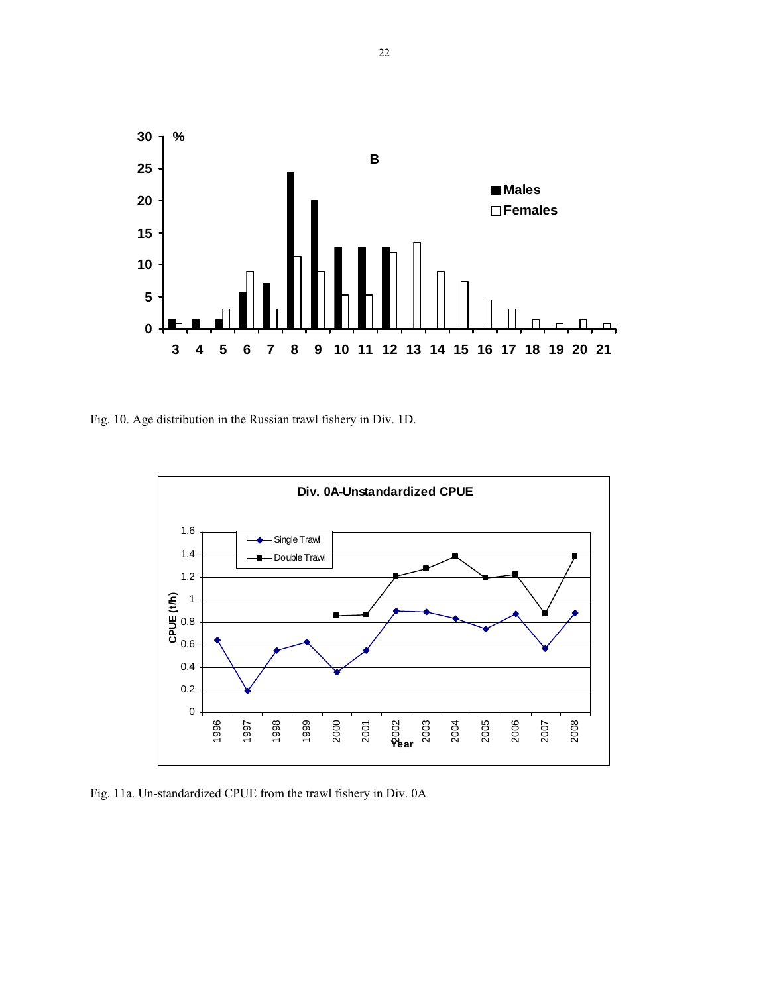

Fig. 10. Age distribution in the Russian trawl fishery in Div. 1D.



Fig. 11a. Un-standardized CPUE from the trawl fishery in Div. 0A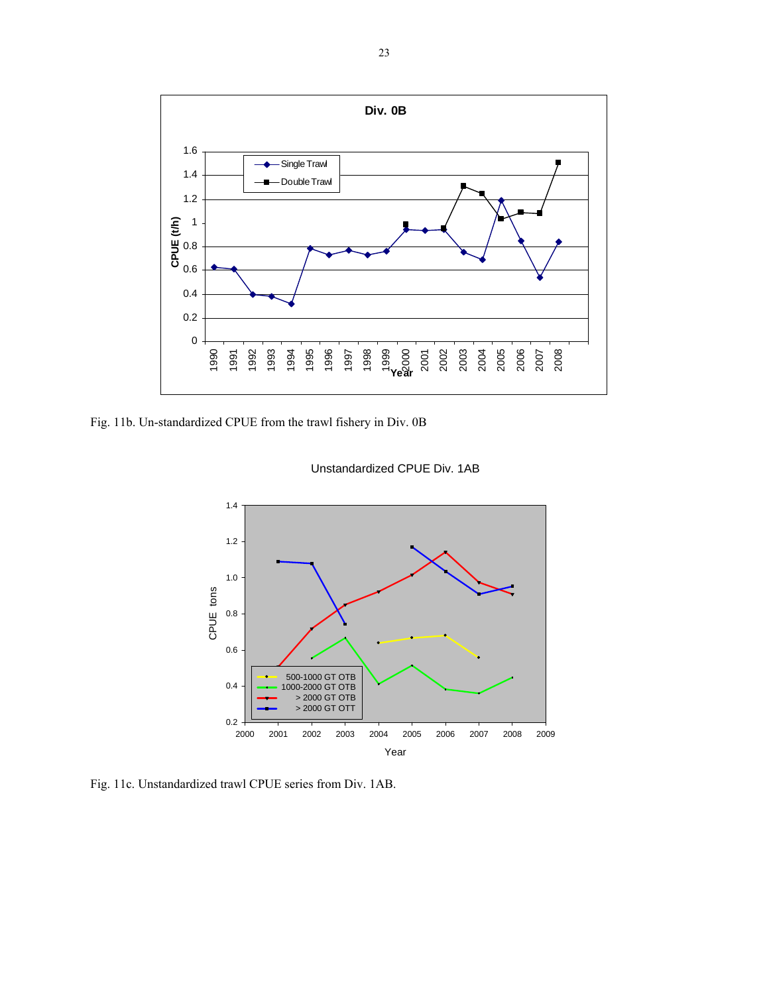

Fig. 11b. Un-standardized CPUE from the trawl fishery in Div. 0B



Unstandardized CPUE Div. 1AB

Fig. 11c. Unstandardized trawl CPUE series from Div. 1AB.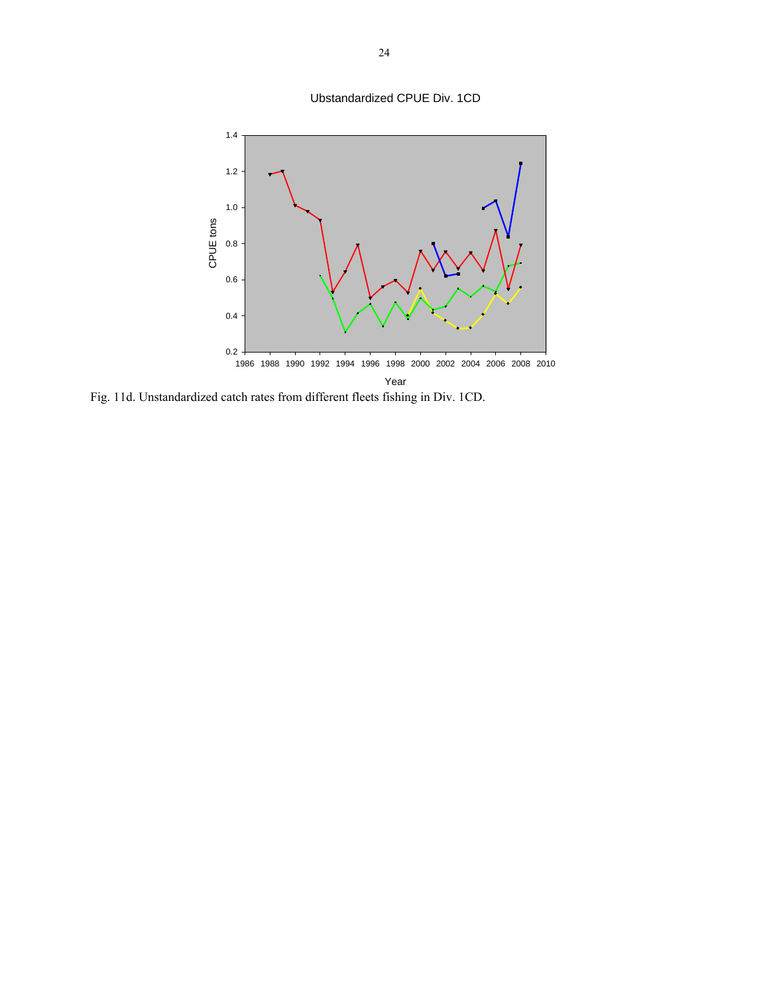Ubstandardized CPUE Div. 1CD



Fig. 11d. Unstandardized catch rates from different fleets fishing in Div. 1CD.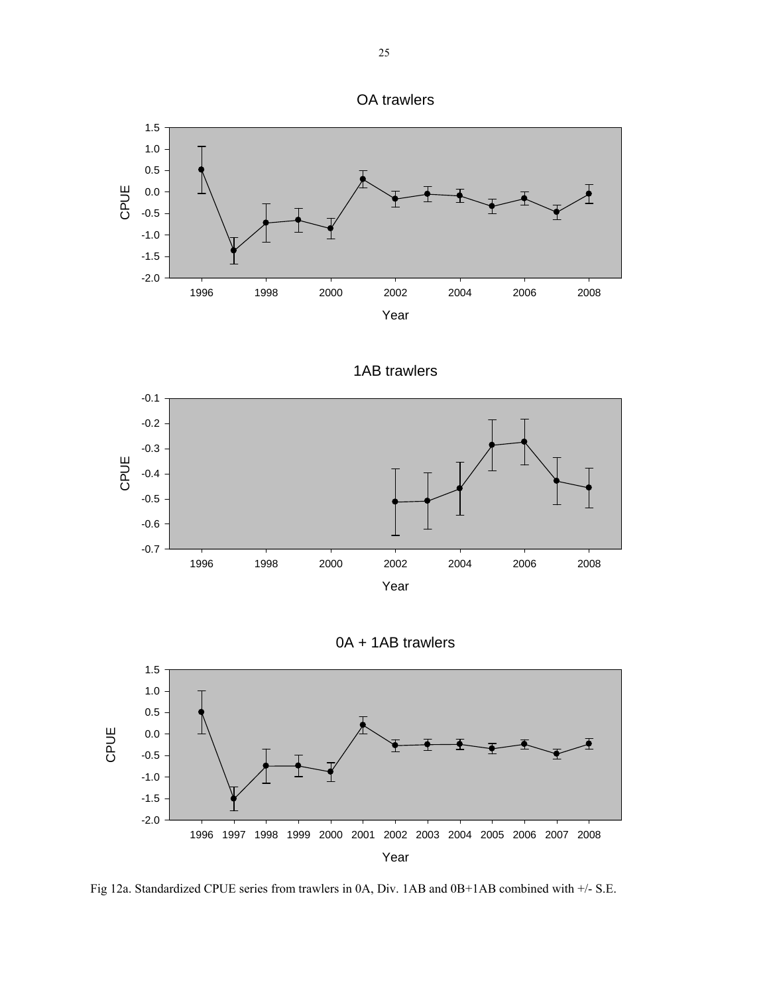



1AB trawlers







Fig 12a. Standardized CPUE series from trawlers in 0A, Div. 1AB and 0B+1AB combined with +/- S.E.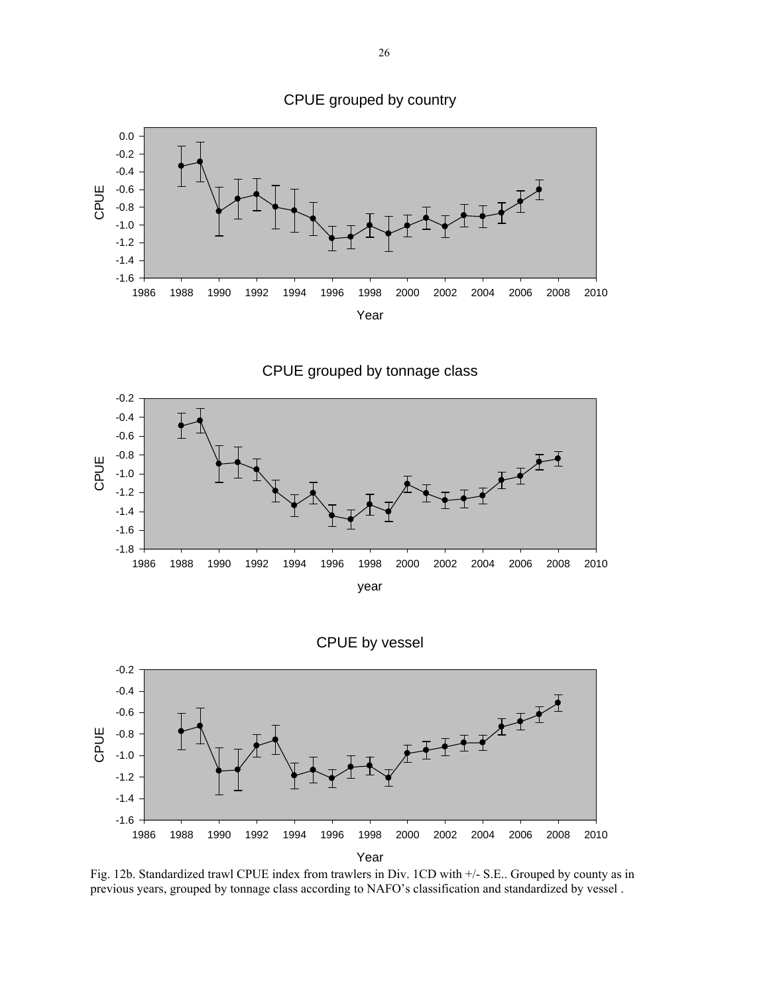

CPUE grouped by tonnage class





Fig. 12b. Standardized trawl CPUE index from trawlers in Div. 1CD with +/- S.E.. Grouped by county as in previous years, grouped by tonnage class according to NAFO's classification and standardized by vessel .

CPUE grouped by country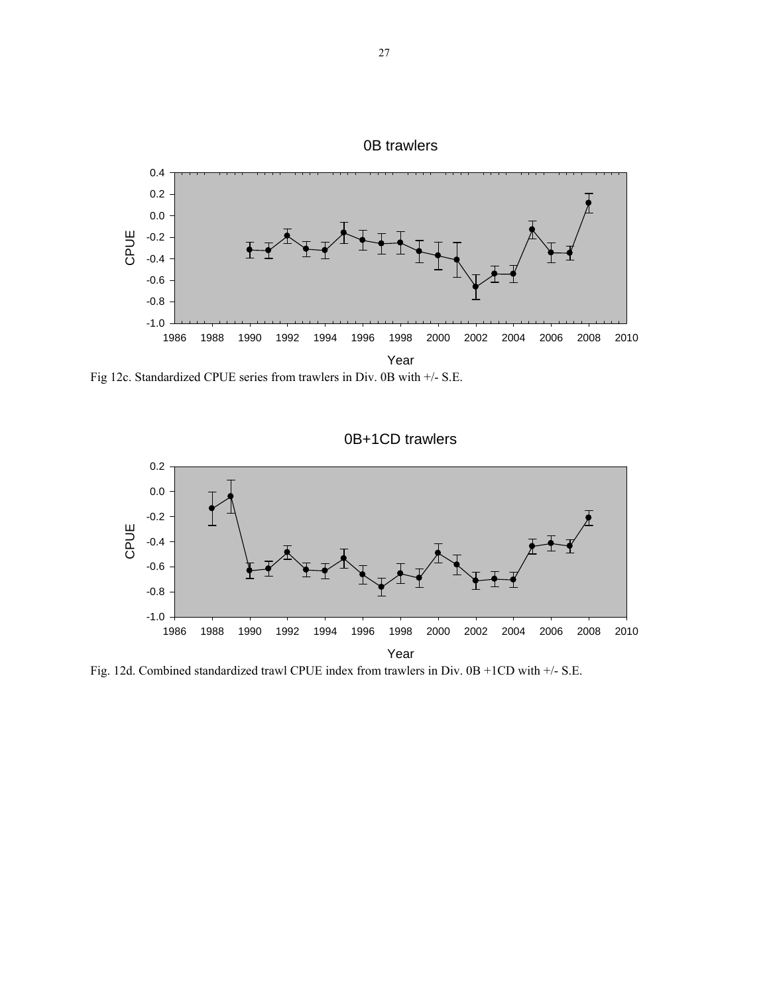

Fig 12c. Standardized CPUE series from trawlers in Div. 0B with +/- S.E.



Fig. 12d. Combined standardized trawl CPUE index from trawlers in Div. 0B +1CD with +/- S.E.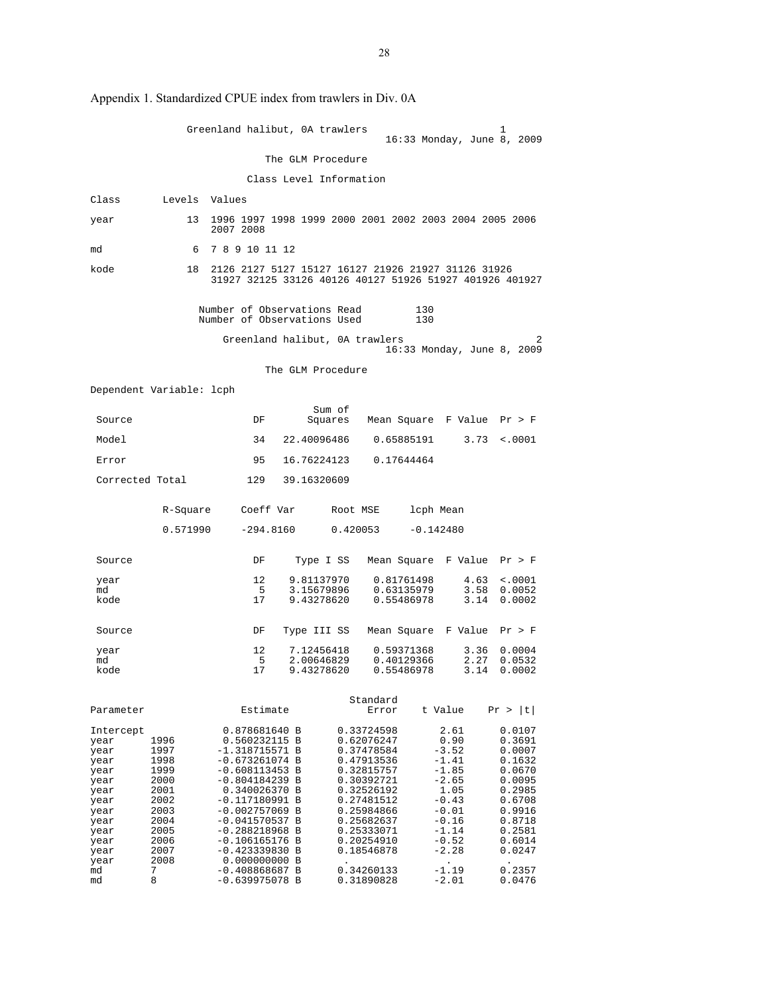|                                                                                                                         |                                                                                                           | Greenland halibut, 0A trawlers                                                                                                                                                                                                                                                       |                                        |                   |                                                                                                                                                                                                  | 16:33 Monday, June 8, 2009                                                                                                                    | 1                                                                                                                                        |
|-------------------------------------------------------------------------------------------------------------------------|-----------------------------------------------------------------------------------------------------------|--------------------------------------------------------------------------------------------------------------------------------------------------------------------------------------------------------------------------------------------------------------------------------------|----------------------------------------|-------------------|--------------------------------------------------------------------------------------------------------------------------------------------------------------------------------------------------|-----------------------------------------------------------------------------------------------------------------------------------------------|------------------------------------------------------------------------------------------------------------------------------------------|
|                                                                                                                         |                                                                                                           |                                                                                                                                                                                                                                                                                      | The GLM Procedure                      |                   |                                                                                                                                                                                                  |                                                                                                                                               |                                                                                                                                          |
|                                                                                                                         |                                                                                                           |                                                                                                                                                                                                                                                                                      | Class Level Information                |                   |                                                                                                                                                                                                  |                                                                                                                                               |                                                                                                                                          |
| Class                                                                                                                   | Levels Values                                                                                             |                                                                                                                                                                                                                                                                                      |                                        |                   |                                                                                                                                                                                                  |                                                                                                                                               |                                                                                                                                          |
| year                                                                                                                    | 13                                                                                                        | 1996 1997 1998 1999 2000 2001 2002 2003 2004 2005 2006<br>2007 2008                                                                                                                                                                                                                  |                                        |                   |                                                                                                                                                                                                  |                                                                                                                                               |                                                                                                                                          |
| md                                                                                                                      | 6                                                                                                         | 7 8 9 10 11 12                                                                                                                                                                                                                                                                       |                                        |                   |                                                                                                                                                                                                  |                                                                                                                                               |                                                                                                                                          |
| kode                                                                                                                    | 18                                                                                                        | 2126 2127 5127 15127 16127 21926 21927 31126 31926<br>31927 32125 33126 40126 40127 51926 51927 401926 401927                                                                                                                                                                        |                                        |                   |                                                                                                                                                                                                  |                                                                                                                                               |                                                                                                                                          |
|                                                                                                                         |                                                                                                           | Number of Observations Read<br>Number of Observations Used                                                                                                                                                                                                                           |                                        |                   |                                                                                                                                                                                                  | 130<br>130                                                                                                                                    |                                                                                                                                          |
|                                                                                                                         |                                                                                                           | Greenland halibut, 0A trawlers                                                                                                                                                                                                                                                       |                                        |                   |                                                                                                                                                                                                  | 16:33 Monday, June 8, 2009                                                                                                                    |                                                                                                                                          |
|                                                                                                                         |                                                                                                           |                                                                                                                                                                                                                                                                                      | The GLM Procedure                      |                   |                                                                                                                                                                                                  |                                                                                                                                               |                                                                                                                                          |
|                                                                                                                         | Dependent Variable: lcph                                                                                  |                                                                                                                                                                                                                                                                                      |                                        |                   |                                                                                                                                                                                                  |                                                                                                                                               |                                                                                                                                          |
| Source                                                                                                                  |                                                                                                           | DF                                                                                                                                                                                                                                                                                   |                                        | Sum of<br>Squares |                                                                                                                                                                                                  | Mean Square F Value                                                                                                                           | Pr > F                                                                                                                                   |
| Model                                                                                                                   |                                                                                                           | 34                                                                                                                                                                                                                                                                                   | 22.40096486                            |                   | 0.65885191                                                                                                                                                                                       | 3.73                                                                                                                                          | < .0001                                                                                                                                  |
| Error                                                                                                                   |                                                                                                           | 95                                                                                                                                                                                                                                                                                   | 16.76224123                            |                   | 0.17644464                                                                                                                                                                                       |                                                                                                                                               |                                                                                                                                          |
| Corrected Total                                                                                                         |                                                                                                           | 129                                                                                                                                                                                                                                                                                  | 39.16320609                            |                   |                                                                                                                                                                                                  |                                                                                                                                               |                                                                                                                                          |
|                                                                                                                         | R-Square                                                                                                  | Coeff Var                                                                                                                                                                                                                                                                            |                                        | Root MSE          |                                                                                                                                                                                                  | lcph Mean                                                                                                                                     |                                                                                                                                          |
|                                                                                                                         | 0.571990                                                                                                  | $-294.8160$                                                                                                                                                                                                                                                                          |                                        | 0.420053          |                                                                                                                                                                                                  | $-0.142480$                                                                                                                                   |                                                                                                                                          |
| Source                                                                                                                  |                                                                                                           | DF                                                                                                                                                                                                                                                                                   | Type I SS                              |                   |                                                                                                                                                                                                  | Mean Square F Value Pr > F                                                                                                                    |                                                                                                                                          |
| year<br>md<br>kode                                                                                                      |                                                                                                           | 12<br>- 5<br>17                                                                                                                                                                                                                                                                      | 9.81137970<br>3.15679896<br>9.43278620 |                   | 0.81761498<br>0.63135979<br>0.55486978                                                                                                                                                           | 4.63<br>3.58<br>3.14                                                                                                                          | $\sim 0001$<br>0.0052<br>0.0002                                                                                                          |
| Source                                                                                                                  |                                                                                                           | DF                                                                                                                                                                                                                                                                                   | Type III SS                            |                   |                                                                                                                                                                                                  | Mean Square F Value                                                                                                                           | Pr > F                                                                                                                                   |
| year<br>md<br>kode                                                                                                      |                                                                                                           | 12<br>5<br>17                                                                                                                                                                                                                                                                        | 7.12456418<br>2.00646829<br>9.43278620 |                   | 0.59371368<br>0.40129366<br>0.55486978                                                                                                                                                           | 3.36<br>2.27<br>3.14                                                                                                                          | 0.0004<br>0.0532<br>0.0002                                                                                                               |
| Parameter                                                                                                               |                                                                                                           | Estimate                                                                                                                                                                                                                                                                             |                                        |                   | Standard<br>Error                                                                                                                                                                                | t Value                                                                                                                                       | Pr >  t                                                                                                                                  |
| Intercept<br>year<br>year<br>year<br>year<br>year<br>year<br>year<br>year<br>year<br>year<br>year<br>year<br>year<br>md | 1996<br>1997<br>1998<br>1999<br>2000<br>2001<br>2002<br>2003<br>2004<br>2005<br>2006<br>2007<br>2008<br>7 | 0.878681640 B<br>0.560232115 B<br>-1.318715571 B<br>$-0.673261074 B$<br>$-0.608113453 B$<br>-0.804184239 B<br>0.340026370 B<br>$-0.117180991$ B<br>$-0.002757069$ B<br>$-0.041570537 B$<br>$-0.288218968$ B<br>-0.106165176 B<br>$-0.423339830 B$<br>0.000000000 B<br>-0.408868687 B |                                        |                   | 0.33724598<br>0.62076247<br>0.37478584<br>0.47913536<br>0.32815757<br>0.30392721<br>0.32526192<br>0.27481512<br>0.25984866<br>0.25682637<br>0.25333071<br>0.20254910<br>0.18546878<br>0.34260133 | 2.61<br>0.90<br>$-3.52$<br>$-1.41$<br>$-1.85$<br>$-2.65$<br>1.05<br>$-0.43$<br>$-0.01$<br>$-0.16$<br>$-1.14$<br>$-0.52$<br>$-2.28$<br>$-1.19$ | 0.0107<br>0.3691<br>0.0007<br>0.1632<br>0.0670<br>0.0095<br>0.2985<br>0.6708<br>0.9916<br>0.8718<br>0.2581<br>0.6014<br>0.0247<br>0.2357 |
| md                                                                                                                      | 8                                                                                                         | $-0.639975078 B$                                                                                                                                                                                                                                                                     |                                        |                   | 0.31890828                                                                                                                                                                                       | $-2.01$                                                                                                                                       | 0.0476                                                                                                                                   |

Appendix 1. Standardized CPUE index from trawlers in Div. 0A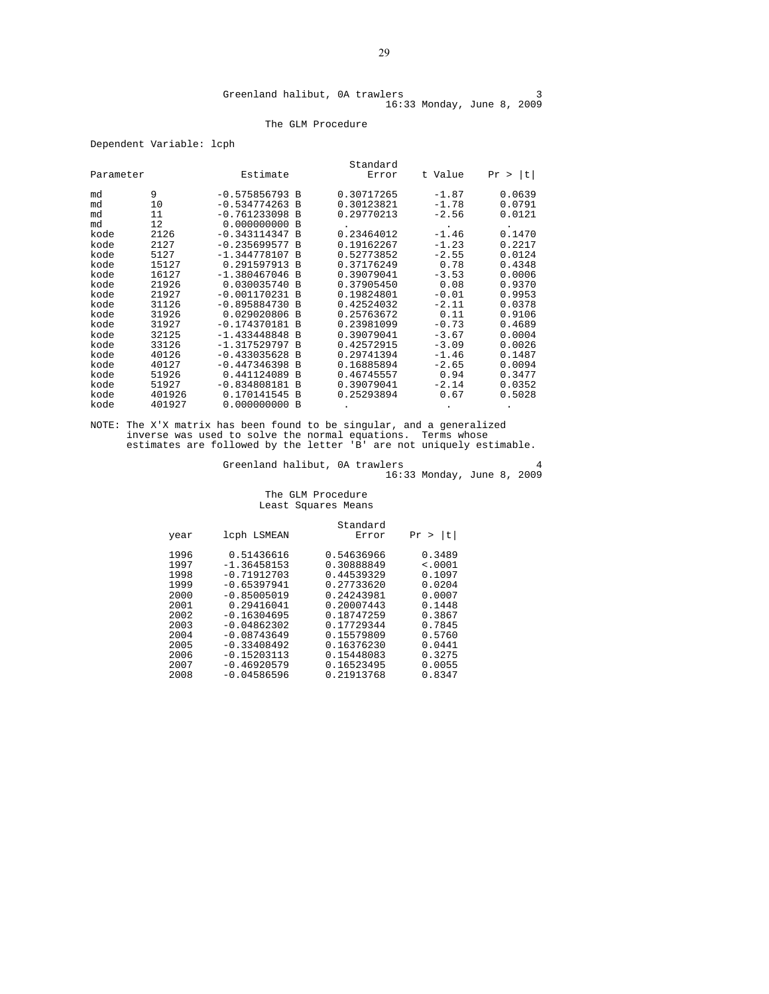#### The GLM Procedure

Dependent Variable: lcph

|           |        |                  |                | Standard   |         |         |
|-----------|--------|------------------|----------------|------------|---------|---------|
| Parameter |        | Estimate         |                | Error      | t Value | Pr >  t |
| md        | 9      | $-0.575856793 B$ |                | 0.30717265 | $-1.87$ | 0.0639  |
| md        | 10     | $-0.534774263 B$ |                | 0.30123821 | $-1.78$ | 0.0791  |
| md        | 11     | $-0.761233098$ B |                | 0.29770213 | $-2.56$ | 0.0121  |
| md        | 12     | 0.000000000B     |                |            |         |         |
| kode      | 2126   | $-0.343114347 B$ |                | 0.23464012 | $-1.46$ | 0.1470  |
| kode      | 2127   | $-0.235699577 B$ |                | 0.19162267 | $-1.23$ | 0.2217  |
| kode      | 5127   | $-1.344778107 B$ |                | 0.52773852 | $-2.55$ | 0.0124  |
| kode      | 15127  | 0.291597913 B    |                | 0.37176249 | 0.78    | 0.4348  |
| kode      | 16127  | $-1.380467046$   | - B            | 0.39079041 | $-3.53$ | 0.0006  |
| kode      | 21926  | 0.030035740 B    |                | 0.37905450 | 0.08    | 0.9370  |
| kode      | 21927  | $-0.001170231$ B |                | 0.19824801 | $-0.01$ | 0.9953  |
| kode      | 31126  | $-0.895884730 B$ |                | 0.42524032 | $-2.11$ | 0.0378  |
| kode      | 31926  | 0.029020806 B    |                | 0.25763672 | 0.11    | 0.9106  |
| kode      | 31927  | $-0.174370181$ B |                | 0.23981099 | $-0.73$ | 0.4689  |
| kode      | 32125  | $-1.433448848$   | <b>B</b>       | 0.39079041 | $-3.67$ | 0.0004  |
| kode      | 33126  | $-1.317529797R$  |                | 0.42572915 | $-3.09$ | 0.0026  |
| kode      | 40126  | $-0.433035628$   | <b>B</b>       | 0.29741394 | $-1.46$ | 0.1487  |
| kode      | 40127  | $-0.447346398$   | <b>B</b>       | 0.16885894 | $-2.65$ | 0.0094  |
| kode      | 51926  | 0.441124089      | <b>B</b>       | 0.46745557 | 0.94    | 0.3477  |
| kode      | 51927  | $-0.834808181$   | $\overline{B}$ | 0.39079041 | $-2.14$ | 0.0352  |
| kode      | 401926 | 0.170141545      | <b>B</b>       | 0.25293894 | 0.67    | 0.5028  |
| kode      | 401927 | 0.000000000      | - B            |            |         |         |

NOTE: The X'X matrix has been found to be singular, and a generalized inverse was used to solve the normal equations. Terms whose estimates are followed by the letter 'B' are not uniquely estimable.

Greenland halibut, 0A trawlers 4 16:33 Monday, June 8, 2009

#### The GLM Procedure Least Squares Means

|                                                                              |                                                                                                                                                                  | Standard                                                                                                                                 |                                                                                                   |
|------------------------------------------------------------------------------|------------------------------------------------------------------------------------------------------------------------------------------------------------------|------------------------------------------------------------------------------------------------------------------------------------------|---------------------------------------------------------------------------------------------------|
| year                                                                         | lcph LSMEAN                                                                                                                                                      | Error                                                                                                                                    | t <br>Pr                                                                                          |
| 1996<br>1997<br>1998<br>1999<br>2000<br>2001<br>2002<br>2003<br>2004<br>2005 | 0.51436616<br>$-1.36458153$<br>$-0.71912703$<br>$-0.65397941$<br>$-0.85005019$<br>0.29416041<br>$-0.16304695$<br>$-0.04862302$<br>$-0.08743649$<br>$-0.33408492$ | 0.54636966<br>0.30888849<br>0.44539329<br>0.27733620<br>0.24243981<br>0.20007443<br>0.18747259<br>0.17729344<br>0.15579809<br>0.16376230 | 0.3489<br>< .0001<br>0.1097<br>0.0204<br>0.0007<br>0.1448<br>0.3867<br>0.7845<br>0.5760<br>0.0441 |
| 2006<br>2007<br>2008                                                         | $-0.15203113$<br>$-0.46920579$<br>$-0.04586596$                                                                                                                  | 0.15448083<br>0.16523495<br>0.21913768                                                                                                   | 0.3275<br>0.0055<br>0.8347                                                                        |
|                                                                              |                                                                                                                                                                  |                                                                                                                                          |                                                                                                   |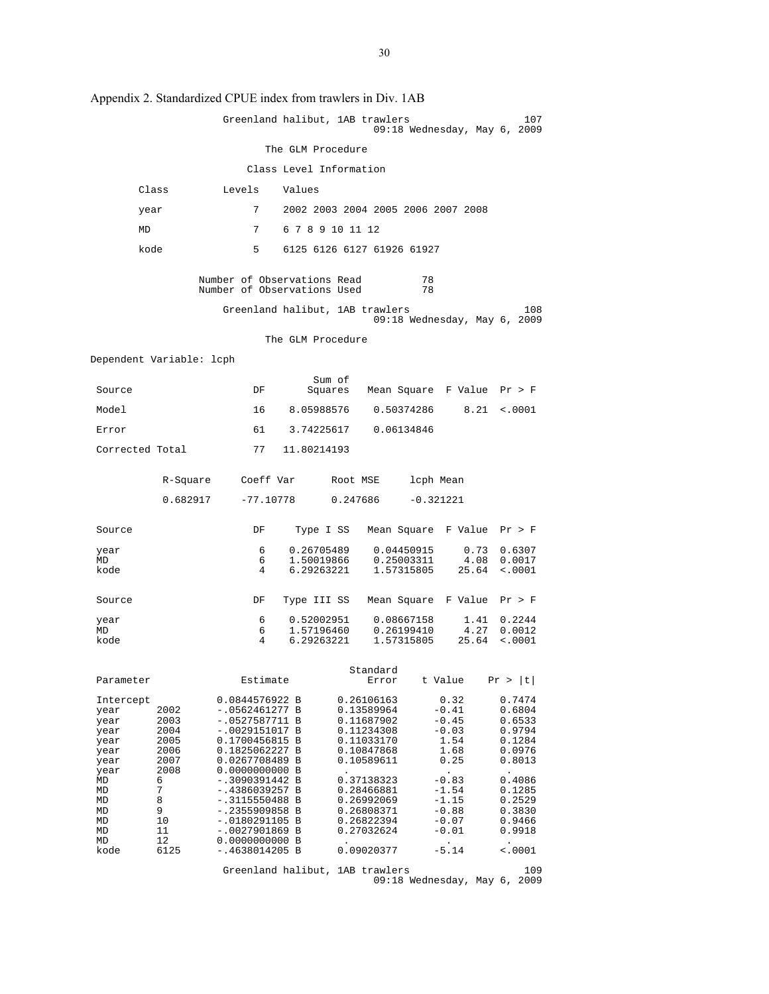| . .                                                                                                         |                                                                                            |                                                                                                                                                                                                                                                                                          |                          |                                                                                                                                                                                    |                                                                                                                                 |                                                                                                                                |
|-------------------------------------------------------------------------------------------------------------|--------------------------------------------------------------------------------------------|------------------------------------------------------------------------------------------------------------------------------------------------------------------------------------------------------------------------------------------------------------------------------------------|--------------------------|------------------------------------------------------------------------------------------------------------------------------------------------------------------------------------|---------------------------------------------------------------------------------------------------------------------------------|--------------------------------------------------------------------------------------------------------------------------------|
|                                                                                                             |                                                                                            |                                                                                                                                                                                                                                                                                          |                          | Greenland halibut, 1AB trawlers                                                                                                                                                    | $09:18$ Wednesday, May 6, 2009                                                                                                  | 107                                                                                                                            |
|                                                                                                             |                                                                                            |                                                                                                                                                                                                                                                                                          | The GLM Procedure        |                                                                                                                                                                                    |                                                                                                                                 |                                                                                                                                |
|                                                                                                             |                                                                                            |                                                                                                                                                                                                                                                                                          |                          | Class Level Information                                                                                                                                                            |                                                                                                                                 |                                                                                                                                |
|                                                                                                             | Class                                                                                      | Levels                                                                                                                                                                                                                                                                                   | Values                   |                                                                                                                                                                                    |                                                                                                                                 |                                                                                                                                |
| year                                                                                                        |                                                                                            | 7                                                                                                                                                                                                                                                                                        |                          |                                                                                                                                                                                    | 2002 2003 2004 2005 2006 2007 2008                                                                                              |                                                                                                                                |
| MD                                                                                                          |                                                                                            | 7                                                                                                                                                                                                                                                                                        | 6 7 8 9 10 11 12         |                                                                                                                                                                                    |                                                                                                                                 |                                                                                                                                |
| kode                                                                                                        |                                                                                            | $5^{\circ}$                                                                                                                                                                                                                                                                              |                          | 6125 6126 6127 61926 61927                                                                                                                                                         |                                                                                                                                 |                                                                                                                                |
|                                                                                                             |                                                                                            | Number of Observations Read<br>Number of Observations Used                                                                                                                                                                                                                               |                          |                                                                                                                                                                                    | 78<br>78                                                                                                                        |                                                                                                                                |
|                                                                                                             |                                                                                            |                                                                                                                                                                                                                                                                                          |                          | Greenland halibut, 1AB trawlers                                                                                                                                                    | 09:18 Wednesday, May 6, 2009                                                                                                    | 108                                                                                                                            |
|                                                                                                             |                                                                                            |                                                                                                                                                                                                                                                                                          | The GLM Procedure        |                                                                                                                                                                                    |                                                                                                                                 |                                                                                                                                |
| Dependent Variable: lcph                                                                                    |                                                                                            |                                                                                                                                                                                                                                                                                          |                          |                                                                                                                                                                                    |                                                                                                                                 |                                                                                                                                |
| Source                                                                                                      |                                                                                            | DF                                                                                                                                                                                                                                                                                       | Sum of                   | Squares                                                                                                                                                                            | Mean Square F Value Pr > F                                                                                                      |                                                                                                                                |
| Model                                                                                                       |                                                                                            | 16                                                                                                                                                                                                                                                                                       | 8.05988576               |                                                                                                                                                                                    | 8.21<br>0.50374286                                                                                                              | $\sim 0001$                                                                                                                    |
| Error                                                                                                       |                                                                                            |                                                                                                                                                                                                                                                                                          |                          | 61 3.74225617 0.06134846                                                                                                                                                           |                                                                                                                                 |                                                                                                                                |
| Corrected Total                                                                                             |                                                                                            | 77                                                                                                                                                                                                                                                                                       | 11.80214193              |                                                                                                                                                                                    |                                                                                                                                 |                                                                                                                                |
|                                                                                                             | R-Square                                                                                   |                                                                                                                                                                                                                                                                                          | Coeff Var Root MSE       |                                                                                                                                                                                    | lcph Mean                                                                                                                       |                                                                                                                                |
|                                                                                                             | 0.682917                                                                                   | $-77.10778$                                                                                                                                                                                                                                                                              |                          | 0.247686                                                                                                                                                                           | $-0.321221$                                                                                                                     |                                                                                                                                |
| Source                                                                                                      |                                                                                            | DF                                                                                                                                                                                                                                                                                       | Type I SS                |                                                                                                                                                                                    | Mean Square F Value Pr > F                                                                                                      |                                                                                                                                |
| year<br>MD                                                                                                  |                                                                                            | 6<br>6                                                                                                                                                                                                                                                                                   | 0.26705489<br>1.50019866 |                                                                                                                                                                                    | 0.04450915<br>0.73<br>0.25003311<br>4.08                                                                                        | 0.6307<br>0.0017                                                                                                               |
| kode                                                                                                        |                                                                                            | 4                                                                                                                                                                                                                                                                                        | 6.29263221               |                                                                                                                                                                                    | 1.57315805<br>25.64                                                                                                             | < .0001                                                                                                                        |
| Source                                                                                                      |                                                                                            | DF                                                                                                                                                                                                                                                                                       | Type III SS              |                                                                                                                                                                                    | Mean Square F Value Pr > F                                                                                                      |                                                                                                                                |
| year<br>MD                                                                                                  |                                                                                            | 6<br>6                                                                                                                                                                                                                                                                                   | 0.52002951<br>1.57196460 |                                                                                                                                                                                    | 0.08667158<br>1.41<br>0.26199410<br>4.27                                                                                        | 0.2244<br>0.0012                                                                                                               |
| kode                                                                                                        |                                                                                            | 4                                                                                                                                                                                                                                                                                        | 6.29263221               |                                                                                                                                                                                    | 25.64<br>1.57315805                                                                                                             | < .0001                                                                                                                        |
| Parameter                                                                                                   |                                                                                            | Estimate                                                                                                                                                                                                                                                                                 |                          | Standard<br>Error                                                                                                                                                                  | t Value                                                                                                                         | Pr >  t                                                                                                                        |
| Intercept<br>year<br>year<br>year<br>year<br>year<br>year<br>year<br>MD<br>MD<br>MD<br>MD<br>MD<br>MD<br>MD | 2002<br>2003<br>2004<br>2005<br>2006<br>2007<br>2008<br>6<br>7<br>8<br>9<br>10<br>11<br>12 | 0.0844576922 B<br>$-.0562461277 B$<br>$-.0527587711 B$<br>$-.0029151017 B$<br>0.1700456815 B<br>0.1825062227 B<br>0.0267708489 B<br>0.0000000000 B<br>-.3090391442 B<br>-.4386039257 B<br>$-.3115550488$ B<br>$-.2355909858$ B<br>$-.0180291105 B$<br>$-.0027901869 B$<br>0.0000000000 B |                          | 0.26106163<br>0.13589964<br>0.11687902<br>0.11234308<br>0.11033170<br>0.10847868<br>0.10589611<br>0.37138323<br>0.28466881<br>0.26992069<br>0.26808371<br>0.26822394<br>0.27032624 | 0.32<br>$-0.41$<br>$-0.45$<br>$-0.03$<br>1.54<br>1.68<br>0.25<br>$-0.83$<br>$-1.54$<br>$-1.15$<br>$-0.88$<br>$-0.07$<br>$-0.01$ | 0.7474<br>0.6804<br>0.6533<br>0.9794<br>0.1284<br>0.0976<br>0.8013<br>0.4086<br>0.1285<br>0.2529<br>0.3830<br>0.9466<br>0.9918 |
| kode                                                                                                        | 6125                                                                                       | -.4638014205 B                                                                                                                                                                                                                                                                           |                          | 0.09020377<br>Greenland halibut, 1AB trawlers                                                                                                                                      | $-5.14$                                                                                                                         | $\sim 0001$<br>109                                                                                                             |
|                                                                                                             |                                                                                            |                                                                                                                                                                                                                                                                                          |                          |                                                                                                                                                                                    | 09:18 Wednesday, May 6, 2009                                                                                                    |                                                                                                                                |

Appendix 2. Standardized CPUE index from trawlers in Div. 1AB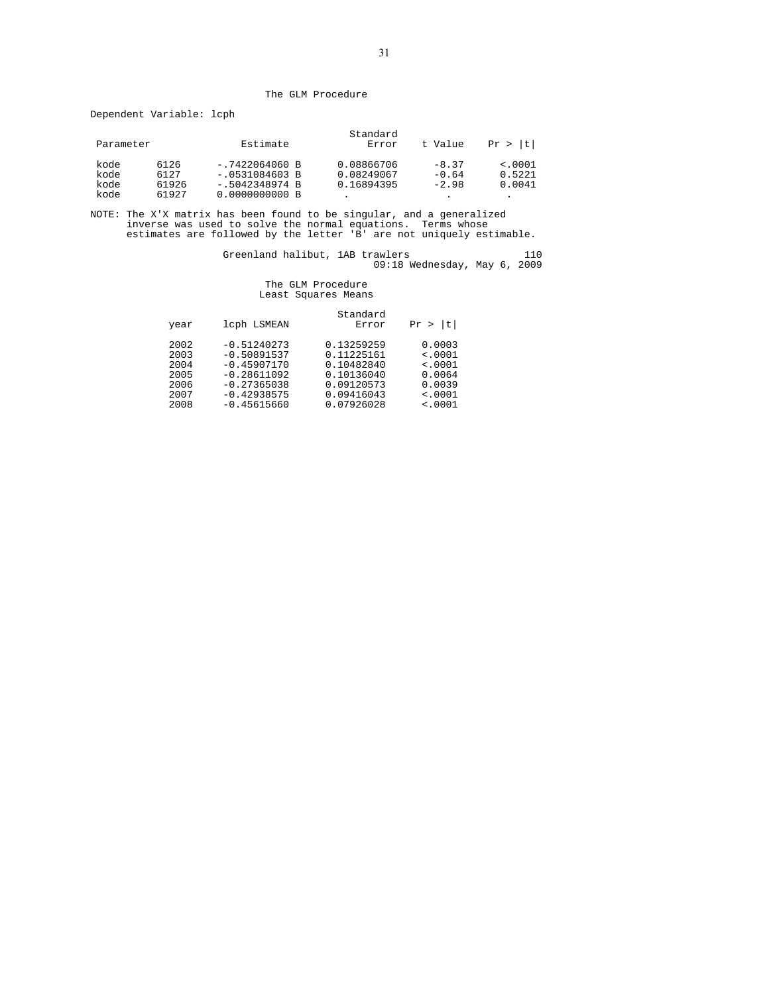#### The GLM Procedure

Dependent Variable: lcph

| Estimate                             | t Value<br>Error | Pr >  t                                            |
|--------------------------------------|------------------|----------------------------------------------------|
| $-.7422064060 B$<br>$-.0531084603 B$ |                  | $-8.37$<br>< .0001<br>0.5221<br>$-0.64$            |
| $-.5042348974 B$                     |                  | 0.0041<br>$-2.98$                                  |
|                                      | 0.0000000000 B   | Standard<br>0.08866706<br>0.08249067<br>0.16894395 |

NOTE: The X'X matrix has been found to be singular, and a generalized inverse was used to solve the normal equations. Terms whose estimates are followed by the letter 'B' are not uniquely estimable.

Greenland halibut, 1AB trawlers 110 09:18 Wednesday, May 6, 2009

#### The GLM Procedure Least Squares Means

| year                                                 | lcph LSMEAN                                                                                                         | Standard<br>Error                                                                              | l t I<br>Pr :                                                              |
|------------------------------------------------------|---------------------------------------------------------------------------------------------------------------------|------------------------------------------------------------------------------------------------|----------------------------------------------------------------------------|
| 2002<br>2003<br>2004<br>2005<br>2006<br>2007<br>2008 | $-0.51240273$<br>$-0.50891537$<br>$-0.45907170$<br>$-0.28611092$<br>$-0.27365038$<br>$-0.42938575$<br>$-0.45615660$ | 0.13259259<br>0.11225161<br>0.10482840<br>0.10136040<br>0.09120573<br>0.09416043<br>0.07926028 | 0.0003<br>$\leq 0001$<br>< .0001<br>0.0064<br>0.0039<br>< .0001<br>< .0001 |
|                                                      |                                                                                                                     |                                                                                                |                                                                            |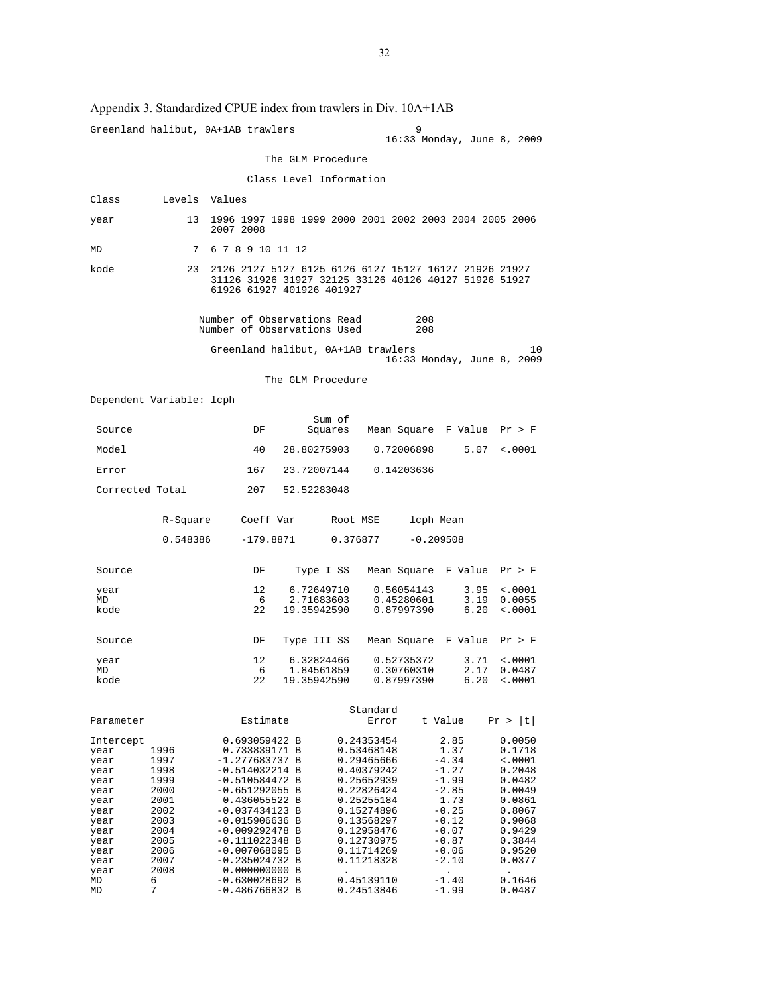Appendix 3. Standardized CPUE index from trawlers in Div. 10A+1AB Greenland halibut, 0A+1AB trawlers 9 16:33 Monday, June 8, 2009 The GLM Procedure Class Level Information Class Levels Values year 13 1996 1997 1998 1999 2000 2001 2002 2003 2004 2005 2006 2007 2008 MD 7 6 7 8 9 10 11 12 kode 23 2126 2127 5127 6125 6126 6127 15127 16127 21926 21927 31126 31926 31927 32125 33126 40126 40127 51926 51927 61926 61927 401926 401927 Number of Observations Read 208 Number of Observations Used 208 Greenland halibut, 0A+1AB trawlers 10 16:33 Monday, June 8, 2009 The GLM Procedure Dependent Variable: lcph Sum of Source Source DF Squares Mean Square F Value Pr > F Model 40 28.80275903 0.72006898 5.07 <.0001 Error 167 23.72007144 0.14203636 Corrected Total 207 52.52283048 R-Square Coeff Var Root MSE lcph Mean 0.548386 -179.8871 0.376877 -0.209508 Source DF Type I SS Mean Square F Value Pr > F year 12 6.72649710 0.56054143 3.95 <.0001<br>MD 6 2.71683603 0.45280601 3.19 0.0055 MD 6 2.71683603 0.45280601 3.19 0.0055<br>22 19.35942590 0.87997390 6.20 <.0001  $6.20 \div 0.001$  Source DF Type III SS Mean Square F Value Pr > F year 12 6.32824466 0.52735372 3.71 <.0001 MD 6 1.84561859 0.30760310 2.17 0.0487 MD 6 1.84561859 0.30760310 2.17 0.0487 kode 22 19.35942590 0.87997390 6.20 <.0001 Standard Parameter Estimate Error t Value Pr > |t| 10111 11tercept 0.693059422 B 0.24353454 2.85 0.0050<br>
1996 0.733839171 B 0.53468148 1.37 0.1718<br>
1997 -1.277683737 B 0.29465666 -4.34 <.0001 year 1996 0.733839171 B 0.53468148 1.37 0.1718 year 1997 -1.277683737 B 0.29465666 -4.34 <.0001 year 1998 -0.514032214 B 0.40379242 -1.27 0.2048 year 1999 -0.510584472 B 0.25652939 -1.99 0.0482 year 2000 -0.651292055 B 0.22826424 -2.85 0.0049 year 2001 0.436055522 B 0.25255184 1.73 0.0861 year 2002 -0.037434123 B 0.15274896 -0.25 0.8067 year 2003 -0.015906636 B 0.13568297 -0.12 0.9068 year 2004 -0.009292478 B 0.12958476 -0.07 0.9429 year 2005 -0.111022348 B 0.12730975 -0.87 0.3844 year 2006 -0.007068095 B 0.11714269 -0.06 0.9520 -<br>| year 2007 -0.235024732 B<br>| year 2008 -0.000000000 B  $\frac{1}{2}$ <br>
MD 6 -0.630028692 B 0.45139110 -1.40 0.1646 MD 6 -0.630028692 B 0.45139110 -1.40 0.1646<br>MD 7 -0.486766832 B 0.24513846 -1.99 0.0487  $-0.486766832 B$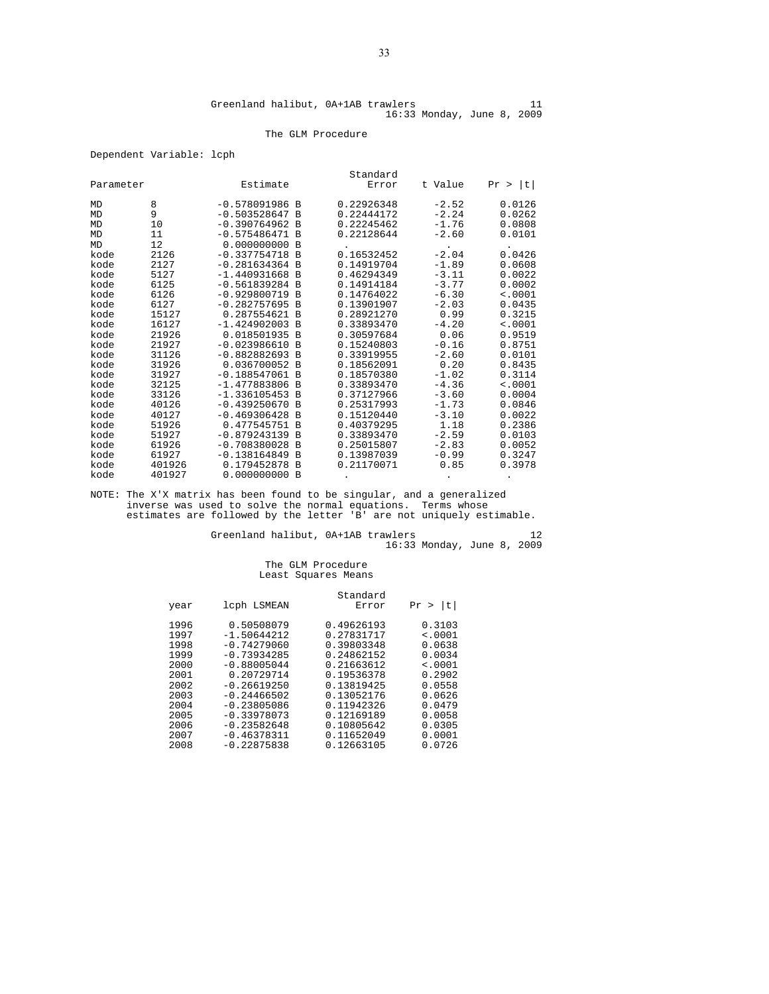#### The GLM Procedure

#### Dependent Variable: lcph

|           |        |                  |          | Standard   |         |         |
|-----------|--------|------------------|----------|------------|---------|---------|
| Parameter |        | Estimate         |          | Error      | t Value | Pr >  t |
| MD        | 8      | $-0.578091986$ B |          | 0.22926348 | $-2.52$ | 0.0126  |
| MD        | 9      | $-0.503528647 B$ |          | 0.22444172 | $-2.24$ | 0.0262  |
| MD        | 10     | $-0.390764962 B$ |          | 0.22245462 | $-1.76$ | 0.0808  |
| MD        | 11     | $-0.575486471 B$ |          | 0.22128644 | $-2.60$ | 0.0101  |
| MD        | 12     | $0.000000000$ B  |          |            |         |         |
| kode      | 2126   | $-0.337754718 B$ |          | 0.16532452 | $-2.04$ | 0.0426  |
| kode      | 2127   | $-0.281634364 B$ |          | 0.14919704 | $-1.89$ | 0.0608  |
| kode      | 5127   | $-1.440931668$ B |          | 0.46294349 | $-3.11$ | 0.0022  |
| kode      | 6125   | $-0.561839284 B$ |          | 0.14914184 | $-3.77$ | 0.0002  |
| kode      | 6126   | $-0.929800719$ B |          | 0.14764022 | $-6.30$ | < .0001 |
| kode      | 6127   | $-0.282757695 B$ |          | 0.13901907 | $-2.03$ | 0.0435  |
| kode      | 15127  | 0.287554621 B    |          | 0.28921270 | 0.99    | 0.3215  |
| kode      | 16127  | $-1.424902003$ B |          | 0.33893470 | $-4.20$ | < .0001 |
| kode      | 21926  | 0.018501935 B    |          | 0.30597684 | 0.06    | 0.9519  |
| kode      | 21927  | $-0.023986610 B$ |          | 0.15240803 | $-0.16$ | 0.8751  |
| kode      | 31126  | $-0.882882693 B$ |          | 0.33919955 | $-2.60$ | 0.0101  |
| kode      | 31926  | 0.036700052 B    |          | 0.18562091 | 0.20    | 0.8435  |
| kode      | 31927  | $-0.188547061$ B |          | 0.18570380 | $-1.02$ | 0.3114  |
| kode      | 32125  | $-1.477883806 B$ |          | 0.33893470 | $-4.36$ | < .0001 |
| kode      | 33126  | $-1.336105453$ B |          | 0.37127966 | $-3.60$ | 0.0004  |
| kode      | 40126  | $-0.439250670 B$ |          | 0.25317993 | $-1.73$ | 0.0846  |
| kode      | 40127  | $-0.469306428$   | <b>B</b> | 0.15120440 | $-3.10$ | 0.0022  |
| kode      | 51926  | 0.477545751      | <b>B</b> | 0.40379295 | 1.18    | 0.2386  |
| kode      | 51927  | $-0.879243139 B$ |          | 0.33893470 | $-2.59$ | 0.0103  |
| kode      | 61926  | $-0.708380028$   | <b>B</b> | 0.25015807 | $-2.83$ | 0.0052  |
| kode      | 61927  | $-0.138164849 B$ |          | 0.13987039 | $-0.99$ | 0.3247  |
| kode      | 401926 | 0.179452878      | <b>B</b> | 0.21170071 | 0.85    | 0.3978  |
| kode      | 401927 | 0.000000000      | <b>B</b> |            |         |         |

NOTE: The X'X matrix has been found to be singular, and a generalized inverse was used to solve the normal equations. Terms whose estimates are followed by the letter 'B' are not uniquely estimable.

Greenland halibut, 0A+1AB trawlers 12 16:33 Monday, June 8, 2009

# The GLM Procedure Least Squares Means

|              |                             | Standard                 |                       |
|--------------|-----------------------------|--------------------------|-----------------------|
| year         | lcph LSMEAN                 | Error                    | t <br>Pr<br>$\geq$    |
| 1996<br>1997 | 0.50508079<br>$-1.50644212$ | 0.49626193<br>0.27831717 | 0.3103<br>$\leq 0001$ |
| 1998         | $-0.74279060$               | 0.39803348               | 0.0638                |
| 1999         | $-0.73934285$               | 0.24862152               | 0.0034                |
| 2000         | $-0.88005044$               | 0.21663612               | < .0001               |
| 2001         | 0.20729714                  | 0.19536378               | 0.2902                |
| 2002         | $-0.26619250$               | 0.13819425               | 0.0558                |
| 2003         | $-0.24466502$               | 0.13052176               | 0.0626                |
| 2004         | $-0.23805086$               | 0.11942326               | 0.0479                |
| 2005         | $-0.33978073$               | 0.12169189               | 0.0058                |
| 2006         | $-0.23582648$               | 0.10805642               | 0.0305                |
| 2007         | $-0.46378311$               | 0.11652049               | 0.0001                |
| 2008         | $-0.22875838$               | 0.12663105               | 0.0726                |
|              |                             |                          |                       |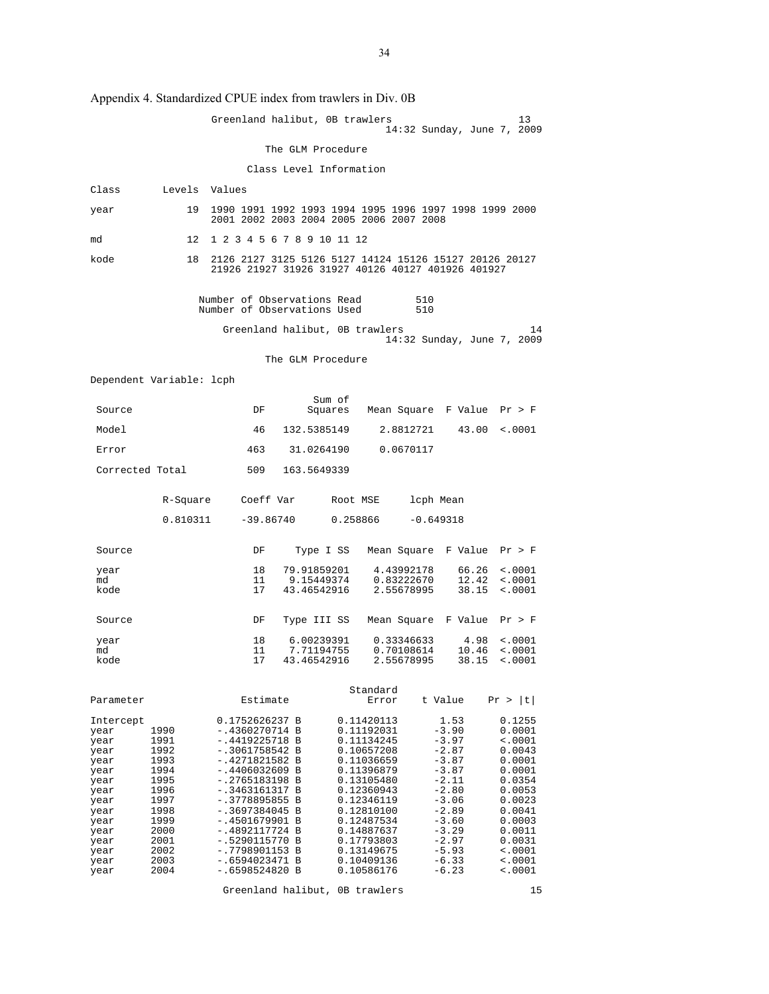Appendix 4. Standardized CPUE index from trawlers in Div. 0B

|                 |                          | Greenland halibut, OB trawlers                                                                              | 13<br>14:32 Sunday, June 7, 2009                     |
|-----------------|--------------------------|-------------------------------------------------------------------------------------------------------------|------------------------------------------------------|
|                 |                          | The GLM Procedure                                                                                           |                                                      |
|                 |                          | Class Level Information                                                                                     |                                                      |
| Class           | Levels Values            |                                                                                                             |                                                      |
| year            | 19                       | 1990 1991 1992 1993 1994 1995 1996 1997 1998 1999 2000<br>2001 2002 2003 2004 2005 2006 2007 2008           |                                                      |
| md              | 12 <sup>°</sup>          | 1 2 3 4 5 6 7 8 9 10 11 12                                                                                  |                                                      |
|                 |                          |                                                                                                             |                                                      |
| kode            | 18                       | 2126 2127 3125 5126 5127 14124 15126 15127 20126 20127<br>21926 21927 31926 31927 40126 40127 401926 401927 |                                                      |
|                 |                          | Number of Observations Read<br>510<br>Number of Observations Used<br>510                                    |                                                      |
|                 |                          | Greenland halibut, OB trawlers                                                                              | 14<br>14:32 Sunday, June 7, 2009                     |
|                 |                          | The GLM Procedure                                                                                           |                                                      |
|                 | Dependent Variable: lcph |                                                                                                             |                                                      |
| Source          |                          | Sum of<br>Mean Square F Value<br>DF<br>Squares                                                              | Pr > F                                               |
| Model           |                          | 46<br>132.5385149<br>2.8812721                                                                              | 43.00<br>$\sim 0001$                                 |
| Error           |                          | 31.0264190<br>0.0670117<br>463                                                                              |                                                      |
| Corrected Total |                          | 163.5649339<br>509                                                                                          |                                                      |
|                 | R-Square                 | Coeff Var<br>lcph Mean<br>Root MSE                                                                          |                                                      |
|                 | 0.810311                 | $-39.86740$<br>0.258866<br>$-0.649318$                                                                      |                                                      |
| Source          |                          | Mean Square F Value<br>DF<br>Type I SS                                                                      | Pr > F                                               |
| year<br>md      |                          | 18<br>79.91859201<br>4.43992178<br>11<br>9.15449374<br>0.83222670                                           | 66.26<br>$\frac{1}{2}$ .0001<br>12.42<br>$\sim 0001$ |
| kode            |                          | 43.46542916<br>2.55678995<br>17                                                                             | 38.15<br>$\sim 0001$                                 |
| Source          |                          | Mean Square F Value<br>DF<br>Type III SS                                                                    | Pr > F                                               |
| year<br>md      |                          | 18<br>6.00239391<br>0.33346633<br>11<br>7.71194755<br>0.70108614                                            | 4.98<br>$\sim 0001$<br>10.46<br>$\sim 0001$          |
| kode            |                          | 17<br>43.46542916<br>2.55678995                                                                             | 38.15<br>< .0001                                     |
|                 |                          |                                                                                                             |                                                      |
| Parameter       |                          | Standard<br>t Value<br>Estimate<br>Error                                                                    | Pr >  t                                              |
| Intercept       |                          | 0.1752626237 B<br>0.11420113<br>1.53                                                                        | 0.1255                                               |
| year<br>year    | 1990<br>1991             | -.4360270714 B<br>0.11192031<br>$-3.90$<br>$-3.97$<br>-.4419225718 B<br>0.11134245                          | 0.0001<br>$\sim 0001$                                |
| year            | 1992                     | 0.10657208<br>$-2.87$<br>-.3061758542 B                                                                     | 0.0043                                               |
| year            | 1993                     | -.4271821582 B<br>0.11036659<br>$-3.87$<br>$-.4406032609$ B<br>0.11396879<br>$-3.87$                        | 0.0001                                               |
| year<br>year    | 1994<br>1995             | -.2765183198 B<br>0.13105480<br>-2.11                                                                       | 0.0001<br>0.0354                                     |
| year            | 1996                     | -.3463161317 B<br>0.12360943<br>$-2.80$                                                                     | 0.0053                                               |
| year            | 1997<br>1998             | $-.3778895855 B$<br>0.12346119<br>$-3.06$<br>$-.3697384045$ B<br>$-2.89$<br>0.12810100                      | 0.0023<br>0.0041                                     |
| year<br>year    | 1999                     | -.4501679901 B<br>0.12487534<br>$-3.60$                                                                     | 0.0003                                               |
| year            | 2000                     | $-3.29$<br>-.4892117724 B<br>0.14887637                                                                     | 0.0011                                               |
| year            | 2001                     | -.5290115770 B<br>0.17793803<br>$-2.97$<br>-.7798901153 B<br>0.13149675<br>$-5.93$                          | 0.0031<br><.0001                                     |
| year<br>year    | 2002<br>2003             | $-6.33$<br>-.6594023471 B<br>0.10409136                                                                     | <.0001                                               |
| year            | 2004                     | -.6598524820 B<br>0.10586176<br>$-6.23$                                                                     | $\ddotsc 0001$                                       |

Greenland halibut, 0B trawlers 15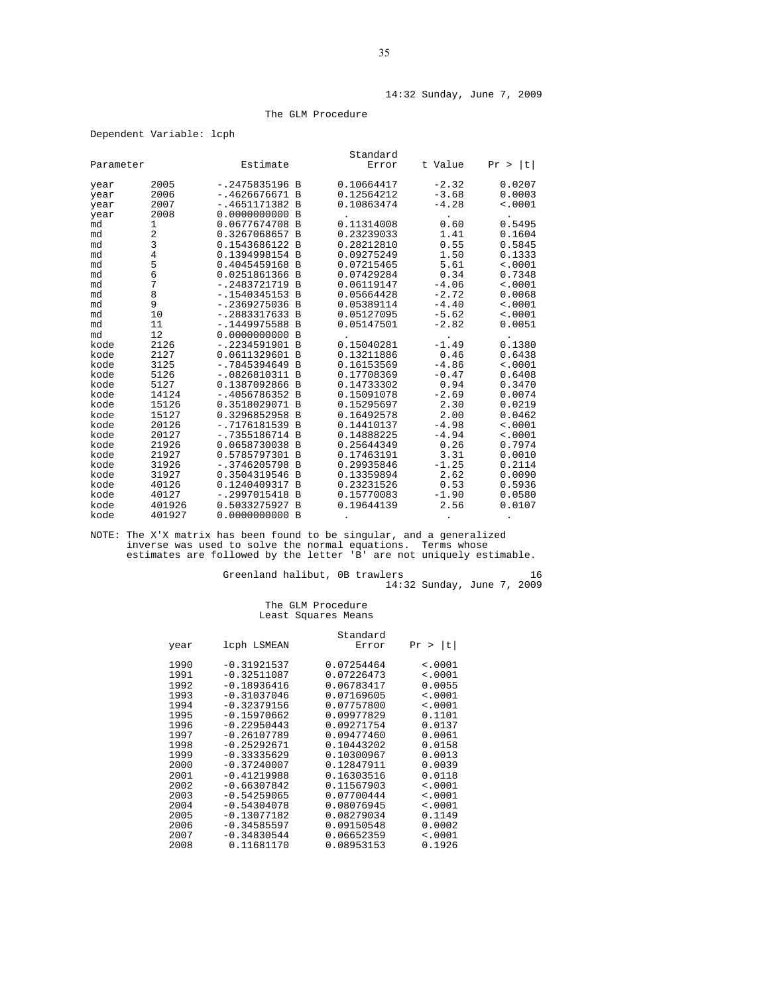#### 14:32 Sunday, June 7, 2009

#### The GLM Procedure

| Parameter              |                              | Estimate                                                                  |                                  | Standard<br>Error                      | t Value                       | t <br>Pr >                  |
|------------------------|------------------------------|---------------------------------------------------------------------------|----------------------------------|----------------------------------------|-------------------------------|-----------------------------|
| year<br>year<br>year   | 2005<br>2006<br>2007<br>2008 | $-.2475835196$ B<br>$-.4626676671 B$<br>$-.4651171382B$<br>0.0000000000 B |                                  | 0.10664417<br>0.12564212<br>0.10863474 | $-2.32$<br>$-3.68$<br>$-4.28$ | 0.0207<br>0.0003<br>< .0001 |
| year<br>md<br>md<br>md | 1<br>$\sqrt{2}$<br>3         | 0.0677674708 B<br>0.3267068657 B<br>0.1543686122 B                        |                                  | 0.11314008<br>0.23239033<br>0.28212810 | 0.60<br>1.41<br>0.55          | 0.5495<br>0.1604<br>0.5845  |
| md                     | $\,4$                        | 0.1394998154 B                                                            | $\overline{B}$                   | 0.09275249                             | 1.50                          | 0.1333                      |
| md                     | 5                            | 0.4045459168 B                                                            |                                  | 0.07215465                             | 5.61                          | < .0001                     |
| md                     | 6                            | 0.0251861366                                                              |                                  | 0.07429284                             | 0.34                          | 0.7348                      |
| md                     | 7                            | $-.2483721719$ B                                                          |                                  | 0.06119147                             | $-4.06$                       | < .0001                     |
| md                     | 8                            | $-.1540345153 B$                                                          |                                  | 0.05664428                             | $-2.72$                       | 0.0068                      |
| md                     | 9                            | $-.2369275036$ B                                                          |                                  | 0.05389114                             | $-4.40$                       | < .0001                     |
| md<br>md<br>md         | 10<br>11<br>12               | $-.2883317633 B$<br>$-.1449975588B$<br>0.0000000000 B                     |                                  | 0.05127095<br>0.05147501               | $-5.62$<br>$-2.82$            | < .0001<br>0.0051           |
| kode                   | 2126                         | $-.2234591901 B$                                                          |                                  | 0.15040281                             | $-1.49$                       | 0.1380                      |
| kode                   | 2127                         | 0.0611329601 B                                                            |                                  | 0.13211886                             | 0.46                          | 0.6438                      |
| kode                   | 3125                         | $-.7845394649 B$                                                          |                                  | 0.16153569                             | $-4.86$                       | < .0001                     |
| kode                   | 5126                         | $-.0826810311$ B                                                          |                                  | 0.17708369                             | $-0.47$                       | 0.6408                      |
| kode                   | 5127                         | 0.1387092866 B                                                            |                                  | 0.14733302                             | 0.94                          | 0.3470                      |
| kode                   | 14124                        | $-.4056786352 B$                                                          |                                  | 0.15091078                             | $-2.69$                       | 0.0074                      |
| kode                   | 15126                        | 0.3518029071 B                                                            | $\overline{B}$                   | 0.15295697                             | 2.30                          | 0.0219                      |
| kode                   | 15127                        | 0.3296852958                                                              |                                  | 0.16492578                             | 2.00                          | 0.0462                      |
| kode                   | 20126                        | $-.7176181539 B$                                                          |                                  | 0.14410137                             | $-4.98$                       | < .0001                     |
| kode                   | 20127                        | $-.7355186714$ B                                                          |                                  | 0.14888225                             | $-4.94$                       | < .0001                     |
| kode                   | 21926                        | 0.0658730038 B                                                            |                                  | 0.25644349                             | 0.26                          | 0.7974                      |
| kode<br>kode<br>kode   | 21927<br>31926<br>31927      | 0.5785797301 B<br>$-.3746205798$<br>0.3504319546                          | $\overline{B}$<br>$\overline{B}$ | 0.17463191<br>0.29935846<br>0.13359894 | 3.31<br>$-1.25$<br>2.62       | 0.0010<br>0.2114<br>0.0090  |
| kode                   | 40126                        | 0.1240409317 B                                                            | $\overline{B}$                   | 0.23231526                             | 0.53                          | 0.5936                      |
| kode                   | 40127                        | $-.2997015418$                                                            |                                  | 0.15770083                             | $-1.90$                       | 0.0580                      |
| kode                   | 401926                       | 0.5033275927 B                                                            |                                  | 0.19644139                             | 2.56                          | 0.0107                      |
| kode                   | 401927                       | 0.0000000000 B                                                            |                                  |                                        |                               |                             |

NOTE: The X'X matrix has been found to be singular, and a generalized inverse was used to solve the normal equations. Terms whose estimates are followed by the letter 'B' are not uniquely estimable.

Greenland halibut, 0B trawlers 16 14:32 Sunday, June 7, 2009

#### The GLM Procedure Least Squares Means

|      |               | Standard   |             |
|------|---------------|------------|-------------|
| year | lcph LSMEAN   | Error      | >  t <br>Pr |
| 1990 | $-0.31921537$ | 0.07254464 | $\sim 0001$ |
| 1991 | $-0.32511087$ | 0.07226473 | < .0001     |
| 1992 | $-0.18936416$ | 0.06783417 | 0.0055      |
| 1993 | $-0.31037046$ | 0.07169605 | < .0001     |
| 1994 | $-0.32379156$ | 0.07757800 | < .0001     |
| 1995 | $-0.15970662$ | 0.09977829 | 0.1101      |
| 1996 | $-0.22950443$ | 0.09271754 | 0.0137      |
| 1997 | $-0.26107789$ | 0.09477460 | 0.0061      |
| 1998 | $-0.25292671$ | 0.10443202 | 0.0158      |
| 1999 | $-0.33335629$ | 0.10300967 | 0.0013      |
| 2000 | $-0.37240007$ | 0.12847911 | 0.0039      |
| 2001 | $-0.41219988$ | 0.16303516 | 0.0118      |
| 2002 | $-0.66307842$ | 0.11567903 | < .0001     |
| 2003 | $-0.54259065$ | 0.07700444 | < .0001     |
| 2004 | $-0.54304078$ | 0.08076945 | < .0001     |
| 2005 | $-0.13077182$ | 0.08279034 | 0.1149      |
| 2006 | $-0.34585597$ | 0.09150548 | 0.0002      |
| 2007 | $-0.34830544$ | 0.06652359 | $\sim 0001$ |
| 2008 | 0.11681170    | 0.08953153 | 0.1926      |

#### Dependent Variable: lcph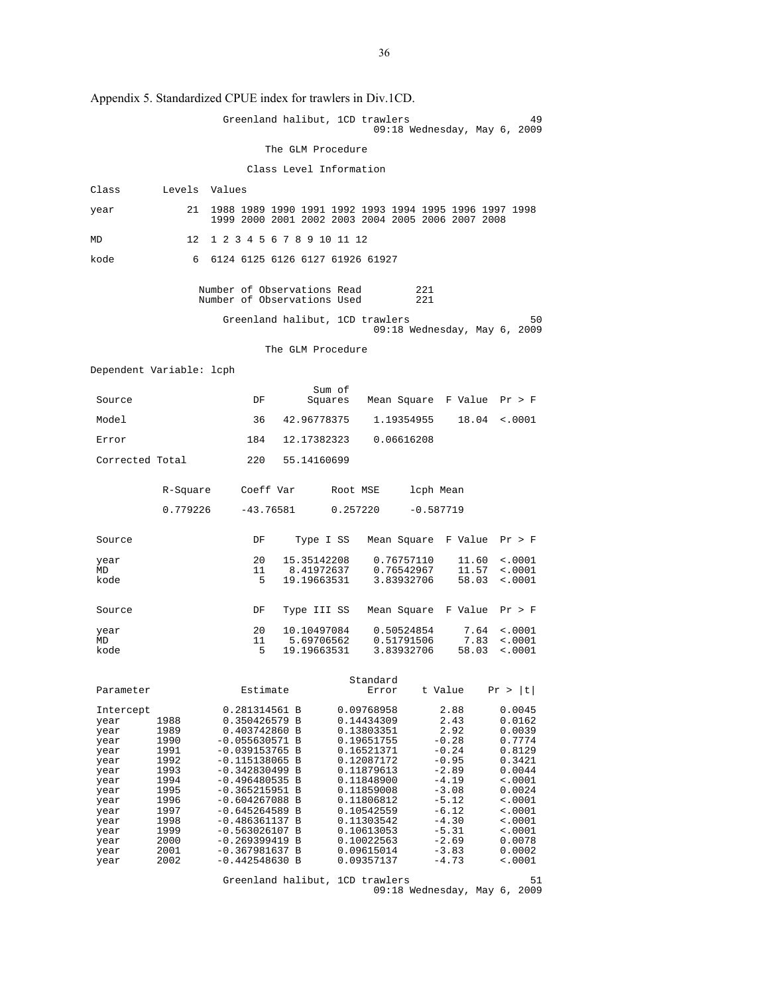Appendix 5. Standardized CPUE index for trawlers in Div.1CD.

|                          |                 | Appendix 5. Standardized CPUE index for trawlers in Div.ICD.                                                |                           |          |                          |             |                            |                                      |
|--------------------------|-----------------|-------------------------------------------------------------------------------------------------------------|---------------------------|----------|--------------------------|-------------|----------------------------|--------------------------------------|
|                          |                 | Greenland halibut, 1CD trawlers                                                                             |                           |          |                          |             |                            | 49<br>$09:18$ Wednesday, May 6, 2009 |
|                          |                 |                                                                                                             | The GLM Procedure         |          |                          |             |                            |                                      |
|                          |                 |                                                                                                             | Class Level Information   |          |                          |             |                            |                                      |
| Class                    | Levels Values   |                                                                                                             |                           |          |                          |             |                            |                                      |
| year                     | 21              | 1988 1989 1990 1991 1992 1993 1994 1995 1996 1997 1998<br>1999 2000 2001 2002 2003 2004 2005 2006 2007 2008 |                           |          |                          |             |                            |                                      |
| MD                       | 12 <sup>°</sup> | 1 2 3 4 5 6 7 8 9 10 11 12                                                                                  |                           |          |                          |             |                            |                                      |
| kode                     | 6               | 6124 6125 6126 6127 61926 61927                                                                             |                           |          |                          |             |                            |                                      |
|                          |                 | Number of Observations Read<br>Number of Observations Used                                                  |                           |          |                          | 221<br>221  |                            |                                      |
|                          |                 | Greenland halibut, 1CD trawlers                                                                             |                           |          |                          |             |                            | 50                                   |
|                          |                 |                                                                                                             | The GLM Procedure         |          |                          |             |                            | $09:18$ Wednesday, May 6, 2009       |
|                          |                 |                                                                                                             |                           |          |                          |             |                            |                                      |
| Dependent Variable: lcph |                 |                                                                                                             |                           |          |                          |             |                            |                                      |
| Source                   |                 | DF                                                                                                          | Sum of<br>Squares         |          |                          |             | Mean Square F Value Pr > F |                                      |
| Model                    |                 | 36                                                                                                          | 42.96778375               |          | 1.19354955               |             | 18.04                      | $\sim 0001$                          |
| Error                    |                 | 184                                                                                                         | 12.17382323               |          | 0.06616208               |             |                            |                                      |
| Corrected Total          |                 | 220                                                                                                         | 55.14160699               |          |                          |             |                            |                                      |
|                          | R-Square        | Coeff Var                                                                                                   |                           | Root MSE |                          | lcph Mean   |                            |                                      |
|                          | 0.779226        | -43.76581                                                                                                   |                           | 0.257220 |                          | $-0.587719$ |                            |                                      |
|                          |                 |                                                                                                             |                           |          |                          |             |                            |                                      |
| Source                   |                 | DF                                                                                                          | Type I SS                 |          |                          |             | Mean Square F Value Pr > F |                                      |
| year<br>MD               |                 | 20<br>11                                                                                                    | 15.35142208<br>8.41972637 |          | 0.76757110<br>0.76542967 |             | 11.60<br>11.57             | $\sim 0001$<br>< .0001               |
| kode                     |                 | 5                                                                                                           | 19.19663531               |          | 3.83932706               |             | 58.03                      | < .0001                              |
| Source                   |                 | DF                                                                                                          | Type III SS               |          |                          |             | Mean Square F Value Pr > F |                                      |
| year                     |                 | 20                                                                                                          | 10.10497084               |          | 0.50524854               |             | 7.64                       | < .0001                              |
| MD<br>kode               |                 | 11<br>5                                                                                                     | 5.69706562<br>19.19663531 |          | 0.51791506<br>3.83932706 |             | 7.83<br>58.03              | $\sim 0001$<br>< .0001               |
| Parameter                |                 | Estimate                                                                                                    |                           |          | Standard<br>Error        |             | t Value                    | Pr >  t                              |
| Intercept                |                 | 0.281314561 B                                                                                               |                           |          | 0.09768958               |             | 2.88                       | 0.0045                               |
| year<br>year             | 1988<br>1989    | 0.350426579 B<br>0.403742860 B                                                                              |                           |          | 0.14434309<br>0.13803351 |             | 2.43<br>2.92               | 0.0162<br>0.0039                     |
| year                     | 1990<br>1991    | $-0.055630571 B$                                                                                            |                           |          | 0.19651755               |             | $-0.28$                    | 0.7774                               |
| year<br>year             | 1992            | $-0.039153765 B$<br>$-0.115138065$ B                                                                        |                           |          | 0.16521371<br>0.12087172 |             | $-0.24$<br>$-0.95$         | 0.8129<br>0.3421                     |
| year<br>year             | 1993<br>1994    | $-0.342830499 B$<br>$-0.496480535 B$                                                                        |                           |          | 0.11879613<br>0.11848900 |             | $-2.89$<br>$-4.19$         | 0.0044<br>$\sim 0001$                |
| year                     | 1995            | $-0.365215951 B$                                                                                            |                           |          | 0.11859008               |             | $-3.08$                    | 0.0024                               |
| year<br>year             | 1996<br>1997    | $-0.604267088$ B<br>$-0.645264589 B$                                                                        |                           |          | 0.11806812<br>0.10542559 |             | $-5.12$<br>$-6.12$         | $\sim 0001$<br>< .0001               |
| year<br>year             | 1998<br>1999    | $-0.486361137 B$<br>$-0.563026107$ B                                                                        |                           |          | 0.11303542<br>0.10613053 |             | $-4.30$<br>$-5.31$         | < .0001<br>$\sim 0001$               |
| year                     | 2000            | $-0.269399419 B$                                                                                            |                           |          | 0.10022563               |             | $-2.69$                    | 0.0078                               |
| year<br>year             | 2001<br>2002    | $-0.367981637 B$<br>$-0.442548630 B$                                                                        |                           |          | 0.09615014<br>0.09357137 |             | $-3.83$<br>$-4.73$         | 0.0002<br>$\sim 0001$                |
|                          |                 | Greenland halibut, 1CD trawlers                                                                             |                           |          |                          |             |                            | 51<br>09:18 Wednesday, May 6, 2009   |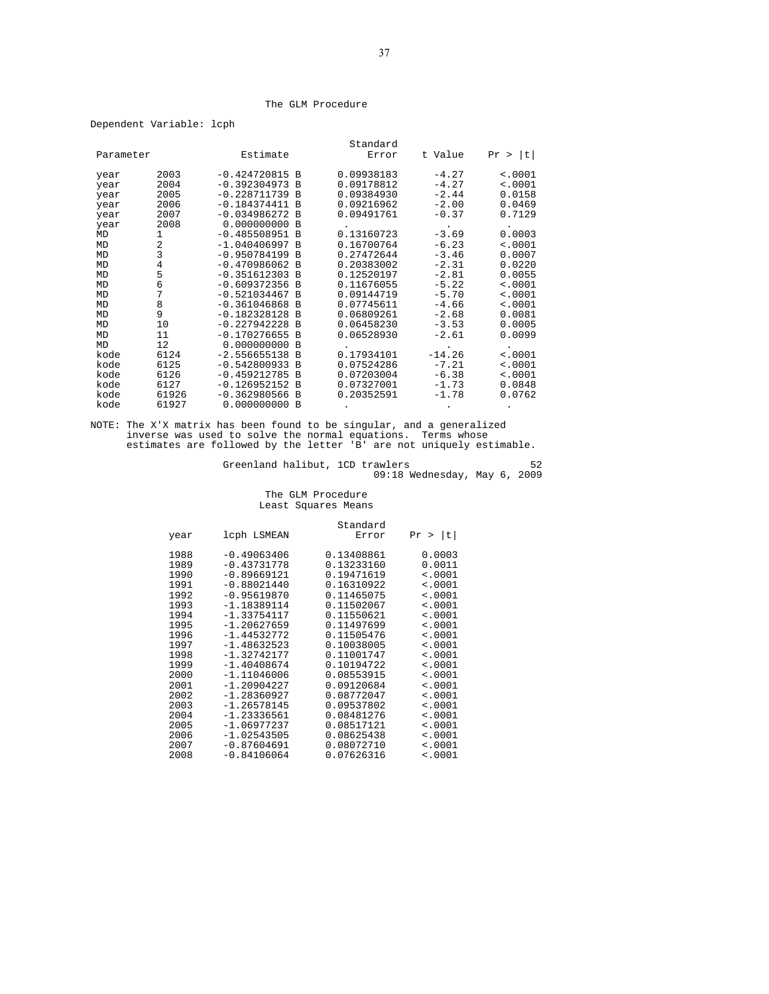#### The GLM Procedure

Dependent Variable: lcph

|           |       |                  |              | Standard   |          |             |
|-----------|-------|------------------|--------------|------------|----------|-------------|
| Parameter |       | Estimate         |              | Error      | t Value  | t <br>Pr >  |
|           |       |                  |              |            |          |             |
| year      | 2003  | $-0.424720815$ B |              | 0.09938183 | $-4.27$  | $\leq 0001$ |
| year      | 2004  | $-0.392304973$   | <b>B</b>     | 0.09178812 | $-4.27$  | < .0001     |
| year      | 2005  | $-0.228711739 B$ |              | 0.09384930 | $-2.44$  | 0.0158      |
| year      | 2006  | $-0.184374411$   | B            | 0.09216962 | $-2.00$  | 0.0469      |
| year      | 2007  | $-0.034986272 B$ |              | 0.09491761 | $-0.37$  | 0.7129      |
| year      | 2008  | 0.000000000      | <b>B</b>     |            |          |             |
| MD        | 1     | $-0.485508951$   | B            | 0.13160723 | $-3.69$  | 0.0003      |
| MD        | 2     | $-1.040406997$   | $\mathbf{B}$ | 0.16700764 | $-6.23$  | < .0001     |
| MD        | 3     | $-0.950784199 B$ |              | 0.27472644 | $-3.46$  | 0.0007      |
| MD        | 4     | $-0.470986062$   | - B          | 0.20383002 | $-2.31$  | 0.0220      |
| MD        | 5     | $-0.351612303$ B |              | 0.12520197 | $-2.81$  | 0.0055      |
| MD        | 6     | $-0.609372356$   | B            | 0.11676055 | $-5.22$  | < .0001     |
| MD        | 7     | $-0.521034467$   | B            | 0.09144719 | $-5.70$  | $\leq 0001$ |
| MD        | 8     | $-0.361046868$   | B            | 0.07745611 | $-4.66$  | < .0001     |
| MD        | 9     | $-0.182328128$   | <b>B</b>     | 0.06809261 | $-2.68$  | 0.0081      |
| MD        | 10    | $-0.227942228$   | B            | 0.06458230 | $-3.53$  | 0.0005      |
| MD        | 11    | $-0.170276655$   | <b>B</b>     | 0.06528930 | $-2.61$  | 0.0099      |
| MD        | 12    | 0.000000000      | B            |            |          |             |
| kode      | 6124  | $-2.556655138$   | <b>B</b>     | 0.17934101 | $-14.26$ | < .0001     |
| kode      | 6125  | $-0.542800933$   | B            | 0.07524286 | $-7.21$  | < .0001     |
| kode      | 6126  | $-0.459212785 B$ |              | 0.07203004 | $-6.38$  | < .0001     |
| kode      | 6127  | $-0.126952152$   | <b>B</b>     | 0.07327001 | $-1.73$  | 0.0848      |
| kode      | 61926 | $-0.362980566$   | B            | 0.20352591 | $-1.78$  | 0.0762      |
| kode      | 61927 | 0.000000000      | B            |            |          |             |

NOTE: The X'X matrix has been found to be singular, and a generalized inverse was used to solve the normal equations. Terms whose estimates are followed by the letter 'B' are not uniquely estimable.

Greenland halibut, 1CD trawlers 52 09:18 Wednesday, May 6, 2009

#### The GLM Procedure Least Squares Means

|      |               | Standard   |             |
|------|---------------|------------|-------------|
| year | lcph LSMEAN   | Error      | Pr >  t     |
| 1988 | $-0.49063406$ | 0.13408861 | 0.0003      |
| 1989 | $-0.43731778$ | 0.13233160 | 0.0011      |
| 1990 | $-0.89669121$ | 0.19471619 | < .0001     |
| 1991 | $-0.88021440$ | 0.16310922 | < .0001     |
| 1992 | $-0.95619870$ | 0.11465075 | < .0001     |
| 1993 | $-1.18389114$ | 0.11502067 | < .0001     |
| 1994 | $-1.33754117$ | 0.11550621 | $\leq 0001$ |
| 1995 | $-1.20627659$ | 0.11497699 | $\sim 0001$ |
| 1996 | $-1.44532772$ | 0.11505476 | < .0001     |
| 1997 | $-1.48632523$ | 0.10038005 | < .0001     |
| 1998 | $-1.32742177$ | 0.11001747 | < .0001     |
| 1999 | $-1.40408674$ | 0.10194722 | < .0001     |
| 2000 | $-1.11046006$ | 0.08553915 | < .0001     |
| 2001 | $-1.20904227$ | 0.09120684 | $\leq 0001$ |
| 2002 | $-1.28360927$ | 0.08772047 | $\sim 0001$ |
| 2003 | $-1.26578145$ | 0.09537802 | < .0001     |
| 2004 | $-1.23336561$ | 0.08481276 | < .0001     |
| 2005 | $-1.06977237$ | 0.08517121 | < .0001     |
| 2006 | $-1.02543505$ | 0.08625438 | < .0001     |
| 2007 | $-0.87604691$ | 0.08072710 | < .0001     |
| 2008 | $-0.84106064$ | 0.07626316 | < .0001     |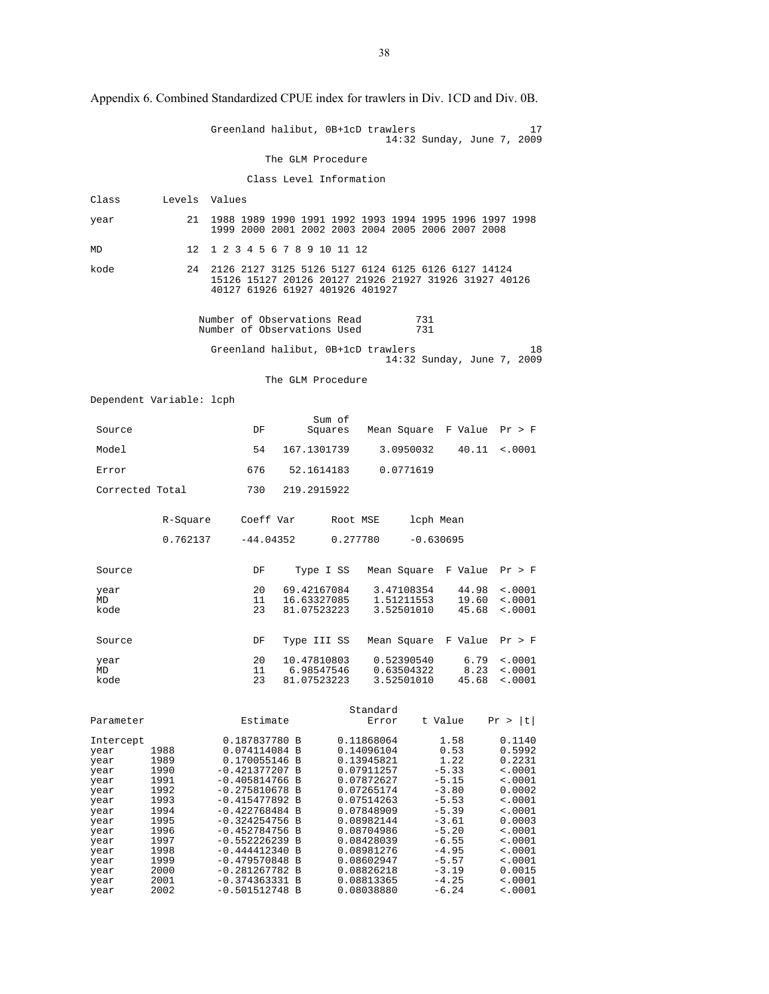Greenland halibut, 0B+1cD trawlers 17 14:32 Sunday, June 7, 2009 The GLM Procedure Class Level Information Class Levels Values year 21 1988 1989 1990 1991 1992 1993 1994 1995 1996 1997 1998 1999 2000 2001 2002 2003 2004 2005 2006 2007 2008 MD 12 1 2 3 4 5 6 7 8 9 10 11 12 kode 24 2126 2127 3125 5126 5127 6124 6125 6126 6127 14124 15126 15127 20126 20127 21926 21927 31926 31927 40126 40127 61926 61927 401926 401927 Number of Observations Read 731 Number of Observations Used 731 Greenland halibut, 0B+1cD trawlers 18 14:32 Sunday, June 7, 2009 The GLM Procedure Dependent Variable: lcph Sum of Source Source DF Squares Mean Square F Value  $Pr > F$  Model 54 167.1301739 3.0950032 40.11 <.0001 Error 676 52.1614183 0.0771619 Corrected Total 730 219.2915922 R-Square Coeff Var Root MSE lcph Mean 0.762137 -44.04352 0.277780 -0.630695 Source DF Type I SS Mean Square F Value Pr > F year 20 69.42167084 3.47108354 44.98 <.0001 ND 11 16.63327085 1.51211553 19.60 <.0001 MD 11 16.63327085 1.51211553 19.60 <.0001<br>11 16.63327085 1.51211553 19.60 <.0001<br>23 81.07523223 3.52501010 45.68 <.0001  $45.68 < .0001$  Source DF Type III SS Mean Square F Value Pr > F year 20 10.47810803 0.52390540 6.79 <.0001<br>MD 11 6.98547546 0.63504322 8.23 <.0001<br>kode 23 81.07523223 3.52501010 45.68 <.0001 MD 11 6.98547546 0.63504322 8.23 <.0001 kode 23 81.07523223 3.52501010 45.68 <.0001 Standard Parameter Estimate Error t Value Pr > |t| 11110201111084 B 0.187837780 B 0.11868064 1.58 0.1140<br>1988 0.074114084 B 0.14096104 0.53 0.5992<br>1989 0.170055146 B 0.13945821 1.22 0.2231 year 1988 0.074114084 B 0.14096104 0.53 0.5992 year 1989 0.170055146 B 0.13945821 1.22 0.2231 year 1990 -0.421377207 B 0.07911257 -5.33 <.0001 year 1991 -0.405814766 B 0.07872627 -5.15 <.0001<br>year 1992 -0.275810678 B 0.07265174 -3.80 0.0002 year 1992 -0.275810678 B 0.07265174 -3.80 0.0002<br>year 1993 -0.415477892 B 0.07514263 -5.53 <.0001  $\begin{array}{cccccccc} 1993 & -0.415477892 & B & 0.07514263 & -5.53 & < 0.001 \\ 1994 & -0.422768484 & B & 0.07848909 & -5.39 & < 0.001 \end{array}$ year 1994 -0.422768484 B 0.07848909 -5.39 <.0001 year 1995 -0.324254756 B 0.08982144 -3.61 0.0003<br>year 1996 -0.452784756 B 0.08704986 -5.20 <.0001<br>year 1997 -0.552226239 B 0.08428039 -6.55 <.0001 year 1996 -0.452784756 B 0.08704986 -5.20 <.0001 year 1997 -0.552226239 B 0.08428039 -6.55 <.0001 year 1998 -0.444412340 B 0.08981276 -4.95 <.0001 year 1999 -0.479570848 B 0.08602947 -5.57 <.0001 year 2000 -0.281267782 B 0.08826218 -3.19 0.0015<br>year 2001 -0.374363331 B 0.08813365 -4.25 <.0001 year 2001 -0.374363331 B 0.08813365 -4.25 <.0001  $-0.501512748$  B

Appendix 6. Combined Standardized CPUE index for trawlers in Div. 1CD and Div. 0B.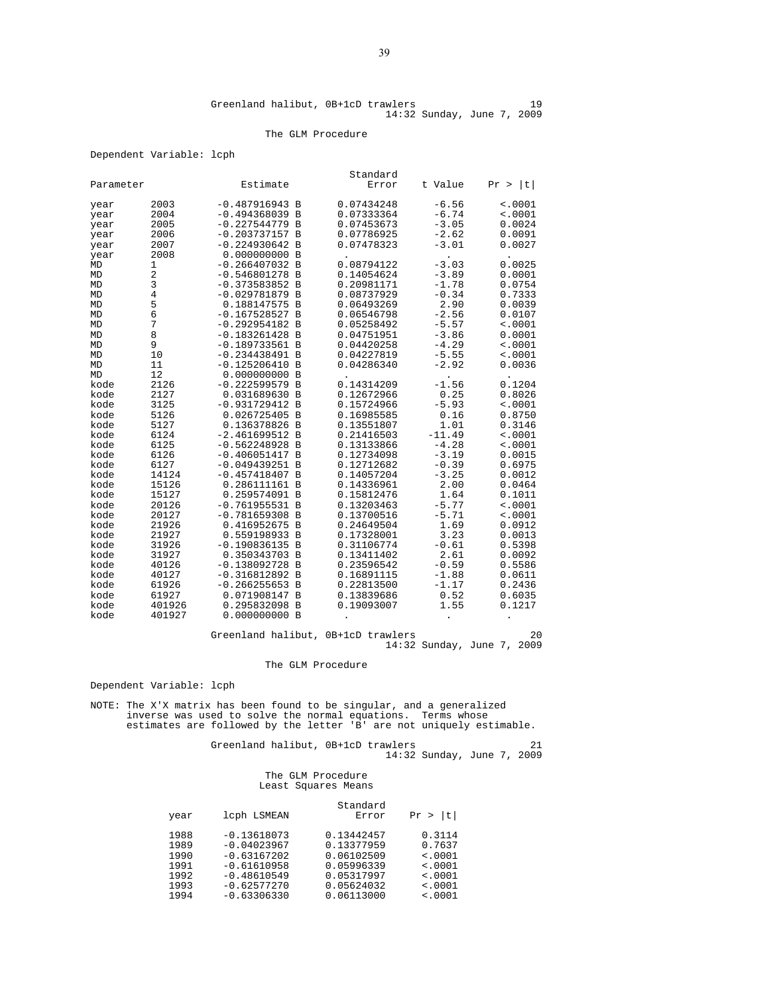#### The GLM Procedure

#### Dependent Variable: lcph

|              |                |                                   |                | Standard                 |                    |                  |
|--------------|----------------|-----------------------------------|----------------|--------------------------|--------------------|------------------|
| Parameter    |                | Estimate                          |                | Error                    | t Value            | lt I<br>Pr >     |
| year         | 2003           | $-0.487916943 B$                  |                | 0.07434248               | $-6.56$            | $\sim 0001$      |
| year         | 2004           | $-0.494368039$ B                  |                | 0.07333364               | $-6.74$            | < .0001          |
| year         | 2005           | $-0.227544779$                    | B              | 0.07453673               | $-3.05$            | 0.0024           |
| year         | 2006           | $-0.203737157$ B                  |                | 0.07786925               | $-2.62$            | 0.0091           |
| year         | 2007           | $-0.224930642 B$                  |                | 0.07478323               | $-3.01$            | 0.0027           |
| year         | 2008           | 0.000000000 B                     |                |                          |                    |                  |
| MD           | 1              | $-0.266407032 B$                  |                | 0.08794122               | -3.03              | 0.0025           |
| MD           | 2              | $-0.546801278$ B                  |                | 0.14054624               | $-3.89$            | 0.0001           |
| MD           | 3              | $-0.373583852$                    | $\overline{B}$ | 0.20981171               | $-1.78$            | 0.0754           |
| MD           | 4              | $-0.029781879$ B                  |                | 0.08737929               | $-0.34$            | 0.7333           |
| MD           | 5              | 0.188147575 B                     |                | 0.06493269               | 2.90               | 0.0039           |
| MD           | 6              | $-0.167528527$ B                  |                | 0.06546798               | $-2.56$            | 0.0107           |
| MD           | 7              | $-0.292954182 B$                  |                | 0.05258492               | $-5.57$            | < .0001          |
| MD           | 8              | $-0.183261428$                    | B              | 0.04751951               | $-3.86$            | 0.0001           |
| MD           | 9              | $-0.189733561$ B                  |                | 0.04420258               | $-4.29$            | < .0001          |
| MD           | 10             | $-0.234438491$ B                  |                | 0.04227819               | $-5.55$            | < .0001          |
| MD           | 11             | $-0.125206410$                    | B              | 0.04286340               | $-2.92$            | 0.0036           |
| MD           | 12             | 0.000000000 B                     |                |                          |                    |                  |
| kode         | 2126           | $-0.222599579 B$                  |                | 0.14314209               | $-1.56$            | 0.1204           |
| kode         | 2127           | 0.031689630 B                     |                | 0.12672966               | 0.25               | 0.8026           |
| kode         | 3125           | $-0.931729412 B$                  |                | 0.15724966               | $-5.93$            | < .0001          |
| kode         | 5126           | 0.026725405 B                     |                | 0.16985585               | 0.16               | 0.8750           |
| kode         | 5127           | 0.136378826 B                     |                | 0.13551807               | 1.01               | 0.3146           |
| kode         | 6124           | $-2.461699512 B$                  |                | 0.21416503               | $-11.49$           | < .0001          |
| kode         | 6125           | $-0.562248928$                    | B              | 0.13133866               | $-4.28$            | < .0001          |
| kode         | 6126           | $-0.406051417$ B                  |                | 0.12734098               | $-3.19$            | 0.0015           |
| kode         | 6127           | $-0.049439251$ B                  |                | 0.12712682<br>0.14057204 | $-0.39$<br>$-3.25$ | 0.6975           |
| kode<br>kode | 14124          | $-0.457418407$ B<br>0.286111161 B |                | 0.14336961               | 2.00               | 0.0012           |
| kode         | 15126<br>15127 | 0.259574091 B                     |                | 0.15812476               | 1.64               | 0.0464<br>0.1011 |
| kode         | 20126          | $-0.761955531 B$                  |                | 0.13203463               | $-5.77$            | < .0001          |
| kode         | 20127          | $-0.781659308$                    | B              | 0.13700516               | -5.71              | < .0001          |
| kode         | 21926          | 0.416952675                       | $\overline{B}$ | 0.24649504               | 1.69               | 0.0912           |
| kode         | 21927          | 0.559198933 B                     |                | 0.17328001               | 3.23               | 0.0013           |
| kode         | 31926          | $-0.190836135 B$                  |                | 0.31106774               | $-0.61$            | 0.5398           |
| kode         | 31927          | 0.350343703 B                     |                | 0.13411402               | 2.61               | 0.0092           |
| kode         | 40126          | $-0.138092728$ B                  |                | 0.23596542               | $-0.59$            | 0.5586           |
| kode         | 40127          | $-0.316812892 B$                  |                | 0.16891115               | $-1.88$            | 0.0611           |
| kode         | 61926          | $-0.266255653 B$                  |                | 0.22813500               | $-1.17$            | 0.2436           |
| kode         | 61927          | 0.071908147 B                     |                | 0.13839686               | 0.52               | 0.6035           |
| kode         | 401926         | 0.295832098                       | $\overline{B}$ | 0.19093007               | 1.55               | 0.1217           |
| kode         | 401927         | 0.000000000 B                     |                |                          | $\cdot$            | $\bullet$        |
|              |                |                                   |                |                          |                    |                  |

Greenland halibut, 0B+1cD trawlers 20 14:32 Sunday, June 7, 2009

The GLM Procedure

Dependent Variable: lcph

NOTE: The X'X matrix has been found to be singular, and a generalized inverse was used to solve the normal equations. Terms whose estimates are followed by the letter 'B' are not uniquely estimable.

Greenland halibut, 0B+1cD trawlers 21 14:32 Sunday, June 7, 2009

> The GLM Procedure Least Squares Means

|      |               | Standard   |              |
|------|---------------|------------|--------------|
| year | lcph LSMEAN   | Error      | lt I<br>Pr > |
| 1988 | $-0.13618073$ | 0.13442457 | 0.3114       |
| 1989 | $-0.04023967$ | 0.13377959 | 0.7637       |
| 1990 | $-0.63167202$ | 0.06102509 | < .0001      |
| 1991 | $-0.61610958$ | 0.05996339 | < .0001      |
| 1992 | $-0.48610549$ | 0.05317997 | $\leq 0001$  |
| 1993 | $-0.62577270$ | 0.05624032 | < .0001      |
| 1994 | $-0.63306330$ | 0.06113000 | $\leq 0001$  |
|      |               |            |              |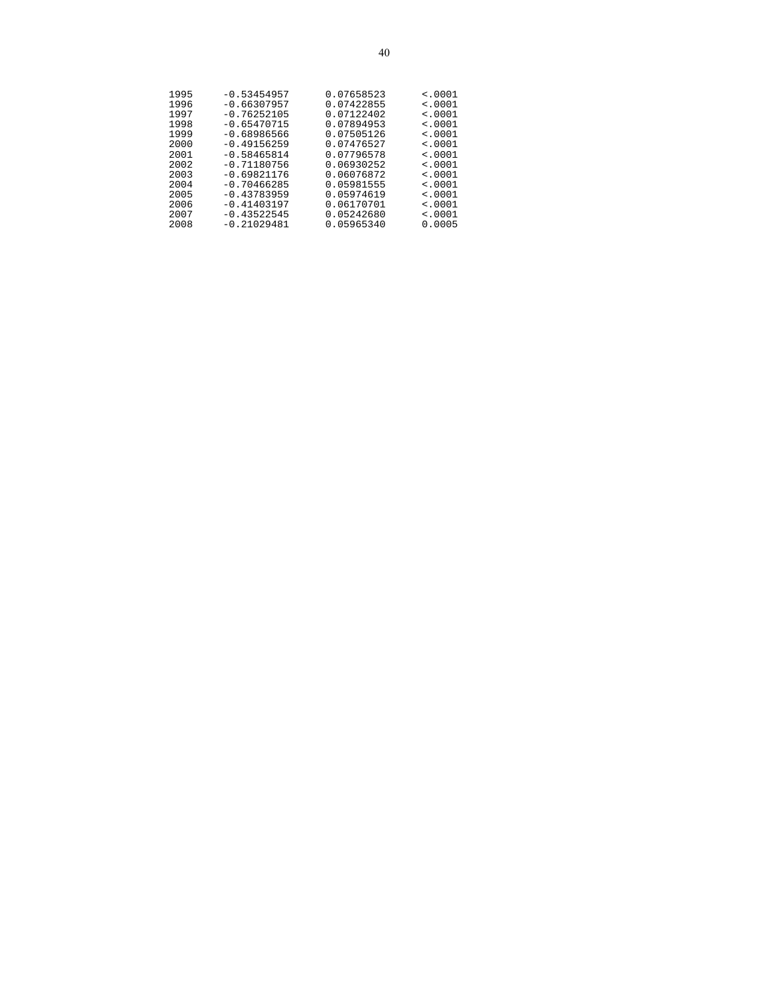| 1995<br>1996 | $-0.53454957$                  | 0.07658523<br>0.07422855 | < .0001<br>< 0.001 |
|--------------|--------------------------------|--------------------------|--------------------|
| 1997         | $-0.66307957$<br>$-0.76252105$ | 0.07122402               | < .0001            |
| 1998         | $-0.65470715$                  | 0.07894953               | < 0.001            |
| 1999         | $-0.68986566$                  | 0.07505126               | < 0.001            |
| 2000         | $-0.49156259$                  | 0.07476527               | $\leq 0001$        |
| 2001         | $-0.58465814$                  | 0.07796578               | < 0.001            |
| 2002         | $-0.71180756$                  | 0.06930252               | $\leq 0001$        |
| 2003         | $-0.69821176$                  | 0.06076872               | < 0.001            |
| 2004         | $-0.70466285$                  | 0.05981555               | < 0.001            |
| 2005         | $-0.43783959$                  | 0.05974619               | $\leq 0001$        |
| 2006         | $-0.41403197$                  | 0.06170701               | < .0001            |
| 2007         | $-0.43522545$                  | 0.05242680               | < 0.001            |
| 2008         | $-0.21029481$                  | 0.05965340               | 0.0005             |